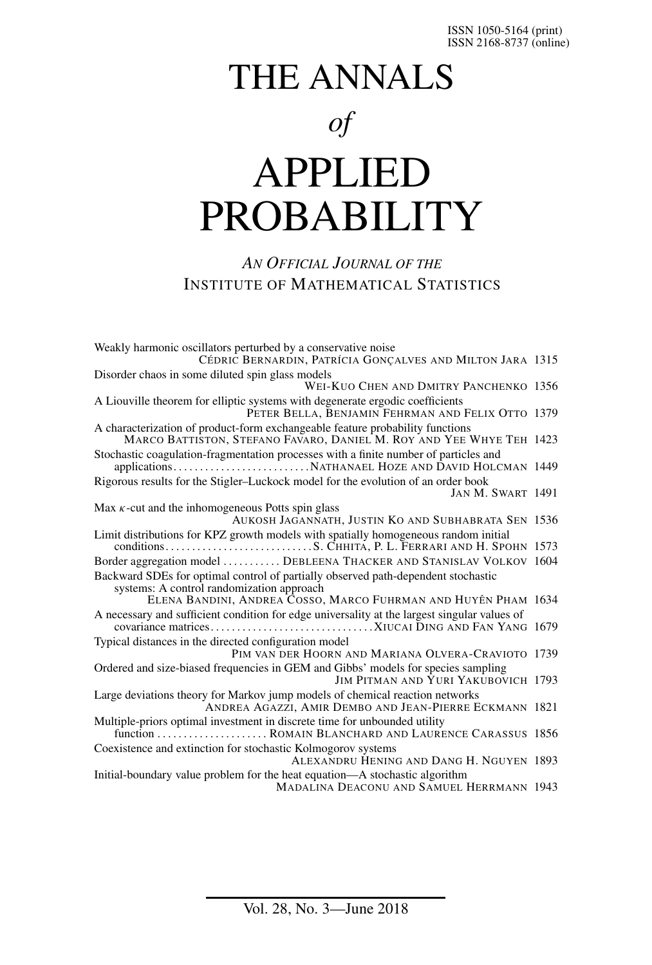# THE ANNALS *of* APPLIED

# PROBABILITY

#### *AN OFFICIAL JOURNAL OF THE* INSTITUTE OF MATHEMATICAL STATISTICS

| Weakly harmonic oscillators perturbed by a conservative noise<br>CÉDRIC BERNARDIN, PATRÍCIA GONÇALVES AND MILTON JARA 1315                            |  |
|-------------------------------------------------------------------------------------------------------------------------------------------------------|--|
| Disorder chaos in some diluted spin glass models<br>WEI-KUO CHEN AND DMITRY PANCHENKO 1356                                                            |  |
| A Liouville theorem for elliptic systems with degenerate ergodic coefficients<br>PETER BELLA, BENJAMIN FEHRMAN AND FELIX OTTO 1379                    |  |
| A characterization of product-form exchangeable feature probability functions<br>MARCO BATTISTON, STEFANO FAVARO, DANIEL M. ROY AND YEE WHYE TEH 1423 |  |
| Stochastic coagulation-fragmentation processes with a finite number of particles and                                                                  |  |
| Rigorous results for the Stigler-Luckock model for the evolution of an order book<br>JAN M. SWART 1491                                                |  |
| Max $\kappa$ -cut and the inhomogeneous Potts spin glass<br>AUKOSH JAGANNATH, JUSTIN KO AND SUBHABRATA SEN 1536                                       |  |
| Limit distributions for KPZ growth models with spatially homogeneous random initial                                                                   |  |
| Border aggregation model  DEBLEENA THACKER AND STANISLAV VOLKOV 1604                                                                                  |  |
| Backward SDEs for optimal control of partially observed path-dependent stochastic<br>systems: A control randomization approach                        |  |
| ELENA BANDINI, ANDREA COSSO, MARCO FUHRMAN AND HUYÊN PHAM 1634                                                                                        |  |
| A necessary and sufficient condition for edge universality at the largest singular values of                                                          |  |
| Typical distances in the directed configuration model<br>PIM VAN DER HOORN AND MARIANA OLVERA-CRAVIOTO 1739                                           |  |
| Ordered and size-biased frequencies in GEM and Gibbs' models for species sampling<br>JIM PITMAN AND YURI YAKUBOVICH 1793                              |  |
| Large deviations theory for Markov jump models of chemical reaction networks<br>ANDREA AGAZZI, AMIR DEMBO AND JEAN-PIERRE ECKMANN 1821                |  |
| Multiple-priors optimal investment in discrete time for unbounded utility<br>function  ROMAIN BLANCHARD AND LAURENCE CARASSUS 1856                    |  |
| Coexistence and extinction for stochastic Kolmogorov systems<br>ALEXANDRU HENING AND DANG H. NGUYEN 1893                                              |  |
| Initial-boundary value problem for the heat equation—A stochastic algorithm<br><b>MADALINA DEACONU AND SAMUEL HERRMANN 1943</b>                       |  |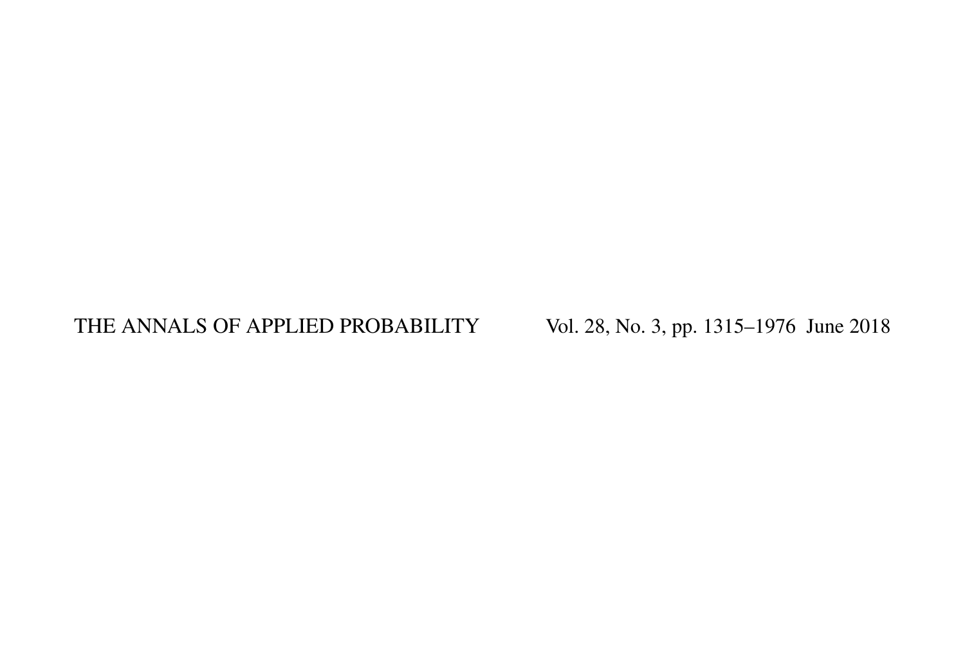### THE ANNALS OF APPLIED PROBABILITY Vol. 28, No. 3, pp. 1315-1976 June 2018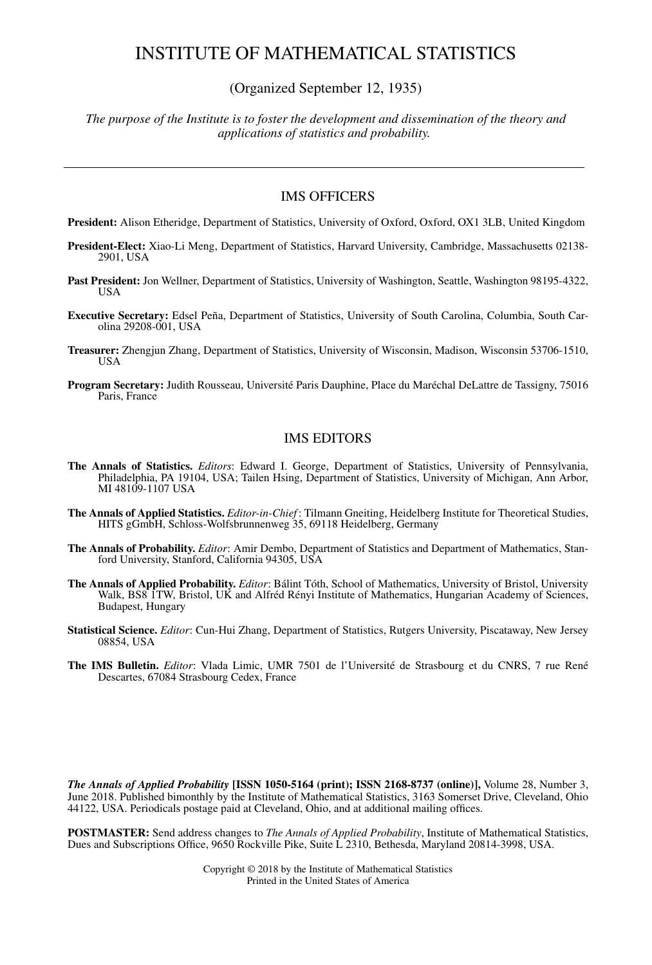#### INSTITUTE OF MATHEMATICAL STATISTICS

(Organized September 12, 1935)

*The purpose of the Institute is to foster the development and dissemination of the theory and applications of statistics and probability.*

#### IMS OFFICERS

**President:** Alison Etheridge, Department of Statistics, University of Oxford, Oxford, OX1 3LB, United Kingdom

- **President-Elect:** Xiao-Li Meng, Department of Statistics, Harvard University, Cambridge, Massachusetts 02138- 2901, USA
- Past President: Jon Wellner, Department of Statistics, University of Washington, Seattle, Washington 98195-4322, USA
- **Executive Secretary:** Edsel Peña, Department of Statistics, University of South Carolina, Columbia, South Carolina 29208-001, USA
- **Treasurer:** Zhengjun Zhang, Department of Statistics, University of Wisconsin, Madison, Wisconsin 53706-1510, USA
- **Program Secretary:** Judith Rousseau, Université Paris Dauphine, Place du Maréchal DeLattre de Tassigny, 75016 Paris, France

#### IMS EDITORS

- **The Annals of Statistics.** *Editors*: Edward I. George, Department of Statistics, University of Pennsylvania, Philadelphia, PA 19104, USA; Tailen Hsing, Department of Statistics, University of Michigan, Ann Arbor, MI 48109-1107 USA
- **The Annals of Applied Statistics.** *Editor-in-Chief* : Tilmann Gneiting, Heidelberg Institute for Theoretical Studies, HITS gGmbH, Schloss-Wolfsbrunnenweg 35, 69118 Heidelberg, Germany
- **The Annals of Probability.** *Editor*: Amir Dembo, Department of Statistics and Department of Mathematics, Stanford University, Stanford, California 94305, USA
- **The Annals of Applied Probability.** *Editor*: Bálint Tóth, School of Mathematics, University of Bristol, University Walk, BS8 ITW, Bristol, UK and Alfréd Rényi Institute of Mathematics, Hungarian Academy of Sciences, Budapest, Hungary
- **Statistical Science.** *Editor*: Cun-Hui Zhang, Department of Statistics, Rutgers University, Piscataway, New Jersey 08854, USA
- **The IMS Bulletin.** *Editor*: Vlada Limic, UMR 7501 de l'Université de Strasbourg et du CNRS, 7 rue René Descartes, 67084 Strasbourg Cedex, France

*The Annals of Applied Probability* **[ISSN 1050-5164 (print); ISSN 2168-8737 (online)],** Volume 28, Number 3, June 2018. Published bimonthly by the Institute of Mathematical Statistics, 3163 Somerset Drive, Cleveland, Ohio 44122, USA. Periodicals postage paid at Cleveland, Ohio, and at additional mailing offices.

**POSTMASTER:** Send address changes to *The Annals of Applied Probability*, Institute of Mathematical Statistics, Dues and Subscriptions Office, 9650 Rockville Pike, Suite L 2310, Bethesda, Maryland 20814-3998, USA.

> Copyright © 2018 by the Institute of Mathematical Statistics Printed in the United States of America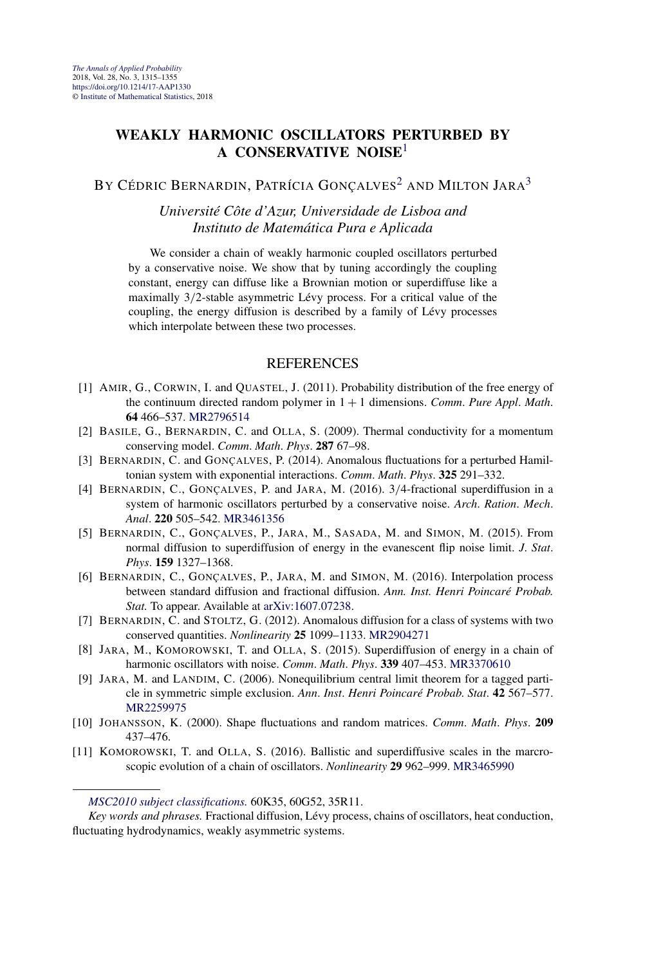#### **WEAKLY HARMONIC OSCILLATORS PERTURBED BY A CONSERVATIVE NOISE**<sup>1</sup>

BY CÉDRIC BERNARDIN, PATRÍCIA GONCALVES<sup>2</sup> AND MILTON JARA<sup>3</sup>

*Université Côte d'Azur, Universidade de Lisboa and Instituto de Matemática Pura e Aplicada*

We consider a chain of weakly harmonic coupled oscillators perturbed by a conservative noise. We show that by tuning accordingly the coupling constant, energy can diffuse like a Brownian motion or superdiffuse like a maximally 3*/*2-stable asymmetric Lévy process. For a critical value of the coupling, the energy diffusion is described by a family of Lévy processes which interpolate between these two processes.

- [1] AMIR, G., CORWIN, I. and QUASTEL, J. (2011). Probability distribution of the free energy of the continuum directed random polymer in 1 + 1 dimensions. *Comm*. *Pure Appl*. *Math*. **64** 466–537. [MR2796514](http://www.ams.org/mathscinet-getitem?mr=2796514)
- [2] BASILE, G., BERNARDIN, C. and OLLA, S. (2009). Thermal conductivity for a momentum conserving model. *Comm*. *Math*. *Phys*. **287** 67–98.
- [3] BERNARDIN, C. and GONÇALVES, P. (2014). Anomalous fluctuations for a perturbed Hamiltonian system with exponential interactions. *Comm*. *Math*. *Phys*. **325** 291–332.
- [4] BERNARDIN, C., GONÇALVES, P. and JARA, M. (2016). 3*/*4-fractional superdiffusion in a system of harmonic oscillators perturbed by a conservative noise. *Arch*. *Ration*. *Mech*. *Anal*. **220** 505–542. [MR3461356](http://www.ams.org/mathscinet-getitem?mr=3461356)
- [5] BERNARDIN, C., GONÇALVES, P., JARA, M., SASADA, M. and SIMON, M. (2015). From normal diffusion to superdiffusion of energy in the evanescent flip noise limit. *J*. *Stat*. *Phys*. **159** 1327–1368.
- [6] BERNARDIN, C., GONÇALVES, P., JARA, M. and SIMON, M. (2016). Interpolation process between standard diffusion and fractional diffusion. *Ann. Inst. Henri Poincaré Probab. Stat.* To appear. Available at [arXiv:1607.07238.](http://arxiv.org/abs/arXiv:1607.07238)
- [7] BERNARDIN, C. and STOLTZ, G. (2012). Anomalous diffusion for a class of systems with two conserved quantities. *Nonlinearity* **25** 1099–1133. [MR2904271](http://www.ams.org/mathscinet-getitem?mr=2904271)
- [8] JARA, M., KOMOROWSKI, T. and OLLA, S. (2015). Superdiffusion of energy in a chain of harmonic oscillators with noise. *Comm*. *Math*. *Phys*. **339** 407–453. [MR3370610](http://www.ams.org/mathscinet-getitem?mr=3370610)
- [9] JARA, M. and LANDIM, C. (2006). Nonequilibrium central limit theorem for a tagged particle in symmetric simple exclusion. *Ann*. *Inst*. *Henri Poincaré Probab*. *Stat*. **42** 567–577. [MR2259975](http://www.ams.org/mathscinet-getitem?mr=2259975)
- [10] JOHANSSON, K. (2000). Shape fluctuations and random matrices. *Comm*. *Math*. *Phys*. **209** 437–476.
- [11] KOMOROWSKI, T. and OLLA, S. (2016). Ballistic and superdiffusive scales in the marcroscopic evolution of a chain of oscillators. *Nonlinearity* **29** 962–999. [MR3465990](http://www.ams.org/mathscinet-getitem?mr=3465990)

*[MSC2010 subject classifications.](http://www.ams.org/mathscinet/msc/msc2010.html)* 60K35, 60G52, 35R11.

*Key words and phrases.* Fractional diffusion, Lévy process, chains of oscillators, heat conduction, fluctuating hydrodynamics, weakly asymmetric systems.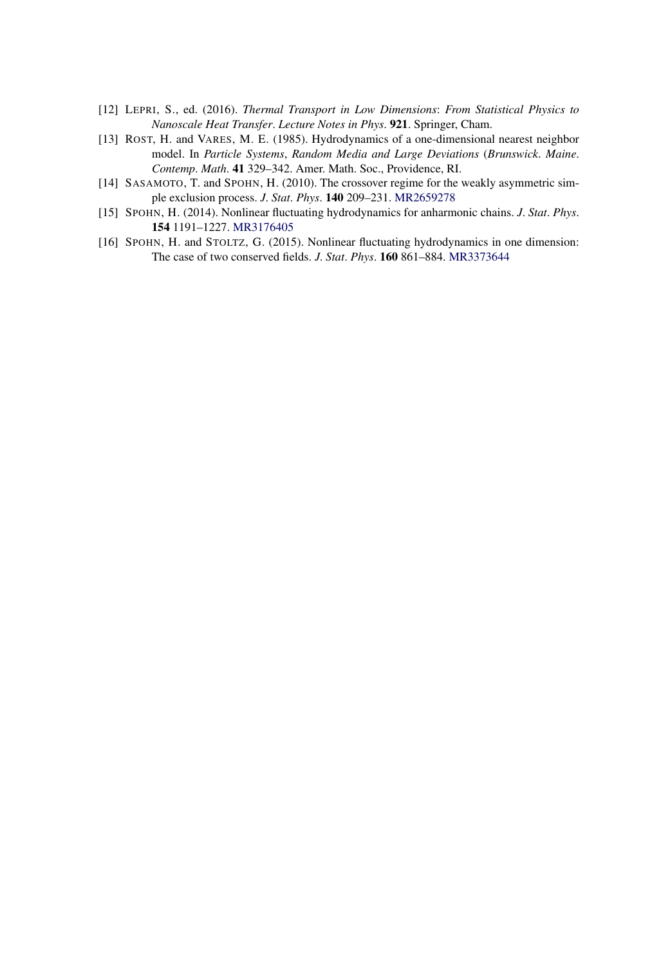- [12] LEPRI, S., ed. (2016). *Thermal Transport in Low Dimensions*: *From Statistical Physics to Nanoscale Heat Transfer*. *Lecture Notes in Phys*. **921**. Springer, Cham.
- [13] ROST, H. and VARES, M. E. (1985). Hydrodynamics of a one-dimensional nearest neighbor model. In *Particle Systems*, *Random Media and Large Deviations* (*Brunswick*. *Maine*. *Contemp*. *Math*. **41** 329–342. Amer. Math. Soc., Providence, RI.
- [14] SASAMOTO, T. and SPOHN, H. (2010). The crossover regime for the weakly asymmetric simple exclusion process. *J*. *Stat*. *Phys*. **140** 209–231. [MR2659278](http://www.ams.org/mathscinet-getitem?mr=2659278)
- [15] SPOHN, H. (2014). Nonlinear fluctuating hydrodynamics for anharmonic chains. *J*. *Stat*. *Phys*. **154** 1191–1227. [MR3176405](http://www.ams.org/mathscinet-getitem?mr=3176405)
- [16] SPOHN, H. and STOLTZ, G. (2015). Nonlinear fluctuating hydrodynamics in one dimension: The case of two conserved fields. *J*. *Stat*. *Phys*. **160** 861–884. [MR3373644](http://www.ams.org/mathscinet-getitem?mr=3373644)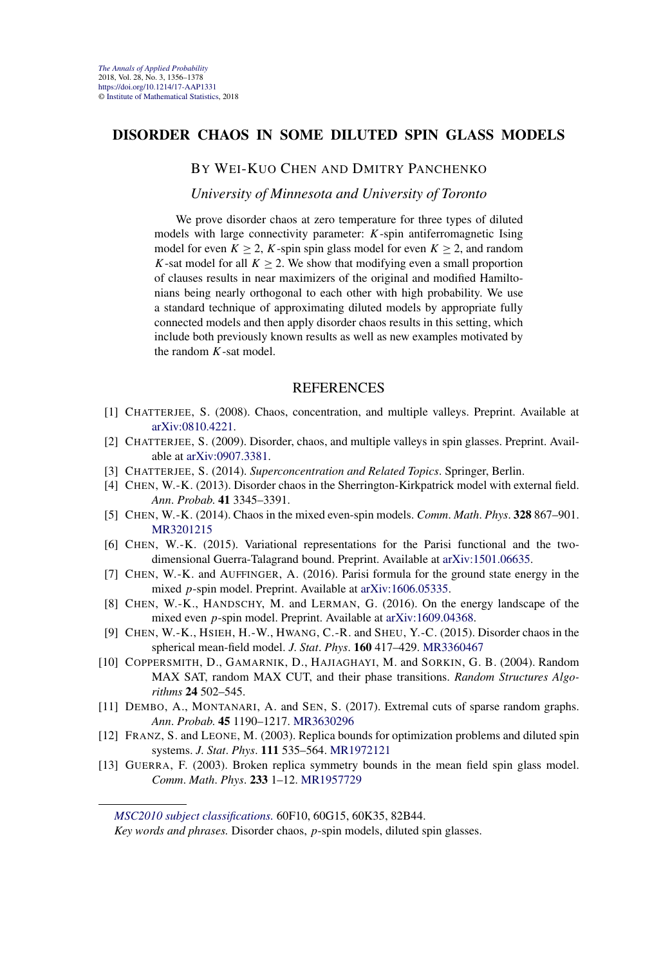#### **DISORDER CHAOS IN SOME DILUTED SPIN GLASS MODELS**

#### BY WEI-KUO CHEN AND DMITRY PANCHENKO

*University of Minnesota and University of Toronto*

We prove disorder chaos at zero temperature for three types of diluted models with large connectivity parameter: *K*-spin antiferromagnetic Ising model for even  $K \geq 2$ , K-spin spin glass model for even  $K \geq 2$ , and random *K*-sat model for all  $K \geq 2$ . We show that modifying even a small proportion of clauses results in near maximizers of the original and modified Hamiltonians being nearly orthogonal to each other with high probability. We use a standard technique of approximating diluted models by appropriate fully connected models and then apply disorder chaos results in this setting, which include both previously known results as well as new examples motivated by the random *K*-sat model.

- [1] CHATTERJEE, S. (2008). Chaos, concentration, and multiple valleys. Preprint. Available at [arXiv:0810.4221.](http://arxiv.org/abs/arXiv:0810.4221)
- [2] CHATTERJEE, S. (2009). Disorder, chaos, and multiple valleys in spin glasses. Preprint. Available at [arXiv:0907.3381.](http://arxiv.org/abs/arXiv:0907.3381)
- [3] CHATTERJEE, S. (2014). *Superconcentration and Related Topics*. Springer, Berlin.
- [4] CHEN, W.-K. (2013). Disorder chaos in the Sherrington-Kirkpatrick model with external field. *Ann*. *Probab*. **41** 3345–3391.
- [5] CHEN, W.-K. (2014). Chaos in the mixed even-spin models. *Comm*. *Math*. *Phys*. **328** 867–901. [MR3201215](http://www.ams.org/mathscinet-getitem?mr=3201215)
- [6] CHEN, W.-K. (2015). Variational representations for the Parisi functional and the twodimensional Guerra-Talagrand bound. Preprint. Available at [arXiv:1501.06635](http://arxiv.org/abs/arXiv:1501.06635).
- [7] CHEN, W.-K. and AUFFINGER, A. (2016). Parisi formula for the ground state energy in the mixed *p*-spin model. Preprint. Available at [arXiv:1606.05335](http://arxiv.org/abs/arXiv:1606.05335).
- [8] CHEN, W.-K., HANDSCHY, M. and LERMAN, G. (2016). On the energy landscape of the mixed even *p*-spin model. Preprint. Available at [arXiv:1609.04368](http://arxiv.org/abs/arXiv:1609.04368).
- [9] CHEN, W.-K., HSIEH, H.-W., HWANG, C.-R. and SHEU, Y.-C. (2015). Disorder chaos in the spherical mean-field model. *J*. *Stat*. *Phys*. **160** 417–429. [MR3360467](http://www.ams.org/mathscinet-getitem?mr=3360467)
- [10] COPPERSMITH, D., GAMARNIK, D., HAJIAGHAYI, M. and SORKIN, G. B. (2004). Random MAX SAT, random MAX CUT, and their phase transitions. *Random Structures Algorithms* **24** 502–545.
- [11] DEMBO, A., MONTANARI, A. and SEN, S. (2017). Extremal cuts of sparse random graphs. *Ann*. *Probab*. **45** 1190–1217. [MR3630296](http://www.ams.org/mathscinet-getitem?mr=3630296)
- [12] FRANZ, S. and LEONE, M. (2003). Replica bounds for optimization problems and diluted spin systems. *J*. *Stat*. *Phys*. **111** 535–564. [MR1972121](http://www.ams.org/mathscinet-getitem?mr=1972121)
- [13] GUERRA, F. (2003). Broken replica symmetry bounds in the mean field spin glass model. *Comm*. *Math*. *Phys*. **233** 1–12. [MR1957729](http://www.ams.org/mathscinet-getitem?mr=1957729)

*[MSC2010 subject classifications.](http://www.ams.org/mathscinet/msc/msc2010.html)* 60F10, 60G15, 60K35, 82B44.

*Key words and phrases.* Disorder chaos, *p*-spin models, diluted spin glasses.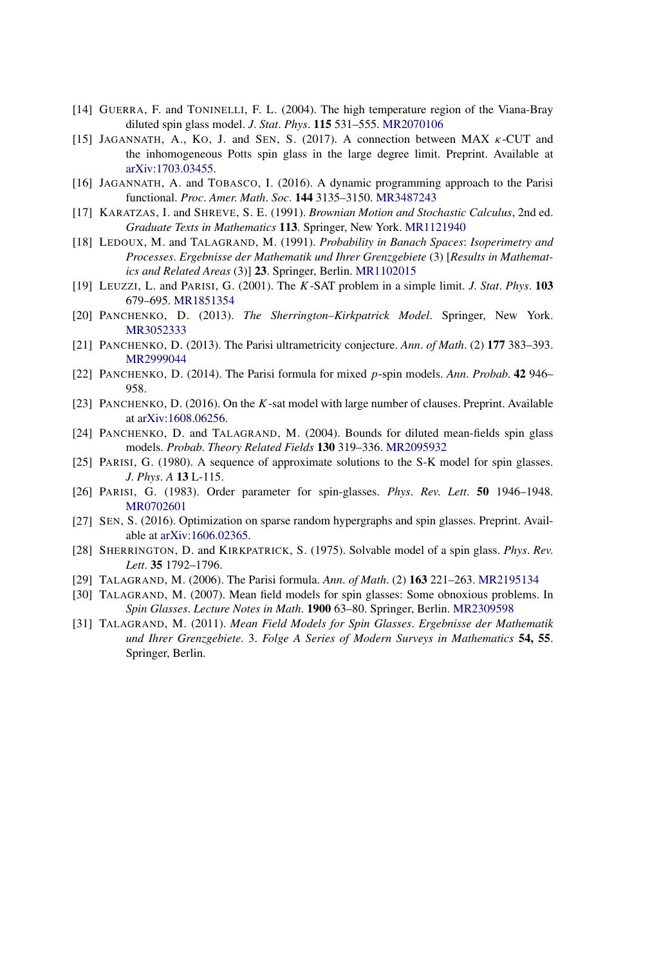- [14] GUERRA, F. and TONINELLI, F. L. (2004). The high temperature region of the Viana-Bray diluted spin glass model. *J*. *Stat*. *Phys*. **115** 531–555. [MR2070106](http://www.ams.org/mathscinet-getitem?mr=2070106)
- [15] JAGANNATH, A., KO, J. and SEN, S. (2017). A connection between MAX *κ*-CUT and the inhomogeneous Potts spin glass in the large degree limit. Preprint. Available at [arXiv:1703.03455](http://arxiv.org/abs/arXiv:1703.03455).
- [16] JAGANNATH, A. and TOBASCO, I. (2016). A dynamic programming approach to the Parisi functional. *Proc*. *Amer*. *Math*. *Soc*. **144** 3135–3150. [MR3487243](http://www.ams.org/mathscinet-getitem?mr=3487243)
- [17] KARATZAS, I. and SHREVE, S. E. (1991). *Brownian Motion and Stochastic Calculus*, 2nd ed. *Graduate Texts in Mathematics* **113**. Springer, New York. [MR1121940](http://www.ams.org/mathscinet-getitem?mr=1121940)
- [18] LEDOUX, M. and TALAGRAND, M. (1991). *Probability in Banach Spaces*: *Isoperimetry and Processes*. *Ergebnisse der Mathematik und Ihrer Grenzgebiete* (3) [*Results in Mathematics and Related Areas* (3)] **23**. Springer, Berlin. [MR1102015](http://www.ams.org/mathscinet-getitem?mr=1102015)
- [19] LEUZZI, L. and PARISI, G. (2001). The *K*-SAT problem in a simple limit. *J*. *Stat*. *Phys*. **103** 679–695. [MR1851354](http://www.ams.org/mathscinet-getitem?mr=1851354)
- [20] PANCHENKO, D. (2013). *The Sherrington–Kirkpatrick Model*. Springer, New York. [MR3052333](http://www.ams.org/mathscinet-getitem?mr=3052333)
- [21] PANCHENKO, D. (2013). The Parisi ultrametricity conjecture. *Ann*. *of Math*. (2) **177** 383–393. [MR2999044](http://www.ams.org/mathscinet-getitem?mr=2999044)
- [22] PANCHENKO, D. (2014). The Parisi formula for mixed *p*-spin models. *Ann*. *Probab*. **42** 946– 958.
- [23] PANCHENKO, D. (2016). On the *K*-sat model with large number of clauses. Preprint. Available at [arXiv:1608.06256.](http://arxiv.org/abs/arXiv:1608.06256)
- [24] PANCHENKO, D. and TALAGRAND, M. (2004). Bounds for diluted mean-fields spin glass models. *Probab*. *Theory Related Fields* **130** 319–336. [MR2095932](http://www.ams.org/mathscinet-getitem?mr=2095932)
- [25] PARISI, G. (1980). A sequence of approximate solutions to the S-K model for spin glasses. *J*. *Phys*. *A* **13** L-115.
- [26] PARISI, G. (1983). Order parameter for spin-glasses. *Phys*. *Rev*. *Lett*. **50** 1946–1948. [MR0702601](http://www.ams.org/mathscinet-getitem?mr=0702601)
- [27] SEN, S. (2016). Optimization on sparse random hypergraphs and spin glasses. Preprint. Available at [arXiv:1606.02365](http://arxiv.org/abs/arXiv:1606.02365).
- [28] SHERRINGTON, D. and KIRKPATRICK, S. (1975). Solvable model of a spin glass. *Phys*. *Rev*. *Lett*. **35** 1792–1796.
- [29] TALAGRAND, M. (2006). The Parisi formula. *Ann*. *of Math*. (2) **163** 221–263. [MR2195134](http://www.ams.org/mathscinet-getitem?mr=2195134)
- [30] TALAGRAND, M. (2007). Mean field models for spin glasses: Some obnoxious problems. In *Spin Glasses*. *Lecture Notes in Math*. **1900** 63–80. Springer, Berlin. [MR2309598](http://www.ams.org/mathscinet-getitem?mr=2309598)
- [31] TALAGRAND, M. (2011). *Mean Field Models for Spin Glasses*. *Ergebnisse der Mathematik und Ihrer Grenzgebiete*. 3. *Folge A Series of Modern Surveys in Mathematics* **54, 55**. Springer, Berlin.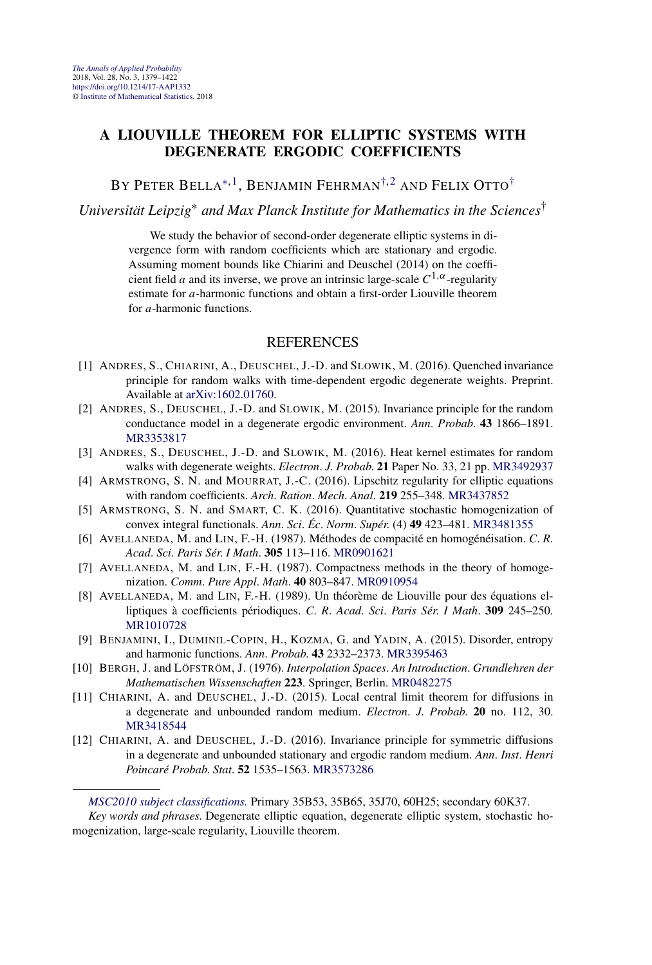#### <span id="page-7-0"></span>**A LIOUVILLE THEOREM FOR ELLIPTIC SYSTEMS WITH DEGENERATE ERGODIC COEFFICIENTS**

BY PETER BELLA<sup>\*, 1</sup>, BENJAMIN FEHRMAN<sup>†, 2</sup> AND FELIX OTTO<sup>†</sup>

*Universität Leipzig*<sup>∗</sup> *and Max Planck Institute for Mathematics in the Sciences*†

We study the behavior of second-order degenerate elliptic systems in divergence form with random coefficients which are stationary and ergodic. Assuming moment bounds like Chiarini and Deuschel (2014) on the coefficient field *a* and its inverse, we prove an intrinsic large-scale  $C^{1,\alpha}$ -regularity estimate for *a*-harmonic functions and obtain a first-order Liouville theorem for *a*-harmonic functions.

- [1] ANDRES, S., CHIARINI, A., DEUSCHEL, J.-D. and SLOWIK, M. (2016). Quenched invariance principle for random walks with time-dependent ergodic degenerate weights. Preprint. Available at [arXiv:1602.01760](http://arxiv.org/abs/arXiv:1602.01760).
- [2] ANDRES, S., DEUSCHEL, J.-D. and SLOWIK, M. (2015). Invariance principle for the random conductance model in a degenerate ergodic environment. *Ann*. *Probab*. **43** 1866–1891. [MR3353817](http://www.ams.org/mathscinet-getitem?mr=3353817)
- [3] ANDRES, S., DEUSCHEL, J.-D. and SLOWIK, M. (2016). Heat kernel estimates for random walks with degenerate weights. *Electron*. *J*. *Probab*. **21** Paper No. 33, 21 pp. [MR3492937](http://www.ams.org/mathscinet-getitem?mr=3492937)
- [4] ARMSTRONG, S. N. and MOURRAT, J.-C. (2016). Lipschitz regularity for elliptic equations with random coefficients. *Arch*. *Ration*. *Mech*. *Anal*. **219** 255–348. [MR3437852](http://www.ams.org/mathscinet-getitem?mr=3437852)
- [5] ARMSTRONG, S. N. and SMART, C. K. (2016). Quantitative stochastic homogenization of convex integral functionals. *Ann*. *Sci*. *Éc*. *Norm*. *Supér*. (4) **49** 423–481. [MR3481355](http://www.ams.org/mathscinet-getitem?mr=3481355)
- [6] AVELLANEDA, M. and LIN, F.-H. (1987). Méthodes de compacité en homogénéisation. *C*. *R*. *Acad*. *Sci*. *Paris Sér*. *I Math*. **305** 113–116. [MR0901621](http://www.ams.org/mathscinet-getitem?mr=0901621)
- [7] AVELLANEDA, M. and LIN, F.-H. (1987). Compactness methods in the theory of homogenization. *Comm*. *Pure Appl*. *Math*. **40** 803–847. [MR0910954](http://www.ams.org/mathscinet-getitem?mr=0910954)
- [8] AVELLANEDA, M. and LIN, F.-H. (1989). Un théorème de Liouville pour des équations elliptiques à coefficients périodiques. *C*. *R*. *Acad*. *Sci*. *Paris Sér*. *I Math*. **309** 245–250. [MR1010728](http://www.ams.org/mathscinet-getitem?mr=1010728)
- [9] BENJAMINI, I., DUMINIL-COPIN, H., KOZMA, G. and YADIN, A. (2015). Disorder, entropy and harmonic functions. *Ann*. *Probab*. **43** 2332–2373. [MR3395463](http://www.ams.org/mathscinet-getitem?mr=3395463)
- [10] BERGH, J. and LÖFSTRÖM, J. (1976). *Interpolation Spaces*. *An Introduction*. *Grundlehren der Mathematischen Wissenschaften* **223**. Springer, Berlin. [MR0482275](http://www.ams.org/mathscinet-getitem?mr=0482275)
- [11] CHIARINI, A. and DEUSCHEL, J.-D. (2015). Local central limit theorem for diffusions in a degenerate and unbounded random medium. *Electron*. *J*. *Probab*. **20** no. 112, 30. [MR3418544](http://www.ams.org/mathscinet-getitem?mr=3418544)
- [12] CHIARINI, A. and DEUSCHEL, J.-D. (2016). Invariance principle for symmetric diffusions in a degenerate and unbounded stationary and ergodic random medium. *Ann*. *Inst*. *Henri Poincaré Probab*. *Stat*. **52** 1535–1563. [MR3573286](http://www.ams.org/mathscinet-getitem?mr=3573286)

*[MSC2010 subject classifications.](http://www.ams.org/mathscinet/msc/msc2010.html)* Primary 35B53, 35B65, 35J70, 60H25; secondary 60K37.

*Key words and phrases.* Degenerate elliptic equation, degenerate elliptic system, stochastic homogenization, large-scale regularity, Liouville theorem.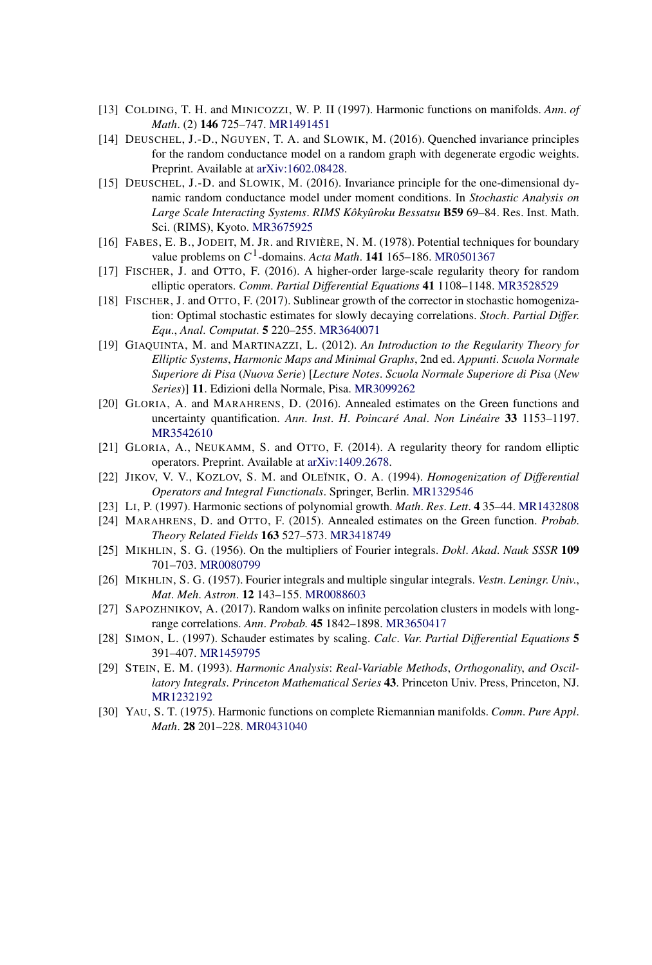- [13] COLDING, T. H. and MINICOZZI, W. P. II (1997). Harmonic functions on manifolds. *Ann*. *of Math*. (2) **146** 725–747. [MR1491451](http://www.ams.org/mathscinet-getitem?mr=1491451)
- [14] DEUSCHEL, J.-D., NGUYEN, T. A. and SLOWIK, M. (2016). Quenched invariance principles for the random conductance model on a random graph with degenerate ergodic weights. Preprint. Available at [arXiv:1602.08428.](http://arxiv.org/abs/arXiv:1602.08428)
- [15] DEUSCHEL, J.-D. and SLOWIK, M. (2016). Invariance principle for the one-dimensional dynamic random conductance model under moment conditions. In *Stochastic Analysis on Large Scale Interacting Systems*. *RIMS Kôkyûroku Bessatsu* **B59** 69–84. Res. Inst. Math. Sci. (RIMS), Kyoto. [MR3675925](http://www.ams.org/mathscinet-getitem?mr=3675925)
- [16] FABES, E. B., JODEIT, M. JR. and RIVIÈRE, N. M. (1978). Potential techniques for boundary value problems on  $C^1$ -domains. *Acta Math*. **141** 165–186. [MR0501367](http://www.ams.org/mathscinet-getitem?mr=0501367)
- [17] FISCHER, J. and OTTO, F. (2016). A higher-order large-scale regularity theory for random elliptic operators. *Comm*. *Partial Differential Equations* **41** 1108–1148. [MR3528529](http://www.ams.org/mathscinet-getitem?mr=3528529)
- [18] FISCHER, J. and OTTO, F. (2017). Sublinear growth of the corrector in stochastic homogenization: Optimal stochastic estimates for slowly decaying correlations. *Stoch*. *Partial Differ*. *Equ*., *Anal*. *Computat*. **5** 220–255. [MR3640071](http://www.ams.org/mathscinet-getitem?mr=3640071)
- [19] GIAQUINTA, M. and MARTINAZZI, L. (2012). *An Introduction to the Regularity Theory for Elliptic Systems*, *Harmonic Maps and Minimal Graphs*, 2nd ed. *Appunti*. *Scuola Normale Superiore di Pisa* (*Nuova Serie*) [*Lecture Notes*. *Scuola Normale Superiore di Pisa* (*New Series*)] **11**. Edizioni della Normale, Pisa. [MR3099262](http://www.ams.org/mathscinet-getitem?mr=3099262)
- [20] GLORIA, A. and MARAHRENS, D. (2016). Annealed estimates on the Green functions and uncertainty quantification. *Ann*. *Inst*. *H*. *Poincaré Anal*. *Non Linéaire* **33** 1153–1197. [MR3542610](http://www.ams.org/mathscinet-getitem?mr=3542610)
- [21] GLORIA, A., NEUKAMM, S. and OTTO, F. (2014). A regularity theory for random elliptic operators. Preprint. Available at [arXiv:1409.2678](http://arxiv.org/abs/arXiv:1409.2678).
- [22] JIKOV, V. V., KOZLOV, S. M. and OLE˘INIK, O. A. (1994). *Homogenization of Differential Operators and Integral Functionals*. Springer, Berlin. [MR1329546](http://www.ams.org/mathscinet-getitem?mr=1329546)
- [23] LI, P. (1997). Harmonic sections of polynomial growth. *Math*. *Res*. *Lett*. **4** 35–44. [MR1432808](http://www.ams.org/mathscinet-getitem?mr=1432808)
- [24] MARAHRENS, D. and OTTO, F. (2015). Annealed estimates on the Green function. *Probab*. *Theory Related Fields* **163** 527–573. [MR3418749](http://www.ams.org/mathscinet-getitem?mr=3418749)
- [25] MIKHLIN, S. G. (1956). On the multipliers of Fourier integrals. *Dokl*. *Akad*. *Nauk SSSR* **109** 701–703. [MR0080799](http://www.ams.org/mathscinet-getitem?mr=0080799)
- [26] MIKHLIN, S. G. (1957). Fourier integrals and multiple singular integrals. *Vestn*. *Leningr*. *Univ*., *Mat*. *Meh*. *Astron*. **12** 143–155. [MR0088603](http://www.ams.org/mathscinet-getitem?mr=0088603)
- [27] SAPOZHNIKOV, A. (2017). Random walks on infinite percolation clusters in models with longrange correlations. *Ann*. *Probab*. **45** 1842–1898. [MR3650417](http://www.ams.org/mathscinet-getitem?mr=3650417)
- [28] SIMON, L. (1997). Schauder estimates by scaling. *Calc*. *Var*. *Partial Differential Equations* **5** 391–407. [MR1459795](http://www.ams.org/mathscinet-getitem?mr=1459795)
- [29] STEIN, E. M. (1993). *Harmonic Analysis*: *Real-Variable Methods*, *Orthogonality*, *and Oscillatory Integrals*. *Princeton Mathematical Series* **43**. Princeton Univ. Press, Princeton, NJ. [MR1232192](http://www.ams.org/mathscinet-getitem?mr=1232192)
- [30] YAU, S. T. (1975). Harmonic functions on complete Riemannian manifolds. *Comm*. *Pure Appl*. *Math*. **28** 201–228. [MR0431040](http://www.ams.org/mathscinet-getitem?mr=0431040)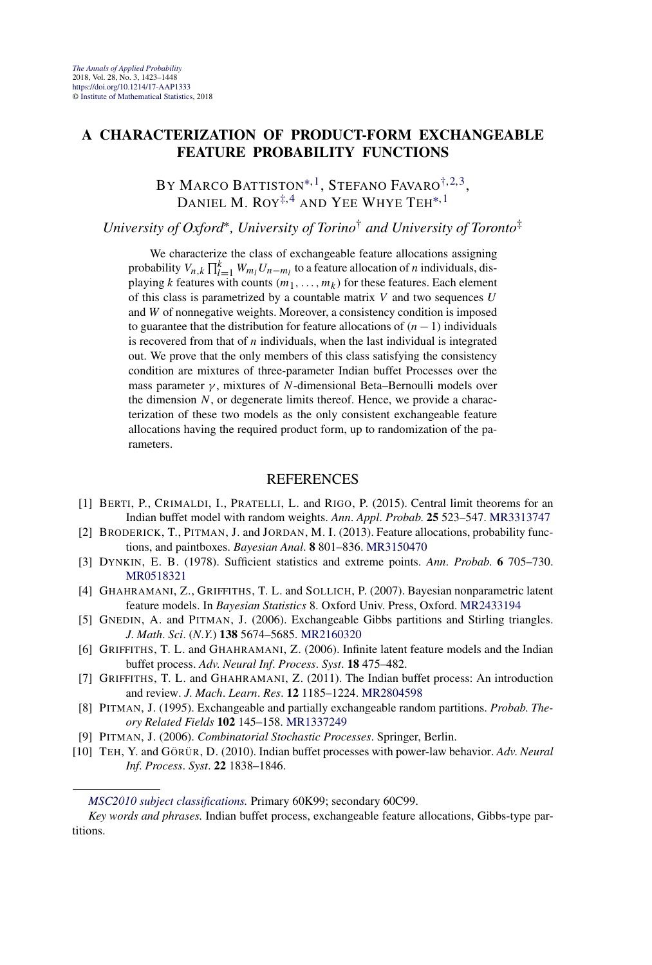#### <span id="page-9-0"></span>**A CHARACTERIZATION OF PRODUCT-FORM EXCHANGEABLE FEATURE PROBABILITY FUNCTIONS**

BY MARCO BATTISTON<sup>\*, 1</sup>, STEFANO FAVARO<sup>[†,](#page-7-0) 2,3</sup>. DANIEL M.  $ROY^{\ddagger,4}$  and Yee Whye Teh<sup>\*, 1</sup>

*University of Oxford*∗*, University of Torino*† *and University of Toronto*‡

We characterize the class of exchangeable feature allocations assigning probability  $V_{n,k} \prod_{l=1}^{k} W_{m_l} U_{n-m_l}$  to a feature allocation of *n* individuals, displaying *k* features with counts  $(m_1, \ldots, m_k)$  for these features. Each element of this class is parametrized by a countable matrix *V* and two sequences *U* and *W* of nonnegative weights. Moreover, a consistency condition is imposed to guarantee that the distribution for feature allocations of *(n*−1*)* individuals is recovered from that of *n* individuals, when the last individual is integrated out. We prove that the only members of this class satisfying the consistency condition are mixtures of three-parameter Indian buffet Processes over the mass parameter *γ* , mixtures of *N*-dimensional Beta–Bernoulli models over the dimension *N*, or degenerate limits thereof. Hence, we provide a characterization of these two models as the only consistent exchangeable feature allocations having the required product form, up to randomization of the parameters.

- [1] BERTI, P., CRIMALDI, I., PRATELLI, L. and RIGO, P. (2015). Central limit theorems for an Indian buffet model with random weights. *Ann*. *Appl*. *Probab*. **25** 523–547. [MR3313747](http://www.ams.org/mathscinet-getitem?mr=3313747)
- [2] BRODERICK, T., PITMAN, J. and JORDAN, M. I. (2013). Feature allocations, probability functions, and paintboxes. *Bayesian Anal*. **8** 801–836. [MR3150470](http://www.ams.org/mathscinet-getitem?mr=3150470)
- [3] DYNKIN, E. B. (1978). Sufficient statistics and extreme points. *Ann*. *Probab*. **6** 705–730. [MR0518321](http://www.ams.org/mathscinet-getitem?mr=0518321)
- [4] GHAHRAMANI, Z., GRIFFITHS, T. L. and SOLLICH, P. (2007). Bayesian nonparametric latent feature models. In *Bayesian Statistics* 8. Oxford Univ. Press, Oxford. [MR2433194](http://www.ams.org/mathscinet-getitem?mr=2433194)
- [5] GNEDIN, A. and PITMAN, J. (2006). Exchangeable Gibbs partitions and Stirling triangles. *J*. *Math*. *Sci*. (*N*.*Y*.) **138** 5674–5685. [MR2160320](http://www.ams.org/mathscinet-getitem?mr=2160320)
- [6] GRIFFITHS, T. L. and GHAHRAMANI, Z. (2006). Infinite latent feature models and the Indian buffet process. *Adv*. *Neural Inf*. *Process*. *Syst*. **18** 475–482.
- [7] GRIFFITHS, T. L. and GHAHRAMANI, Z. (2011). The Indian buffet process: An introduction and review. *J*. *Mach*. *Learn*. *Res*. **12** 1185–1224. [MR2804598](http://www.ams.org/mathscinet-getitem?mr=2804598)
- [8] PITMAN, J. (1995). Exchangeable and partially exchangeable random partitions. *Probab*. *Theory Related Fields* **102** 145–158. [MR1337249](http://www.ams.org/mathscinet-getitem?mr=1337249)
- [9] PITMAN, J. (2006). *Combinatorial Stochastic Processes*. Springer, Berlin.
- [10] TEH, Y. and GÖRÜR, D. (2010). Indian buffet processes with power-law behavior. *Adv*. *Neural Inf*. *Process*. *Syst*. **22** 1838–1846.

*[MSC2010 subject classifications.](http://www.ams.org/mathscinet/msc/msc2010.html)* Primary 60K99; secondary 60C99.

*Key words and phrases.* Indian buffet process, exchangeable feature allocations, Gibbs-type partitions.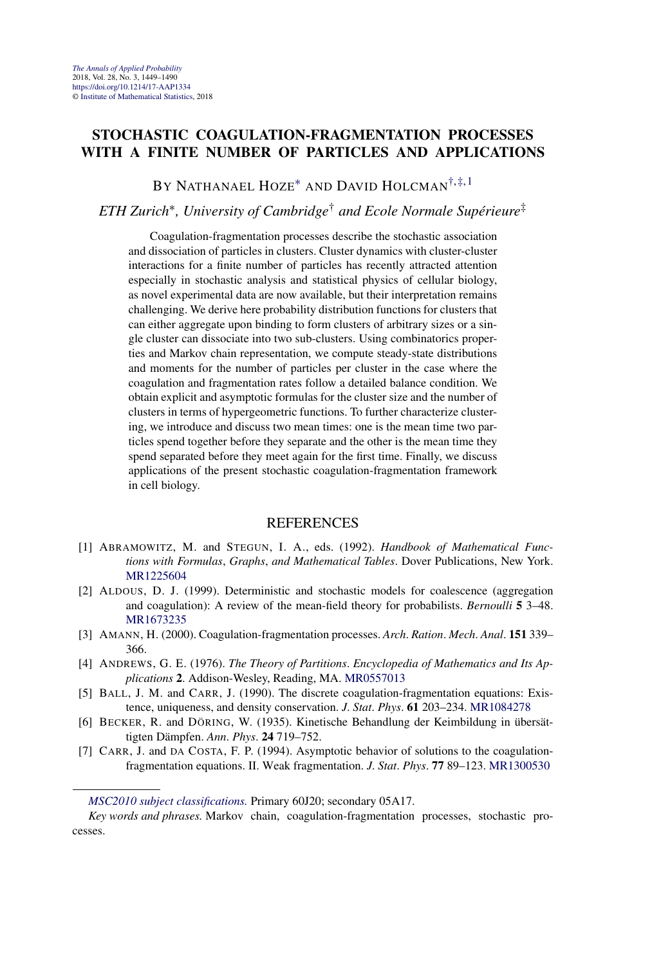#### **STOCHASTIC COAGULATION-FRAGMENTATION PROCESSES WITH A FINITE NUMBER OF PARTICLES AND APPLICATIONS**

BY NATHANAEL HOZE<sup>\*</sup> AND DAVID HOLCMAN<sup>[†,](#page-7-0)[‡,](#page-9-0)1</sup>

*ETH Zurich*∗*, University of Cambridge*† *and Ecole Normale Supérieure*‡

Coagulation-fragmentation processes describe the stochastic association and dissociation of particles in clusters. Cluster dynamics with cluster-cluster interactions for a finite number of particles has recently attracted attention especially in stochastic analysis and statistical physics of cellular biology, as novel experimental data are now available, but their interpretation remains challenging. We derive here probability distribution functions for clusters that can either aggregate upon binding to form clusters of arbitrary sizes or a single cluster can dissociate into two sub-clusters. Using combinatorics properties and Markov chain representation, we compute steady-state distributions and moments for the number of particles per cluster in the case where the coagulation and fragmentation rates follow a detailed balance condition. We obtain explicit and asymptotic formulas for the cluster size and the number of clusters in terms of hypergeometric functions. To further characterize clustering, we introduce and discuss two mean times: one is the mean time two particles spend together before they separate and the other is the mean time they spend separated before they meet again for the first time. Finally, we discuss applications of the present stochastic coagulation-fragmentation framework in cell biology.

- [1] ABRAMOWITZ, M. and STEGUN, I. A., eds. (1992). *Handbook of Mathematical Functions with Formulas*, *Graphs*, *and Mathematical Tables*. Dover Publications, New York. [MR1225604](http://www.ams.org/mathscinet-getitem?mr=1225604)
- [2] ALDOUS, D. J. (1999). Deterministic and stochastic models for coalescence (aggregation and coagulation): A review of the mean-field theory for probabilists. *Bernoulli* **5** 3–48. [MR1673235](http://www.ams.org/mathscinet-getitem?mr=1673235)
- [3] AMANN, H. (2000). Coagulation-fragmentation processes. *Arch*. *Ration*. *Mech*. *Anal*. **151** 339– 366.
- [4] ANDREWS, G. E. (1976). *The Theory of Partitions*. *Encyclopedia of Mathematics and Its Applications* **2**. Addison-Wesley, Reading, MA. [MR0557013](http://www.ams.org/mathscinet-getitem?mr=0557013)
- [5] BALL, J. M. and CARR, J. (1990). The discrete coagulation-fragmentation equations: Existence, uniqueness, and density conservation. *J*. *Stat*. *Phys*. **61** 203–234. [MR1084278](http://www.ams.org/mathscinet-getitem?mr=1084278)
- [6] BECKER, R. and DÖRING, W. (1935). Kinetische Behandlung der Keimbildung in übersättigten Dämpfen. *Ann*. *Phys*. **24** 719–752.
- [7] CARR, J. and DA COSTA, F. P. (1994). Asymptotic behavior of solutions to the coagulationfragmentation equations. II. Weak fragmentation. *J*. *Stat*. *Phys*. **77** 89–123. [MR1300530](http://www.ams.org/mathscinet-getitem?mr=1300530)

*[MSC2010 subject classifications.](http://www.ams.org/mathscinet/msc/msc2010.html)* Primary 60J20; secondary 05A17.

*Key words and phrases.* Markov chain, coagulation-fragmentation processes, stochastic processes.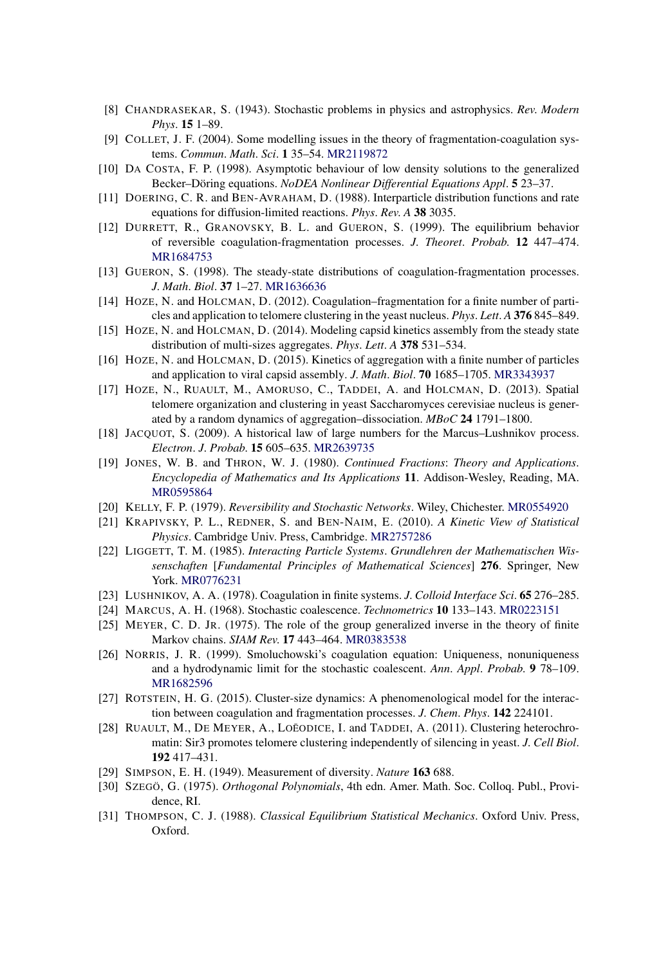- [8] CHANDRASEKAR, S. (1943). Stochastic problems in physics and astrophysics. *Rev*. *Modern Phys*. **15** 1–89.
- [9] COLLET, J. F. (2004). Some modelling issues in the theory of fragmentation-coagulation systems. *Commun*. *Math*. *Sci*. **1** 35–54. [MR2119872](http://www.ams.org/mathscinet-getitem?mr=2119872)
- [10] DA COSTA, F. P. (1998). Asymptotic behaviour of low density solutions to the generalized Becker–Döring equations. *NoDEA Nonlinear Differential Equations Appl*. **5** 23–37.
- [11] DOERING, C. R. and BEN-AVRAHAM, D. (1988). Interparticle distribution functions and rate equations for diffusion-limited reactions. *Phys*. *Rev*. *A* **38** 3035.
- [12] DURRETT, R., GRANOVSKY, B. L. and GUERON, S. (1999). The equilibrium behavior of reversible coagulation-fragmentation processes. *J*. *Theoret*. *Probab*. **12** 447–474. [MR1684753](http://www.ams.org/mathscinet-getitem?mr=1684753)
- [13] GUERON, S. (1998). The steady-state distributions of coagulation-fragmentation processes. *J*. *Math*. *Biol*. **37** 1–27. [MR1636636](http://www.ams.org/mathscinet-getitem?mr=1636636)
- [14] HOZE, N. and HOLCMAN, D. (2012). Coagulation–fragmentation for a finite number of particles and application to telomere clustering in the yeast nucleus. *Phys*. *Lett*. *A* **376** 845–849.
- [15] HOZE, N. and HOLCMAN, D. (2014). Modeling capsid kinetics assembly from the steady state distribution of multi-sizes aggregates. *Phys*. *Lett*. *A* **378** 531–534.
- [16] HOZE, N. and HOLCMAN, D. (2015). Kinetics of aggregation with a finite number of particles and application to viral capsid assembly. *J*. *Math*. *Biol*. **70** 1685–1705. [MR3343937](http://www.ams.org/mathscinet-getitem?mr=3343937)
- [17] HOZE, N., RUAULT, M., AMORUSO, C., TADDEI, A. and HOLCMAN, D. (2013). Spatial telomere organization and clustering in yeast Saccharomyces cerevisiae nucleus is generated by a random dynamics of aggregation–dissociation. *MBoC* **24** 1791–1800.
- [18] JACQUOT, S. (2009). A historical law of large numbers for the Marcus–Lushnikov process. *Electron*. *J*. *Probab*. **15** 605–635. [MR2639735](http://www.ams.org/mathscinet-getitem?mr=2639735)
- [19] JONES, W. B. and THRON, W. J. (1980). *Continued Fractions*: *Theory and Applications*. *Encyclopedia of Mathematics and Its Applications* **11**. Addison-Wesley, Reading, MA. [MR0595864](http://www.ams.org/mathscinet-getitem?mr=0595864)
- [20] KELLY, F. P. (1979). *Reversibility and Stochastic Networks*. Wiley, Chichester. [MR0554920](http://www.ams.org/mathscinet-getitem?mr=0554920)
- [21] KRAPIVSKY, P. L., REDNER, S. and BEN-NAIM, E. (2010). *A Kinetic View of Statistical Physics*. Cambridge Univ. Press, Cambridge. [MR2757286](http://www.ams.org/mathscinet-getitem?mr=2757286)
- [22] LIGGETT, T. M. (1985). *Interacting Particle Systems*. *Grundlehren der Mathematischen Wissenschaften* [*Fundamental Principles of Mathematical Sciences*] **276**. Springer, New York. [MR0776231](http://www.ams.org/mathscinet-getitem?mr=0776231)
- [23] LUSHNIKOV, A. A. (1978). Coagulation in finite systems. *J*. *Colloid Interface Sci*. **65** 276–285.
- [24] MARCUS, A. H. (1968). Stochastic coalescence. *Technometrics* **10** 133–143. [MR0223151](http://www.ams.org/mathscinet-getitem?mr=0223151)
- [25] MEYER, C. D. JR. (1975). The role of the group generalized inverse in the theory of finite Markov chains. *SIAM Rev*. **17** 443–464. [MR0383538](http://www.ams.org/mathscinet-getitem?mr=0383538)
- [26] NORRIS, J. R. (1999). Smoluchowski's coagulation equation: Uniqueness, nonuniqueness and a hydrodynamic limit for the stochastic coalescent. *Ann*. *Appl*. *Probab*. **9** 78–109. [MR1682596](http://www.ams.org/mathscinet-getitem?mr=1682596)
- [27] ROTSTEIN, H. G. (2015). Cluster-size dynamics: A phenomenological model for the interaction between coagulation and fragmentation processes. *J*. *Chem*. *Phys*. **142** 224101.
- [28] RUAULT, M., DE MEYER, A., LOEODICE, I. and TADDEI, A. (2011). Clustering heterochromatin: Sir3 promotes telomere clustering independently of silencing in yeast. *J*. *Cell Biol*. **192** 417–431.
- [29] SIMPSON, E. H. (1949). Measurement of diversity. *Nature* **163** 688.
- [30] SZEGÖ, G. (1975). *Orthogonal Polynomials*, 4th edn. Amer. Math. Soc. Colloq. Publ., Providence, RI.
- [31] THOMPSON, C. J. (1988). *Classical Equilibrium Statistical Mechanics*. Oxford Univ. Press, Oxford.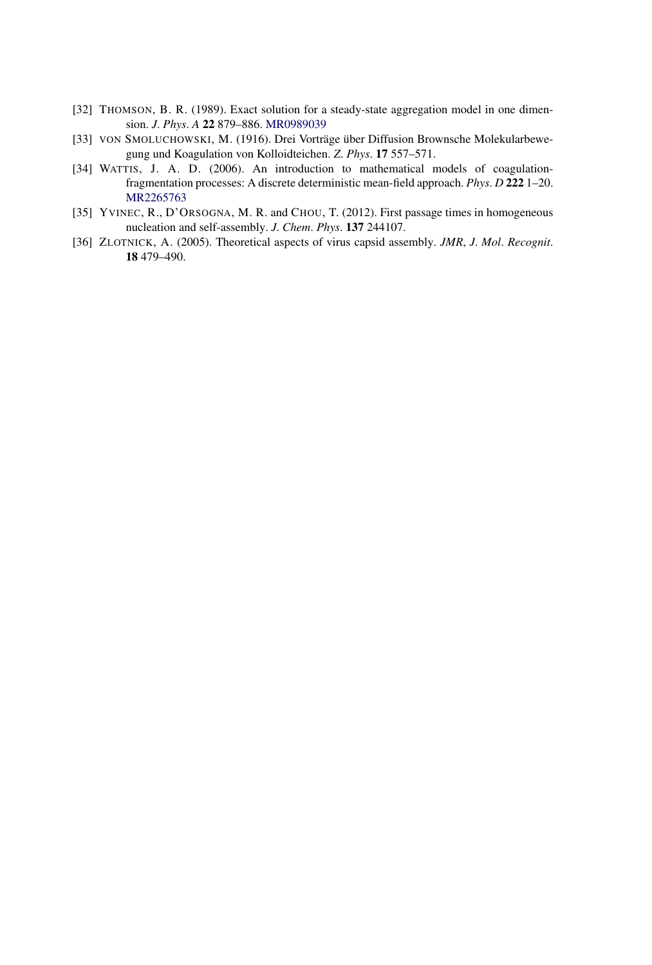- [32] THOMSON, B. R. (1989). Exact solution for a steady-state aggregation model in one dimension. *J*. *Phys*. *A* **22** 879–886. [MR0989039](http://www.ams.org/mathscinet-getitem?mr=0989039)
- [33] VON SMOLUCHOWSKI, M. (1916). Drei Vorträge über Diffusion Brownsche Molekularbewegung und Koagulation von Kolloidteichen. *Z*. *Phys*. **17** 557–571.
- [34] WATTIS, J. A. D. (2006). An introduction to mathematical models of coagulationfragmentation processes: A discrete deterministic mean-field approach. *Phys*. *D* **222** 1–20. [MR2265763](http://www.ams.org/mathscinet-getitem?mr=2265763)
- [35] YVINEC, R., D'ORSOGNA, M. R. and CHOU, T. (2012). First passage times in homogeneous nucleation and self-assembly. *J*. *Chem*. *Phys*. **137** 244107.
- [36] ZLOTNICK, A. (2005). Theoretical aspects of virus capsid assembly. *JMR*, *J*. *Mol*. *Recognit*. **18** 479–490.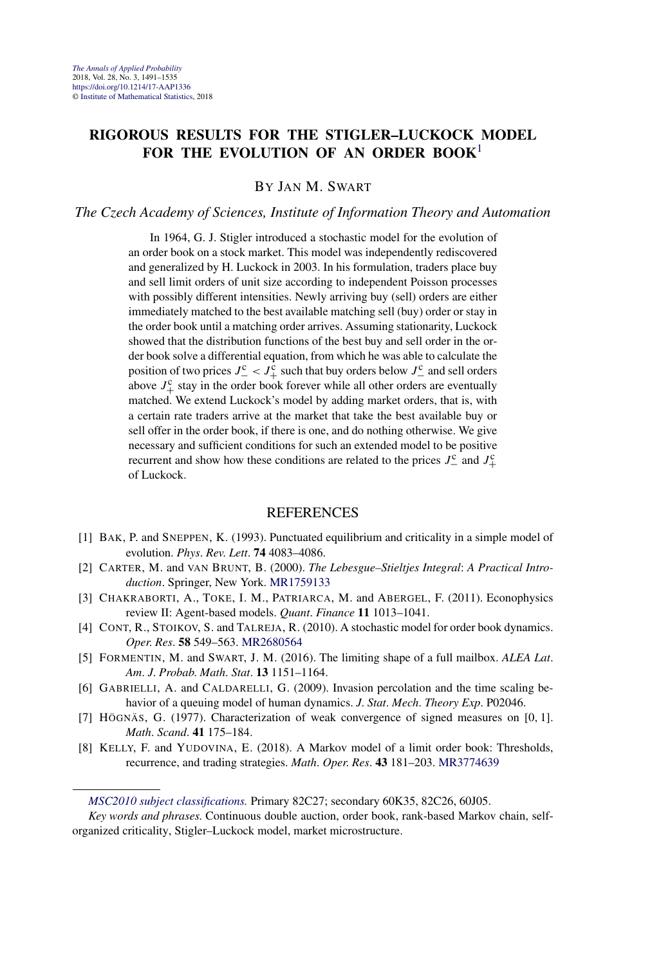#### **RIGOROUS RESULTS FOR THE STIGLER–LUCKOCK MODEL FOR THE EVOLUTION OF AN ORDER BOOK**<sup>1</sup>

BY JAN M. SWART

#### *The Czech Academy of Sciences, Institute of Information Theory and Automation*

In 1964, G. J. Stigler introduced a stochastic model for the evolution of an order book on a stock market. This model was independently rediscovered and generalized by H. Luckock in 2003. In his formulation, traders place buy and sell limit orders of unit size according to independent Poisson processes with possibly different intensities. Newly arriving buy (sell) orders are either immediately matched to the best available matching sell (buy) order or stay in the order book until a matching order arrives. Assuming stationarity, Luckock showed that the distribution functions of the best buy and sell order in the order book solve a differential equation, from which he was able to calculate the position of two prices  $J_-^c < J_+^{\tilde{c}}$  such that buy orders below  $J_-^c$  and sell orders above  $J_{+}^{\rm c}$  stay in the order book forever while all other orders are eventually matched. We extend Luckock's model by adding market orders, that is, with a certain rate traders arrive at the market that take the best available buy or sell offer in the order book, if there is one, and do nothing otherwise. We give necessary and sufficient conditions for such an extended model to be positive recurrent and show how these conditions are related to the prices  $J_-^c$  and  $J_+^c$ of Luckock.

- [1] BAK, P. and SNEPPEN, K. (1993). Punctuated equilibrium and criticality in a simple model of evolution. *Phys*. *Rev*. *Lett*. **74** 4083–4086.
- [2] CARTER, M. and VAN BRUNT, B. (2000). *The Lebesgue–Stieltjes Integral*: *A Practical Introduction*. Springer, New York. [MR1759133](http://www.ams.org/mathscinet-getitem?mr=1759133)
- [3] CHAKRABORTI, A., TOKE, I. M., PATRIARCA, M. and ABERGEL, F. (2011). Econophysics review II: Agent-based models. *Quant*. *Finance* **11** 1013–1041.
- [4] CONT, R., STOIKOV, S. and TALREJA, R. (2010). A stochastic model for order book dynamics. *Oper*. *Res*. **58** 549–563. [MR2680564](http://www.ams.org/mathscinet-getitem?mr=2680564)
- [5] FORMENTIN, M. and SWART, J. M. (2016). The limiting shape of a full mailbox. *ALEA Lat*. *Am*. *J*. *Probab*. *Math*. *Stat*. **13** 1151–1164.
- [6] GABRIELLI, A. and CALDARELLI, G. (2009). Invasion percolation and the time scaling behavior of a queuing model of human dynamics. *J*. *Stat*. *Mech*. *Theory Exp*. P02046.
- [7] HÖGNÄS, G. (1977). Characterization of weak convergence of signed measures on [0*,* 1]. *Math*. *Scand*. **41** 175–184.
- [8] KELLY, F. and YUDOVINA, E. (2018). A Markov model of a limit order book: Thresholds, recurrence, and trading strategies. *Math*. *Oper*. *Res*. **43** 181–203. [MR3774639](http://www.ams.org/mathscinet-getitem?mr=3774639)

*[MSC2010 subject classifications.](http://www.ams.org/mathscinet/msc/msc2010.html)* Primary 82C27; secondary 60K35, 82C26, 60J05.

*Key words and phrases.* Continuous double auction, order book, rank-based Markov chain, selforganized criticality, Stigler–Luckock model, market microstructure.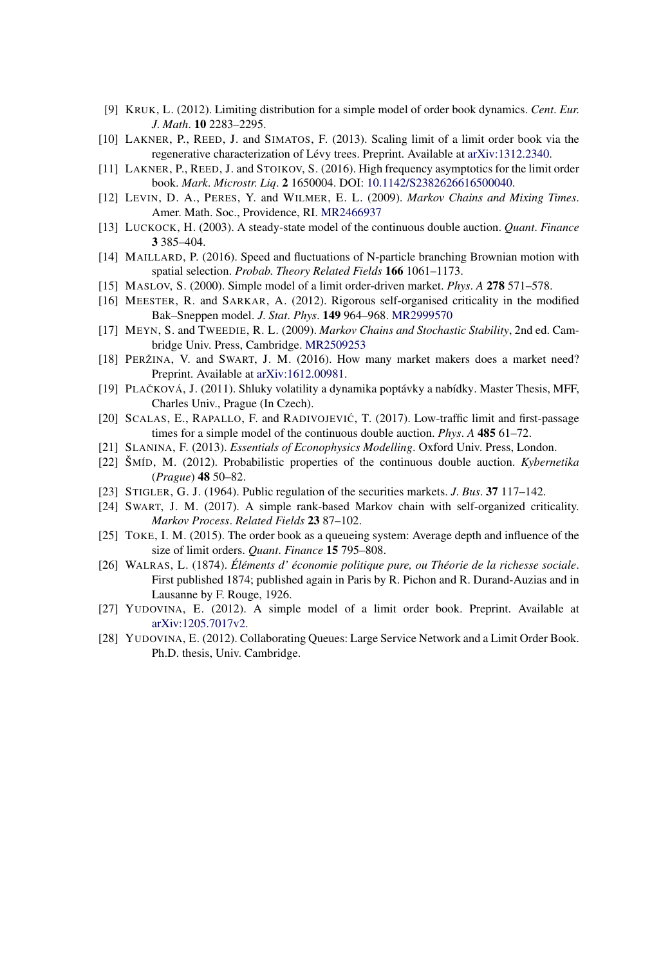- [9] KRUK, L. (2012). Limiting distribution for a simple model of order book dynamics. *Cent*. *Eur*. *J*. *Math*. **10** 2283–2295.
- [10] LAKNER, P., REED, J. and SIMATOS, F. (2013). Scaling limit of a limit order book via the regenerative characterization of Lévy trees. Preprint. Available at [arXiv:1312.2340.](http://arxiv.org/abs/arXiv:1312.2340)
- [11] LAKNER, P., REED, J. and STOIKOV, S. (2016). High frequency asymptotics for the limit order book. *Mark*. *Microstr*. *Liq*. **2** 1650004. DOI: [10.1142/S2382626616500040](https://doi.org/10.1142/S2382626616500040).
- [12] LEVIN, D. A., PERES, Y. and WILMER, E. L. (2009). *Markov Chains and Mixing Times*. Amer. Math. Soc., Providence, RI. [MR2466937](http://www.ams.org/mathscinet-getitem?mr=2466937)
- [13] LUCKOCK, H. (2003). A steady-state model of the continuous double auction. *Quant*. *Finance* **3** 385–404.
- [14] MAILLARD, P. (2016). Speed and fluctuations of N-particle branching Brownian motion with spatial selection. *Probab*. *Theory Related Fields* **166** 1061–1173.
- [15] MASLOV, S. (2000). Simple model of a limit order-driven market. *Phys*. *A* **278** 571–578.
- [16] MEESTER, R. and SARKAR, A. (2012). Rigorous self-organised criticality in the modified Bak–Sneppen model. *J*. *Stat*. *Phys*. **149** 964–968. [MR2999570](http://www.ams.org/mathscinet-getitem?mr=2999570)
- [17] MEYN, S. and TWEEDIE, R. L. (2009). *Markov Chains and Stochastic Stability*, 2nd ed. Cambridge Univ. Press, Cambridge. [MR2509253](http://www.ams.org/mathscinet-getitem?mr=2509253)
- [18] PERŽINA, V. and SWART, J. M. (2016). How many market makers does a market need? Preprint. Available at [arXiv:1612.00981.](http://arxiv.org/abs/arXiv:1612.00981)
- [19] PLAČKOVÁ, J. (2011). Shluky volatility a dynamika poptávky a nabídky. Master Thesis, MFF, Charles Univ., Prague (In Czech).
- [20] SCALAS, E., RAPALLO, F. and RADIVOJEVIĆ, T. (2017). Low-traffic limit and first-passage times for a simple model of the continuous double auction. *Phys*. *A* **485** 61–72.
- [21] SLANINA, F. (2013). *Essentials of Econophysics Modelling*. Oxford Univ. Press, London.
- [22] ŠMÍD, M. (2012). Probabilistic properties of the continuous double auction. *Kybernetika* (*Prague*) **48** 50–82.
- [23] STIGLER, G. J. (1964). Public regulation of the securities markets. *J*. *Bus*. **37** 117–142.
- [24] SWART, J. M. (2017). A simple rank-based Markov chain with self-organized criticality. *Markov Process*. *Related Fields* **23** 87–102.
- [25] TOKE, I. M. (2015). The order book as a queueing system: Average depth and influence of the size of limit orders. *Quant*. *Finance* **15** 795–808.
- [26] WALRAS, L. (1874). *Éléments d' économie politique pure, ou Théorie de la richesse sociale*. First published 1874; published again in Paris by R. Pichon and R. Durand-Auzias and in Lausanne by F. Rouge, 1926.
- [27] YUDOVINA, E. (2012). A simple model of a limit order book. Preprint. Available at [arXiv:1205.7017v2.](http://arxiv.org/abs/arXiv:1205.7017v2)
- [28] YUDOVINA, E. (2012). Collaborating Queues: Large Service Network and a Limit Order Book. Ph.D. thesis, Univ. Cambridge.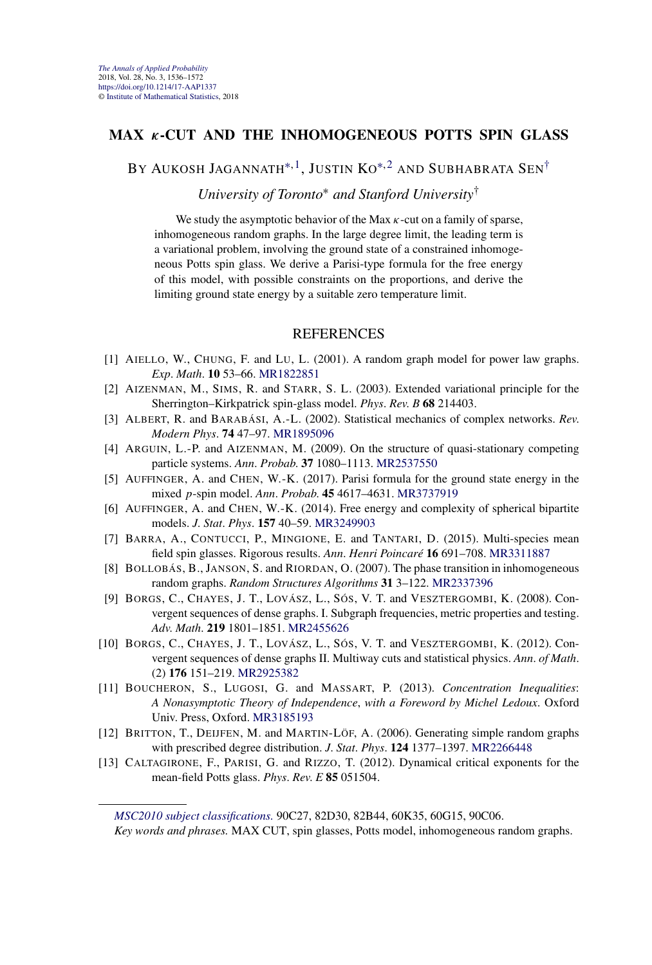#### **MAX** *κ***-CUT AND THE INHOMOGENEOUS POTTS SPIN GLASS**

BY AUKOSH JAGANNATH<sup>\*, 1</sup>, JUSTIN KO<sup>\*, 2</sup> AND SUBHABRATA SEN<sup>†</sup>

*University of Toronto*<sup>∗</sup> *and Stanford University*†

We study the asymptotic behavior of the Max *κ*-cut on a family of sparse, inhomogeneous random graphs. In the large degree limit, the leading term is a variational problem, involving the ground state of a constrained inhomogeneous Potts spin glass. We derive a Parisi-type formula for the free energy of this model, with possible constraints on the proportions, and derive the limiting ground state energy by a suitable zero temperature limit.

#### REFERENCES

- [1] AIELLO, W., CHUNG, F. and LU, L. (2001). A random graph model for power law graphs. *Exp*. *Math*. **10** 53–66. [MR1822851](http://www.ams.org/mathscinet-getitem?mr=1822851)
- [2] AIZENMAN, M., SIMS, R. and STARR, S. L. (2003). Extended variational principle for the Sherrington–Kirkpatrick spin-glass model. *Phys*. *Rev*. *B* **68** 214403.
- [3] ALBERT, R. and BARABÁSI, A.-L. (2002). Statistical mechanics of complex networks. *Rev*. *Modern Phys*. **74** 47–97. [MR1895096](http://www.ams.org/mathscinet-getitem?mr=1895096)
- [4] ARGUIN, L.-P. and AIZENMAN, M. (2009). On the structure of quasi-stationary competing particle systems. *Ann*. *Probab*. **37** 1080–1113. [MR2537550](http://www.ams.org/mathscinet-getitem?mr=2537550)
- [5] AUFFINGER, A. and CHEN, W.-K. (2017). Parisi formula for the ground state energy in the mixed *p*-spin model. *Ann*. *Probab*. **45** 4617–4631. [MR3737919](http://www.ams.org/mathscinet-getitem?mr=3737919)
- [6] AUFFINGER, A. and CHEN, W.-K. (2014). Free energy and complexity of spherical bipartite models. *J*. *Stat*. *Phys*. **157** 40–59. [MR3249903](http://www.ams.org/mathscinet-getitem?mr=3249903)
- [7] BARRA, A., CONTUCCI, P., MINGIONE, E. and TANTARI, D. (2015). Multi-species mean field spin glasses. Rigorous results. *Ann*. *Henri Poincaré* **16** 691–708. [MR3311887](http://www.ams.org/mathscinet-getitem?mr=3311887)
- [8] BOLLOBÁS, B., JANSON, S. and RIORDAN, O. (2007). The phase transition in inhomogeneous random graphs. *Random Structures Algorithms* **31** 3–122. [MR2337396](http://www.ams.org/mathscinet-getitem?mr=2337396)
- [9] BORGS, C., CHAYES, J. T., LOVÁSZ, L., SÓS, V. T. and VESZTERGOMBI, K. (2008). Convergent sequences of dense graphs. I. Subgraph frequencies, metric properties and testing. *Adv*. *Math*. **219** 1801–1851. [MR2455626](http://www.ams.org/mathscinet-getitem?mr=2455626)
- [10] BORGS, C., CHAYES, J. T., LOVÁSZ, L., SÓS, V. T. and VESZTERGOMBI, K. (2012). Convergent sequences of dense graphs II. Multiway cuts and statistical physics. *Ann*. *of Math*. (2) **176** 151–219. [MR2925382](http://www.ams.org/mathscinet-getitem?mr=2925382)
- [11] BOUCHERON, S., LUGOSI, G. and MASSART, P. (2013). *Concentration Inequalities*: *A Nonasymptotic Theory of Independence*, *with a Foreword by Michel Ledoux*. Oxford Univ. Press, Oxford. [MR3185193](http://www.ams.org/mathscinet-getitem?mr=3185193)
- [12] BRITTON, T., DEIJFEN, M. and MARTIN-LÖF, A. (2006). Generating simple random graphs with prescribed degree distribution. *J*. *Stat*. *Phys*. **124** 1377–1397. [MR2266448](http://www.ams.org/mathscinet-getitem?mr=2266448)
- [13] CALTAGIRONE, F., PARISI, G. and RIZZO, T. (2012). Dynamical critical exponents for the mean-field Potts glass. *Phys*. *Rev*. *E* **85** 051504.

*[MSC2010 subject classifications.](http://www.ams.org/mathscinet/msc/msc2010.html)* 90C27, 82D30, 82B44, 60K35, 60G15, 90C06.

*Key words and phrases.* MAX CUT, spin glasses, Potts model, inhomogeneous random graphs.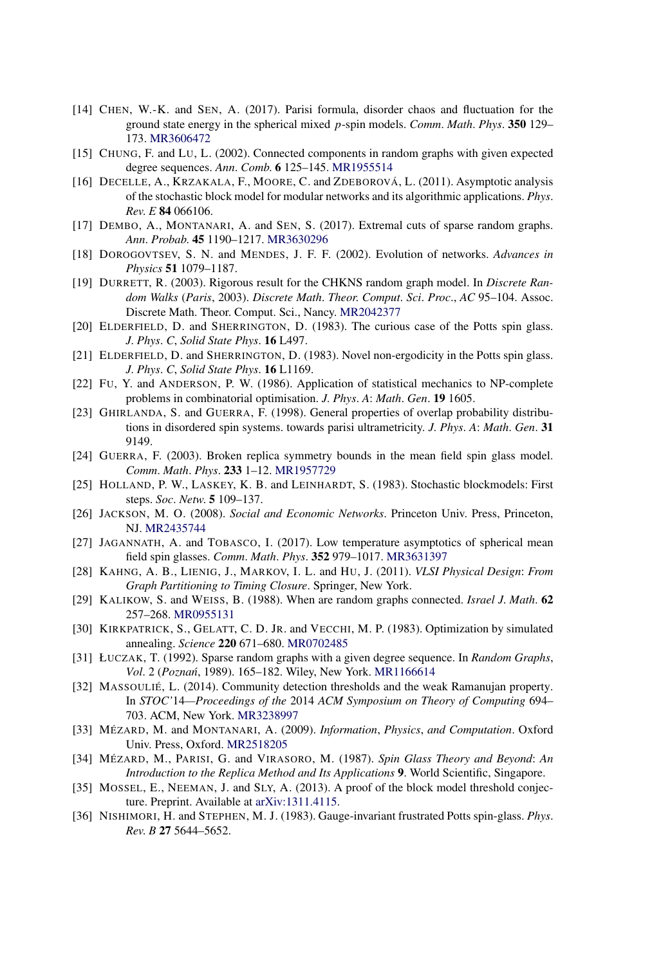- [14] CHEN, W.-K. and SEN, A. (2017). Parisi formula, disorder chaos and fluctuation for the ground state energy in the spherical mixed *p*-spin models. *Comm*. *Math*. *Phys*. **350** 129– 173. [MR3606472](http://www.ams.org/mathscinet-getitem?mr=3606472)
- [15] CHUNG, F. and LU, L. (2002). Connected components in random graphs with given expected degree sequences. *Ann*. *Comb*. **6** 125–145. [MR1955514](http://www.ams.org/mathscinet-getitem?mr=1955514)
- [16] DECELLE, A., KRZAKALA, F., MOORE, C. and ZDEBOROVÁ, L. (2011). Asymptotic analysis of the stochastic block model for modular networks and its algorithmic applications. *Phys*. *Rev*. *E* **84** 066106.
- [17] DEMBO, A., MONTANARI, A. and SEN, S. (2017). Extremal cuts of sparse random graphs. *Ann*. *Probab*. **45** 1190–1217. [MR3630296](http://www.ams.org/mathscinet-getitem?mr=3630296)
- [18] DOROGOVTSEV, S. N. and MENDES, J. F. F. (2002). Evolution of networks. *Advances in Physics* **51** 1079–1187.
- [19] DURRETT, R. (2003). Rigorous result for the CHKNS random graph model. In *Discrete Random Walks* (*Paris*, 2003). *Discrete Math*. *Theor*. *Comput*. *Sci*. *Proc*., *AC* 95–104. Assoc. Discrete Math. Theor. Comput. Sci., Nancy. [MR2042377](http://www.ams.org/mathscinet-getitem?mr=2042377)
- [20] ELDERFIELD, D. and SHERRINGTON, D. (1983). The curious case of the Potts spin glass. *J*. *Phys*. *C*, *Solid State Phys*. **16** L497.
- [21] ELDERFIELD, D. and SHERRINGTON, D. (1983). Novel non-ergodicity in the Potts spin glass. *J*. *Phys*. *C*, *Solid State Phys*. **16** L1169.
- [22] FU, Y. and ANDERSON, P. W. (1986). Application of statistical mechanics to NP-complete problems in combinatorial optimisation. *J*. *Phys*. *A*: *Math*. *Gen*. **19** 1605.
- [23] GHIRLANDA, S. and GUERRA, F. (1998). General properties of overlap probability distributions in disordered spin systems. towards parisi ultrametricity. *J*. *Phys*. *A*: *Math*. *Gen*. **31** 9149.
- [24] GUERRA, F. (2003). Broken replica symmetry bounds in the mean field spin glass model. *Comm*. *Math*. *Phys*. **233** 1–12. [MR1957729](http://www.ams.org/mathscinet-getitem?mr=1957729)
- [25] HOLLAND, P. W., LASKEY, K. B. and LEINHARDT, S. (1983). Stochastic blockmodels: First steps. *Soc*. *Netw*. **5** 109–137.
- [26] JACKSON, M. O. (2008). *Social and Economic Networks*. Princeton Univ. Press, Princeton, NJ. [MR2435744](http://www.ams.org/mathscinet-getitem?mr=2435744)
- [27] JAGANNATH, A. and TOBASCO, I. (2017). Low temperature asymptotics of spherical mean field spin glasses. *Comm*. *Math*. *Phys*. **352** 979–1017. [MR3631397](http://www.ams.org/mathscinet-getitem?mr=3631397)
- [28] KAHNG, A. B., LIENIG, J., MARKOV, I. L. and HU, J. (2011). *VLSI Physical Design*: *From Graph Partitioning to Timing Closure*. Springer, New York.
- [29] KALIKOW, S. and WEISS, B. (1988). When are random graphs connected. *Israel J*. *Math*. **62** 257–268. [MR0955131](http://www.ams.org/mathscinet-getitem?mr=0955131)
- [30] KIRKPATRICK, S., GELATT, C. D. JR. and VECCHI, M. P. (1983). Optimization by simulated annealing. *Science* **220** 671–680. [MR0702485](http://www.ams.org/mathscinet-getitem?mr=0702485)
- [31] ŁUCZAK, T. (1992). Sparse random graphs with a given degree sequence. In *Random Graphs*, *Vol*.2(*Pozna´n*, 1989). 165–182. Wiley, New York. [MR1166614](http://www.ams.org/mathscinet-getitem?mr=1166614)
- [32] MASSOULIÉ, L. (2014). Community detection thresholds and the weak Ramanujan property. In *STOC'*14*—Proceedings of the* 2014 *ACM Symposium on Theory of Computing* 694– 703. ACM, New York. [MR3238997](http://www.ams.org/mathscinet-getitem?mr=3238997)
- [33] MÉZARD, M. and MONTANARI, A. (2009). *Information*, *Physics*, *and Computation*. Oxford Univ. Press, Oxford. [MR2518205](http://www.ams.org/mathscinet-getitem?mr=2518205)
- [34] MÉZARD, M., PARISI, G. and VIRASORO, M. (1987). *Spin Glass Theory and Beyond*: *An Introduction to the Replica Method and Its Applications* **9**. World Scientific, Singapore.
- [35] MOSSEL, E., NEEMAN, J. and SLY, A. (2013). A proof of the block model threshold conjecture. Preprint. Available at [arXiv:1311.4115](http://arxiv.org/abs/arXiv:1311.4115).
- [36] NISHIMORI, H. and STEPHEN, M. J. (1983). Gauge-invariant frustrated Potts spin-glass. *Phys*. *Rev*. *B* **27** 5644–5652.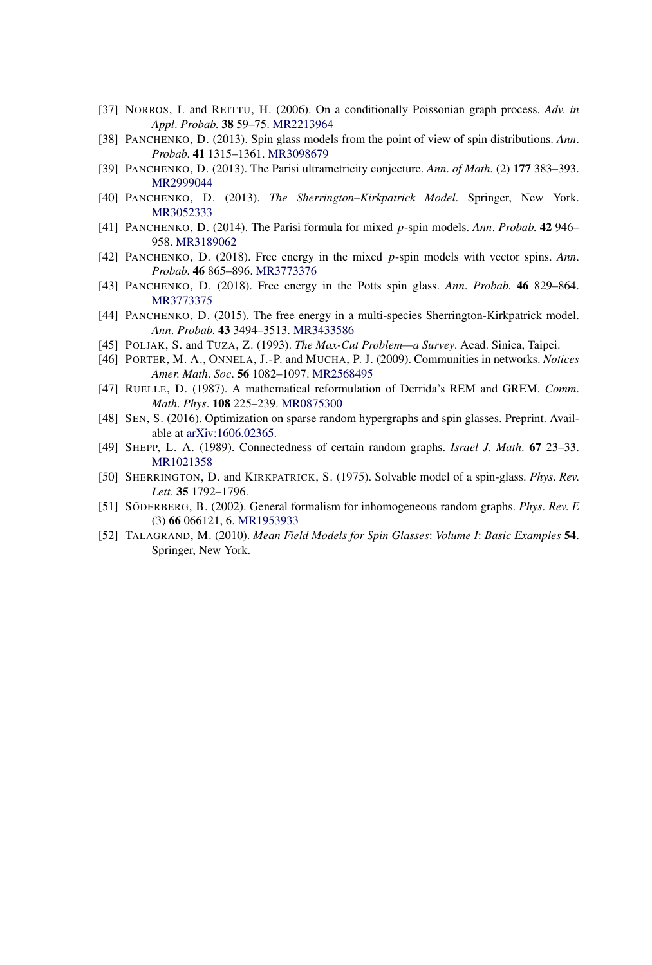- [37] NORROS, I. and REITTU, H. (2006). On a conditionally Poissonian graph process. *Adv*. *in Appl*. *Probab*. **38** 59–75. [MR2213964](http://www.ams.org/mathscinet-getitem?mr=2213964)
- [38] PANCHENKO, D. (2013). Spin glass models from the point of view of spin distributions. *Ann*. *Probab*. **41** 1315–1361. [MR3098679](http://www.ams.org/mathscinet-getitem?mr=3098679)
- [39] PANCHENKO, D. (2013). The Parisi ultrametricity conjecture. *Ann*. *of Math*. (2) **177** 383–393. [MR2999044](http://www.ams.org/mathscinet-getitem?mr=2999044)
- [40] PANCHENKO, D. (2013). *The Sherrington–Kirkpatrick Model*. Springer, New York. [MR3052333](http://www.ams.org/mathscinet-getitem?mr=3052333)
- [41] PANCHENKO, D. (2014). The Parisi formula for mixed *p*-spin models. *Ann*. *Probab*. **42** 946– 958. [MR3189062](http://www.ams.org/mathscinet-getitem?mr=3189062)
- [42] PANCHENKO, D. (2018). Free energy in the mixed *p*-spin models with vector spins. *Ann*. *Probab*. **46** 865–896. [MR3773376](http://www.ams.org/mathscinet-getitem?mr=3773376)
- [43] PANCHENKO, D. (2018). Free energy in the Potts spin glass. *Ann*. *Probab*. **46** 829–864. [MR3773375](http://www.ams.org/mathscinet-getitem?mr=3773375)
- [44] PANCHENKO, D. (2015). The free energy in a multi-species Sherrington-Kirkpatrick model. *Ann*. *Probab*. **43** 3494–3513. [MR3433586](http://www.ams.org/mathscinet-getitem?mr=3433586)
- [45] POLJAK, S. and TUZA, Z. (1993). *The Max-Cut Problem—a Survey*. Acad. Sinica, Taipei.
- [46] PORTER, M. A., ONNELA, J.-P. and MUCHA, P. J. (2009). Communities in networks. *Notices Amer*. *Math*. *Soc*. **56** 1082–1097. [MR2568495](http://www.ams.org/mathscinet-getitem?mr=2568495)
- [47] RUELLE, D. (1987). A mathematical reformulation of Derrida's REM and GREM. *Comm*. *Math*. *Phys*. **108** 225–239. [MR0875300](http://www.ams.org/mathscinet-getitem?mr=0875300)
- [48] SEN, S. (2016). Optimization on sparse random hypergraphs and spin glasses. Preprint. Available at [arXiv:1606.02365](http://arxiv.org/abs/arXiv:1606.02365).
- [49] SHEPP, L. A. (1989). Connectedness of certain random graphs. *Israel J*. *Math*. **67** 23–33. [MR1021358](http://www.ams.org/mathscinet-getitem?mr=1021358)
- [50] SHERRINGTON, D. and KIRKPATRICK, S. (1975). Solvable model of a spin-glass. *Phys*. *Rev*. *Lett*. **35** 1792–1796.
- [51] SÖDERBERG, B. (2002). General formalism for inhomogeneous random graphs. *Phys*. *Rev*. *E* (3) **66** 066121, 6. [MR1953933](http://www.ams.org/mathscinet-getitem?mr=1953933)
- [52] TALAGRAND, M. (2010). *Mean Field Models for Spin Glasses*: *Volume I*: *Basic Examples* **54**. Springer, New York.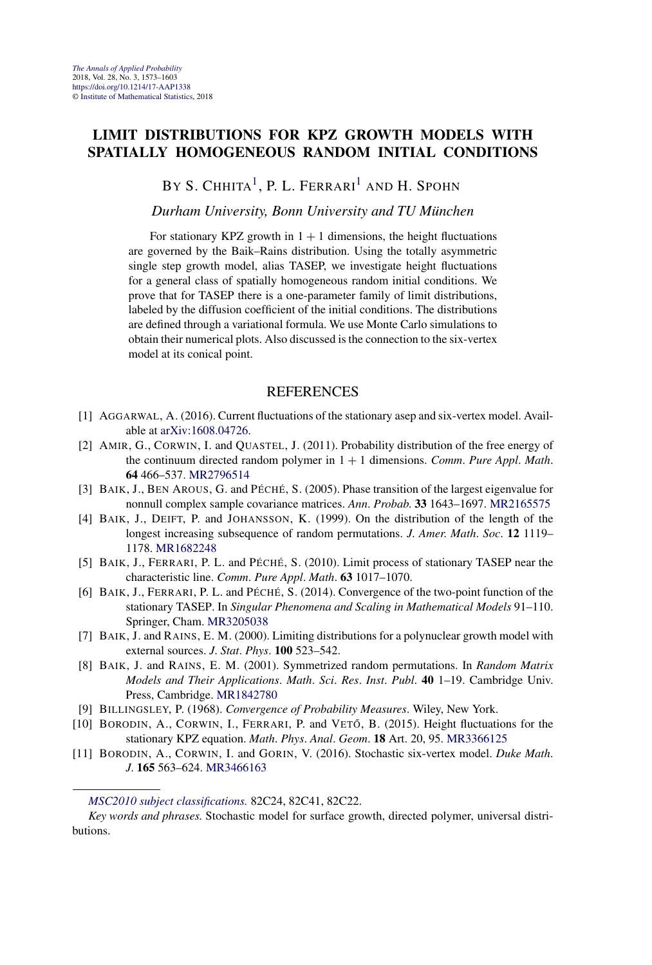#### **LIMIT DISTRIBUTIONS FOR KPZ GROWTH MODELS WITH SPATIALLY HOMOGENEOUS RANDOM INITIAL CONDITIONS**

BY S. CHHITA<sup>1</sup>, P. L. FERRARI<sup>1</sup> AND H. SPOHN

*Durham University, Bonn University and TU München*

For stationary KPZ growth in  $1 + 1$  dimensions, the height fluctuations are governed by the Baik–Rains distribution. Using the totally asymmetric single step growth model, alias TASEP, we investigate height fluctuations for a general class of spatially homogeneous random initial conditions. We prove that for TASEP there is a one-parameter family of limit distributions, labeled by the diffusion coefficient of the initial conditions. The distributions are defined through a variational formula. We use Monte Carlo simulations to obtain their numerical plots. Also discussed is the connection to the six-vertex model at its conical point.

- [1] AGGARWAL, A. (2016). Current fluctuations of the stationary asep and six-vertex model. Available at [arXiv:1608.04726](http://arxiv.org/abs/arXiv:1608.04726).
- [2] AMIR, G., CORWIN, I. and QUASTEL, J. (2011). Probability distribution of the free energy of the continuum directed random polymer in 1 + 1 dimensions. *Comm*. *Pure Appl*. *Math*. **64** 466–537. [MR2796514](http://www.ams.org/mathscinet-getitem?mr=2796514)
- [3] BAIK, J., BEN AROUS, G. and PÉCHÉ, S. (2005). Phase transition of the largest eigenvalue for nonnull complex sample covariance matrices. *Ann*. *Probab*. **33** 1643–1697. [MR2165575](http://www.ams.org/mathscinet-getitem?mr=2165575)
- [4] BAIK, J., DEIFT, P. and JOHANSSON, K. (1999). On the distribution of the length of the longest increasing subsequence of random permutations. *J*. *Amer*. *Math*. *Soc*. **12** 1119– 1178. [MR1682248](http://www.ams.org/mathscinet-getitem?mr=1682248)
- [5] BAIK, J., FERRARI, P. L. and PÉCHÉ, S. (2010). Limit process of stationary TASEP near the characteristic line. *Comm*. *Pure Appl*. *Math*. **63** 1017–1070.
- [6] BAIK, J., FERRARI, P. L. and PÉCHÉ, S. (2014). Convergence of the two-point function of the stationary TASEP. In *Singular Phenomena and Scaling in Mathematical Models* 91–110. Springer, Cham. [MR3205038](http://www.ams.org/mathscinet-getitem?mr=3205038)
- [7] BAIK, J. and RAINS, E. M. (2000). Limiting distributions for a polynuclear growth model with external sources. *J*. *Stat*. *Phys*. **100** 523–542.
- [8] BAIK, J. and RAINS, E. M. (2001). Symmetrized random permutations. In *Random Matrix Models and Their Applications*. *Math*. *Sci*. *Res*. *Inst*. *Publ*. **40** 1–19. Cambridge Univ. Press, Cambridge. [MR1842780](http://www.ams.org/mathscinet-getitem?mr=1842780)
- [9] BILLINGSLEY, P. (1968). *Convergence of Probability Measures*. Wiley, New York.
- [10] BORODIN, A., CORWIN, I., FERRARI, P. and VETŐ, B. (2015). Height fluctuations for the stationary KPZ equation. *Math*. *Phys*. *Anal*. *Geom*. **18** Art. 20, 95. [MR3366125](http://www.ams.org/mathscinet-getitem?mr=3366125)
- [11] BORODIN, A., CORWIN, I. and GORIN, V. (2016). Stochastic six-vertex model. *Duke Math*. *J*. **165** 563–624. [MR3466163](http://www.ams.org/mathscinet-getitem?mr=3466163)

*[MSC2010 subject classifications.](http://www.ams.org/mathscinet/msc/msc2010.html)* 82C24, 82C41, 82C22.

*Key words and phrases.* Stochastic model for surface growth, directed polymer, universal distributions.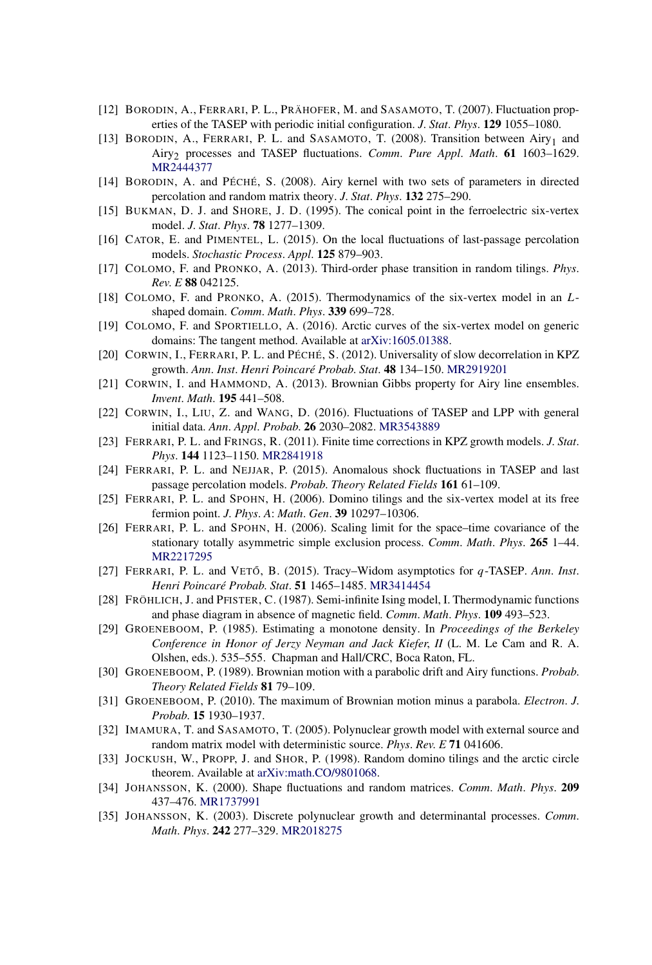- [12] BORODIN, A., FERRARI, P. L., PRÄHOFER, M. and SASAMOTO, T. (2007). Fluctuation properties of the TASEP with periodic initial configuration. *J*. *Stat*. *Phys*. **129** 1055–1080.
- [13] BORODIN, A., FERRARI, P. L. and SASAMOTO, T. (2008). Transition between Airy<sub>1</sub> and Airy2 processes and TASEP fluctuations. *Comm*. *Pure Appl*. *Math*. **61** 1603–1629. [MR2444377](http://www.ams.org/mathscinet-getitem?mr=2444377)
- [14] BORODIN, A. and PÉCHÉ, S. (2008). Airy kernel with two sets of parameters in directed percolation and random matrix theory. *J*. *Stat*. *Phys*. **132** 275–290.
- [15] BUKMAN, D. J. and SHORE, J. D. (1995). The conical point in the ferroelectric six-vertex model. *J*. *Stat*. *Phys*. **78** 1277–1309.
- [16] CATOR, E. and PIMENTEL, L. (2015). On the local fluctuations of last-passage percolation models. *Stochastic Process*. *Appl*. **125** 879–903.
- [17] COLOMO, F. and PRONKO, A. (2013). Third-order phase transition in random tilings. *Phys*. *Rev*. *E* **88** 042125.
- [18] COLOMO, F. and PRONKO, A. (2015). Thermodynamics of the six-vertex model in an *L*shaped domain. *Comm*. *Math*. *Phys*. **339** 699–728.
- [19] COLOMO, F. and SPORTIELLO, A. (2016). Arctic curves of the six-vertex model on generic domains: The tangent method. Available at [arXiv:1605.01388.](http://arxiv.org/abs/arXiv:1605.01388)
- [20] CORWIN, I., FERRARI, P. L. and PÉCHÉ, S. (2012). Universality of slow decorrelation in KPZ growth. *Ann*. *Inst*. *Henri Poincaré Probab*. *Stat*. **48** 134–150. [MR2919201](http://www.ams.org/mathscinet-getitem?mr=2919201)
- [21] CORWIN, I. and HAMMOND, A. (2013). Brownian Gibbs property for Airy line ensembles. *Invent*. *Math*. **195** 441–508.
- [22] CORWIN, I., LIU, Z. and WANG, D. (2016). Fluctuations of TASEP and LPP with general initial data. *Ann*. *Appl*. *Probab*. **26** 2030–2082. [MR3543889](http://www.ams.org/mathscinet-getitem?mr=3543889)
- [23] FERRARI, P. L. and FRINGS, R. (2011). Finite time corrections in KPZ growth models. *J*. *Stat*. *Phys*. **144** 1123–1150. [MR2841918](http://www.ams.org/mathscinet-getitem?mr=2841918)
- [24] FERRARI, P. L. and NEJJAR, P. (2015). Anomalous shock fluctuations in TASEP and last passage percolation models. *Probab*. *Theory Related Fields* **161** 61–109.
- [25] FERRARI, P. L. and SPOHN, H. (2006). Domino tilings and the six-vertex model at its free fermion point. *J*. *Phys*. *A*: *Math*. *Gen*. **39** 10297–10306.
- [26] FERRARI, P. L. and SPOHN, H. (2006). Scaling limit for the space–time covariance of the stationary totally asymmetric simple exclusion process. *Comm*. *Math*. *Phys*. **265** 1–44. [MR2217295](http://www.ams.org/mathscinet-getitem?mr=2217295)
- [27] FERRARI, P. L. and VETO˝ , B. (2015). Tracy–Widom asymptotics for *q*-TASEP. *Ann*. *Inst*. *Henri Poincaré Probab*. *Stat*. **51** 1465–1485. [MR3414454](http://www.ams.org/mathscinet-getitem?mr=3414454)
- [28] FRÖHLICH, J. and PFISTER, C. (1987). Semi-infinite Ising model, I. Thermodynamic functions and phase diagram in absence of magnetic field. *Comm*. *Math*. *Phys*. **109** 493–523.
- [29] GROENEBOOM, P. (1985). Estimating a monotone density. In *Proceedings of the Berkeley Conference in Honor of Jerzy Neyman and Jack Kiefer*, *II* (L. M. Le Cam and R. A. Olshen, eds.). 535–555. Chapman and Hall/CRC, Boca Raton, FL.
- [30] GROENEBOOM, P. (1989). Brownian motion with a parabolic drift and Airy functions. *Probab*. *Theory Related Fields* **81** 79–109.
- [31] GROENEBOOM, P. (2010). The maximum of Brownian motion minus a parabola. *Electron*. *J*. *Probab*. **15** 1930–1937.
- [32] IMAMURA, T. and SASAMOTO, T. (2005). Polynuclear growth model with external source and random matrix model with deterministic source. *Phys*. *Rev*. *E* **71** 041606.
- [33] JOCKUSH, W., PROPP, J. and SHOR, P. (1998). Random domino tilings and the arctic circle theorem. Available at [arXiv:math.CO/9801068](http://arxiv.org/abs/arXiv:math.CO/9801068).
- [34] JOHANSSON, K. (2000). Shape fluctuations and random matrices. *Comm*. *Math*. *Phys*. **209** 437–476. [MR1737991](http://www.ams.org/mathscinet-getitem?mr=1737991)
- [35] JOHANSSON, K. (2003). Discrete polynuclear growth and determinantal processes. *Comm*. *Math*. *Phys*. **242** 277–329. [MR2018275](http://www.ams.org/mathscinet-getitem?mr=2018275)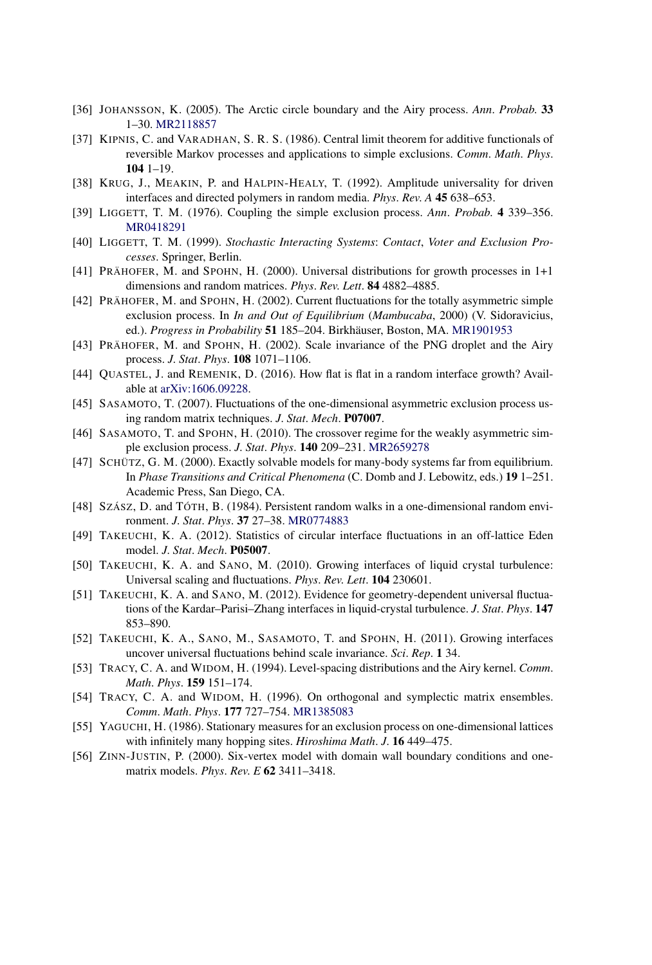- [36] JOHANSSON, K. (2005). The Arctic circle boundary and the Airy process. *Ann*. *Probab*. **33** 1–30. [MR2118857](http://www.ams.org/mathscinet-getitem?mr=2118857)
- [37] KIPNIS, C. and VARADHAN, S. R. S. (1986). Central limit theorem for additive functionals of reversible Markov processes and applications to simple exclusions. *Comm*. *Math*. *Phys*. **104** 1–19.
- [38] KRUG, J., MEAKIN, P. and HALPIN-HEALY, T. (1992). Amplitude universality for driven interfaces and directed polymers in random media. *Phys*. *Rev*. *A* **45** 638–653.
- [39] LIGGETT, T. M. (1976). Coupling the simple exclusion process. *Ann*. *Probab*. **4** 339–356. [MR0418291](http://www.ams.org/mathscinet-getitem?mr=0418291)
- [40] LIGGETT, T. M. (1999). *Stochastic Interacting Systems*: *Contact*, *Voter and Exclusion Processes*. Springer, Berlin.
- [41] PRÄHOFER, M. and SPOHN, H. (2000). Universal distributions for growth processes in 1+1 dimensions and random matrices. *Phys*. *Rev*. *Lett*. **84** 4882–4885.
- [42] PRÄHOFER, M. and SPOHN, H. (2002). Current fluctuations for the totally asymmetric simple exclusion process. In *In and Out of Equilibrium* (*Mambucaba*, 2000) (V. Sidoravicius, ed.). *Progress in Probability* **51** 185–204. Birkhäuser, Boston, MA. [MR1901953](http://www.ams.org/mathscinet-getitem?mr=1901953)
- [43] PRÄHOFER, M. and SPOHN, H. (2002). Scale invariance of the PNG droplet and the Airy process. *J*. *Stat*. *Phys*. **108** 1071–1106.
- [44] QUASTEL, J. and REMENIK, D. (2016). How flat is flat in a random interface growth? Available at [arXiv:1606.09228](http://arxiv.org/abs/arXiv:1606.09228).
- [45] SASAMOTO, T. (2007). Fluctuations of the one-dimensional asymmetric exclusion process using random matrix techniques. *J*. *Stat*. *Mech*. **P07007**.
- [46] SASAMOTO, T. and SPOHN, H. (2010). The crossover regime for the weakly asymmetric simple exclusion process. *J*. *Stat*. *Phys*. **140** 209–231. [MR2659278](http://www.ams.org/mathscinet-getitem?mr=2659278)
- [47] SCHÜTZ, G. M. (2000). Exactly solvable models for many-body systems far from equilibrium. In *Phase Transitions and Critical Phenomena* (C. Domb and J. Lebowitz, eds.) **19** 1–251. Academic Press, San Diego, CA.
- [48] SZÁSZ, D. and TÓTH, B. (1984). Persistent random walks in a one-dimensional random environment. *J*. *Stat*. *Phys*. **37** 27–38. [MR0774883](http://www.ams.org/mathscinet-getitem?mr=0774883)
- [49] TAKEUCHI, K. A. (2012). Statistics of circular interface fluctuations in an off-lattice Eden model. *J*. *Stat*. *Mech*. **P05007**.
- [50] TAKEUCHI, K. A. and SANO, M. (2010). Growing interfaces of liquid crystal turbulence: Universal scaling and fluctuations. *Phys*. *Rev*. *Lett*. **104** 230601.
- [51] TAKEUCHI, K. A. and SANO, M. (2012). Evidence for geometry-dependent universal fluctuations of the Kardar–Parisi–Zhang interfaces in liquid-crystal turbulence. *J*. *Stat*. *Phys*. **147** 853–890.
- [52] TAKEUCHI, K. A., SANO, M., SASAMOTO, T. and SPOHN, H. (2011). Growing interfaces uncover universal fluctuations behind scale invariance. *Sci*. *Rep*. **1** 34.
- [53] TRACY, C. A. and WIDOM, H. (1994). Level-spacing distributions and the Airy kernel. *Comm*. *Math*. *Phys*. **159** 151–174.
- [54] TRACY, C. A. and WIDOM, H. (1996). On orthogonal and symplectic matrix ensembles. *Comm*. *Math*. *Phys*. **177** 727–754. [MR1385083](http://www.ams.org/mathscinet-getitem?mr=1385083)
- [55] YAGUCHI, H. (1986). Stationary measures for an exclusion process on one-dimensional lattices with infinitely many hopping sites. *Hiroshima Math*. *J*. **16** 449–475.
- [56] ZINN-JUSTIN, P. (2000). Six-vertex model with domain wall boundary conditions and onematrix models. *Phys*. *Rev*. *E* **62** 3411–3418.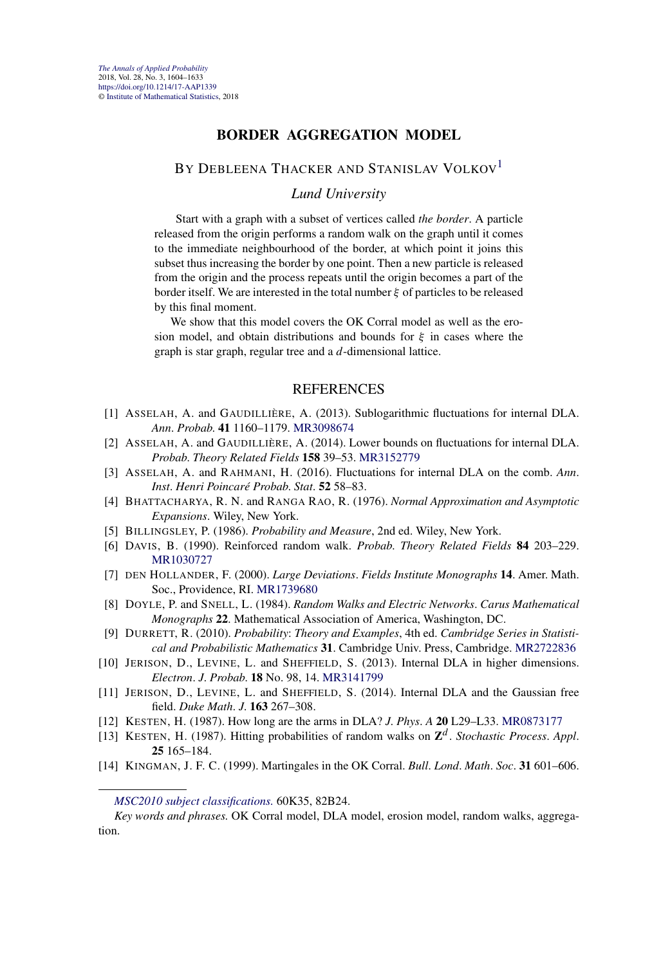#### **BORDER AGGREGATION MODEL**

#### BY DEBLEENA THACKER AND STANISLAV VOLKOV<sup>1</sup>

#### *Lund University*

Start with a graph with a subset of vertices called *the border*. A particle released from the origin performs a random walk on the graph until it comes to the immediate neighbourhood of the border, at which point it joins this subset thus increasing the border by one point. Then a new particle is released from the origin and the process repeats until the origin becomes a part of the border itself. We are interested in the total number *ξ* of particles to be released by this final moment.

We show that this model covers the OK Corral model as well as the erosion model, and obtain distributions and bounds for *ξ* in cases where the graph is star graph, regular tree and a *d*-dimensional lattice.

- [1] ASSELAH, A. and GAUDILLIÈRE, A. (2013). Sublogarithmic fluctuations for internal DLA. *Ann*. *Probab*. **41** 1160–1179. [MR3098674](http://www.ams.org/mathscinet-getitem?mr=3098674)
- [2] ASSELAH, A. and GAUDILLIÈRE, A. (2014). Lower bounds on fluctuations for internal DLA. *Probab*. *Theory Related Fields* **158** 39–53. [MR3152779](http://www.ams.org/mathscinet-getitem?mr=3152779)
- [3] ASSELAH, A. and RAHMANI, H. (2016). Fluctuations for internal DLA on the comb. *Ann*. *Inst*. *Henri Poincaré Probab*. *Stat*. **52** 58–83.
- [4] BHATTACHARYA, R. N. and RANGA RAO, R. (1976). *Normal Approximation and Asymptotic Expansions*. Wiley, New York.
- [5] BILLINGSLEY, P. (1986). *Probability and Measure*, 2nd ed. Wiley, New York.
- [6] DAVIS, B. (1990). Reinforced random walk. *Probab*. *Theory Related Fields* **84** 203–229. [MR1030727](http://www.ams.org/mathscinet-getitem?mr=1030727)
- [7] DEN HOLLANDER, F. (2000). *Large Deviations*. *Fields Institute Monographs* **14**. Amer. Math. Soc., Providence, RI. [MR1739680](http://www.ams.org/mathscinet-getitem?mr=1739680)
- [8] DOYLE, P. and SNELL, L. (1984). *Random Walks and Electric Networks*. *Carus Mathematical Monographs* **22**. Mathematical Association of America, Washington, DC.
- [9] DURRETT, R. (2010). *Probability*: *Theory and Examples*, 4th ed. *Cambridge Series in Statistical and Probabilistic Mathematics* **31**. Cambridge Univ. Press, Cambridge. [MR2722836](http://www.ams.org/mathscinet-getitem?mr=2722836)
- [10] JERISON, D., LEVINE, L. and SHEFFIELD, S. (2013). Internal DLA in higher dimensions. *Electron*. *J*. *Probab*. **18** No. 98, 14. [MR3141799](http://www.ams.org/mathscinet-getitem?mr=3141799)
- [11] JERISON, D., LEVINE, L. and SHEFFIELD, S. (2014). Internal DLA and the Gaussian free field. *Duke Math*. *J*. **163** 267–308.
- [12] KESTEN, H. (1987). How long are the arms in DLA? *J*. *Phys*. *A* **20** L29–L33. [MR0873177](http://www.ams.org/mathscinet-getitem?mr=0873177)
- [13] KESTEN, H. (1987). Hitting probabilities of random walks on **Z***<sup>d</sup>* . *Stochastic Process*. *Appl*. **25** 165–184.
- [14] KINGMAN, J. F. C. (1999). Martingales in the OK Corral. *Bull*. *Lond*. *Math*. *Soc*. **31** 601–606.

*[MSC2010 subject classifications.](http://www.ams.org/mathscinet/msc/msc2010.html)* 60K35, 82B24.

*Key words and phrases.* OK Corral model, DLA model, erosion model, random walks, aggregation.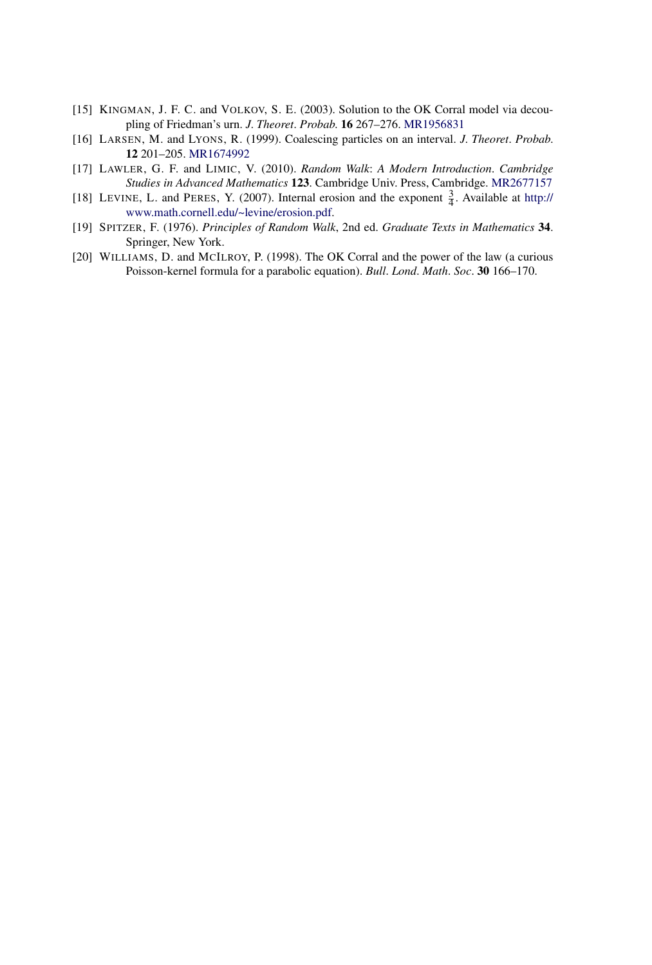- [15] KINGMAN, J. F. C. and VOLKOV, S. E. (2003). Solution to the OK Corral model via decoupling of Friedman's urn. *J*. *Theoret*. *Probab*. **16** 267–276. [MR1956831](http://www.ams.org/mathscinet-getitem?mr=1956831)
- [16] LARSEN, M. and LYONS, R. (1999). Coalescing particles on an interval. *J*. *Theoret*. *Probab*. **12** 201–205. [MR1674992](http://www.ams.org/mathscinet-getitem?mr=1674992)
- [17] LAWLER, G. F. and LIMIC, V. (2010). *Random Walk*: *A Modern Introduction*. *Cambridge Studies in Advanced Mathematics* **123**. Cambridge Univ. Press, Cambridge. [MR2677157](http://www.ams.org/mathscinet-getitem?mr=2677157)
- [18] LEVINE, L. and PERES, Y. (2007). Internal erosion and the exponent  $\frac{3}{4}$ . Available at [http://](http://www.math.cornell.edu/~levine/erosion.pdf) [www.math.cornell.edu/~levine/erosion.pdf](http://www.math.cornell.edu/~levine/erosion.pdf).
- [19] SPITZER, F. (1976). *Principles of Random Walk*, 2nd ed. *Graduate Texts in Mathematics* **34**. Springer, New York.
- [20] WILLIAMS, D. and MCILROY, P. (1998). The OK Corral and the power of the law (a curious Poisson-kernel formula for a parabolic equation). *Bull*. *Lond*. *Math*. *Soc*. **30** 166–170.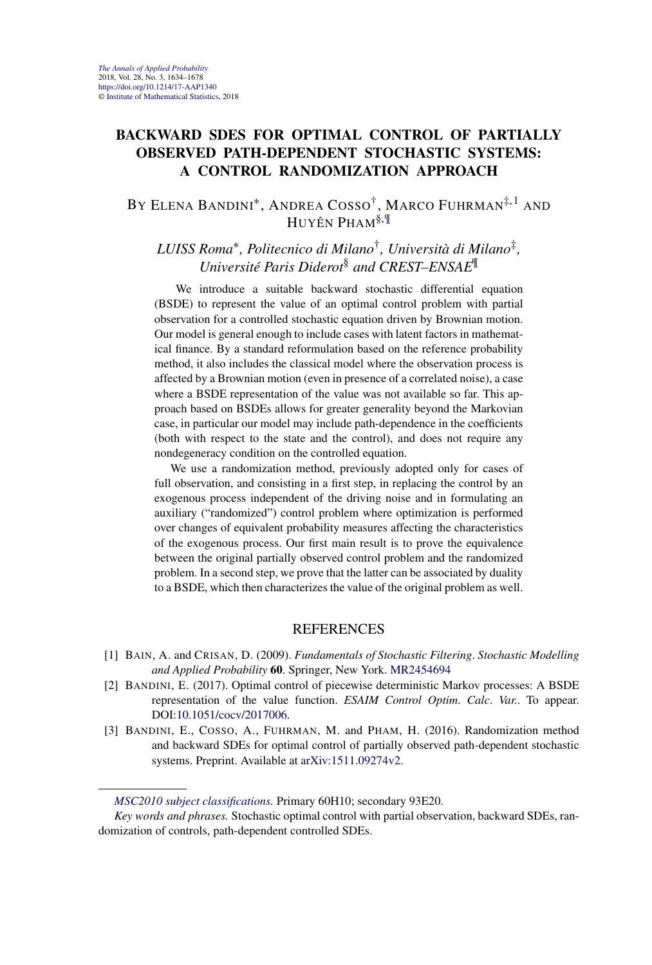#### **BACKWARD SDES FOR OPTIMAL CONTROL OF PARTIALLY OBSERVED PATH-DEPENDENT STOCHASTIC SYSTEMS: A CONTROL RANDOMIZATION APPROACH**

BY ELENA BANDINI[∗](#page-7-0), ANDREA COSSO[†,](#page-7-0) MARCO FUHRMAN[‡,](#page-9-0)1 AND HUYÊN PHAM§,¶

*LUISS Roma*∗*, Politecnico di Milano*†*, Università di Milano*‡*, Université Paris Diderot*§ *and CREST–ENSAE*¶

We introduce a suitable backward stochastic differential equation (BSDE) to represent the value of an optimal control problem with partial observation for a controlled stochastic equation driven by Brownian motion. Our model is general enough to include cases with latent factors in mathematical finance. By a standard reformulation based on the reference probability method, it also includes the classical model where the observation process is affected by a Brownian motion (even in presence of a correlated noise), a case where a BSDE representation of the value was not available so far. This approach based on BSDEs allows for greater generality beyond the Markovian case, in particular our model may include path-dependence in the coefficients (both with respect to the state and the control), and does not require any nondegeneracy condition on the controlled equation.

We use a randomization method, previously adopted only for cases of full observation, and consisting in a first step, in replacing the control by an exogenous process independent of the driving noise and in formulating an auxiliary ("randomized") control problem where optimization is performed over changes of equivalent probability measures affecting the characteristics of the exogenous process. Our first main result is to prove the equivalence between the original partially observed control problem and the randomized problem. In a second step, we prove that the latter can be associated by duality to a BSDE, which then characterizes the value of the original problem as well.

- [1] BAIN, A. and CRISAN, D. (2009). *Fundamentals of Stochastic Filtering*. *Stochastic Modelling and Applied Probability* **60**. Springer, New York. [MR2454694](http://www.ams.org/mathscinet-getitem?mr=2454694)
- [2] BANDINI, E. (2017). Optimal control of piecewise deterministic Markov processes: A BSDE representation of the value function. *ESAIM Control Optim*. *Calc*. *Var*.. To appear. DOI[:10.1051/cocv/2017006](https://doi.org/10.1051/cocv/2017006).
- [3] BANDINI, E., COSSO, A., FUHRMAN, M. and PHAM, H. (2016). Randomization method and backward SDEs for optimal control of partially observed path-dependent stochastic systems. Preprint. Available at [arXiv:1511.09274v2.](http://arxiv.org/abs/arXiv:1511.09274v2)

*[MSC2010 subject classifications.](http://www.ams.org/mathscinet/msc/msc2010.html)* Primary 60H10; secondary 93E20.

*Key words and phrases.* Stochastic optimal control with partial observation, backward SDEs, randomization of controls, path-dependent controlled SDEs.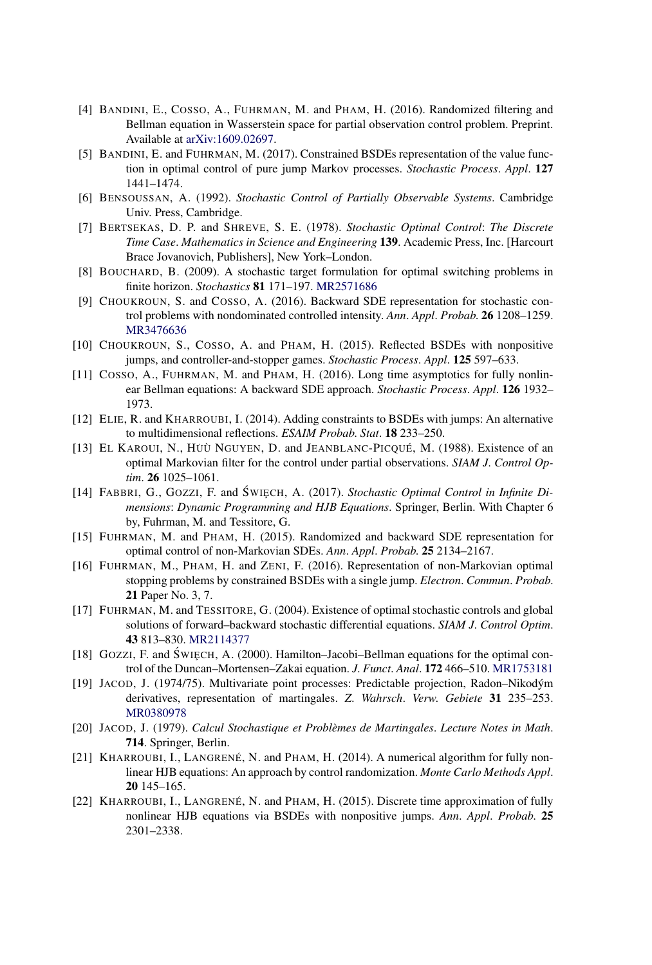- [4] BANDINI, E., COSSO, A., FUHRMAN, M. and PHAM, H. (2016). Randomized filtering and Bellman equation in Wasserstein space for partial observation control problem. Preprint. Available at [arXiv:1609.02697](http://arxiv.org/abs/arXiv:1609.02697).
- [5] BANDINI, E. and FUHRMAN, M. (2017). Constrained BSDEs representation of the value function in optimal control of pure jump Markov processes. *Stochastic Process*. *Appl*. **127** 1441–1474.
- [6] BENSOUSSAN, A. (1992). *Stochastic Control of Partially Observable Systems*. Cambridge Univ. Press, Cambridge.
- [7] BERTSEKAS, D. P. and SHREVE, S. E. (1978). *Stochastic Optimal Control*: *The Discrete Time Case*. *Mathematics in Science and Engineering* **139**. Academic Press, Inc. [Harcourt Brace Jovanovich, Publishers], New York–London.
- [8] BOUCHARD, B. (2009). A stochastic target formulation for optimal switching problems in finite horizon. *Stochastics* **81** 171–197. [MR2571686](http://www.ams.org/mathscinet-getitem?mr=2571686)
- [9] CHOUKROUN, S. and COSSO, A. (2016). Backward SDE representation for stochastic control problems with nondominated controlled intensity. *Ann*. *Appl*. *Probab*. **26** 1208–1259. [MR3476636](http://www.ams.org/mathscinet-getitem?mr=3476636)
- [10] CHOUKROUN, S., COSSO, A. and PHAM, H. (2015). Reflected BSDEs with nonpositive jumps, and controller-and-stopper games. *Stochastic Process*. *Appl*. **125** 597–633.
- [11] COSSO, A., FUHRMAN, M. and PHAM, H. (2016). Long time asymptotics for fully nonlinear Bellman equations: A backward SDE approach. *Stochastic Process*. *Appl*. **126** 1932– 1973.
- [12] ELIE, R. and KHARROUBI, I. (2014). Adding constraints to BSDEs with jumps: An alternative to multidimensional reflections. *ESAIM Probab*. *Stat*. **18** 233–250.
- [13] EL KAROUI, N., HUÙ˙ NGUYEN, D. and JEANBLANC-PICQUÉ, M. (1988). Existence of an optimal Markovian filter for the control under partial observations. *SIAM J*. *Control Optim*. **26** 1025–1061.
- [14] FABBRI, G., GOZZI, F. and ŚWIĘCH, A. (2017). *Stochastic Optimal Control in Infinite Dimensions*: *Dynamic Programming and HJB Equations*. Springer, Berlin. With Chapter 6 by, Fuhrman, M. and Tessitore, G.
- [15] FUHRMAN, M. and PHAM, H. (2015). Randomized and backward SDE representation for optimal control of non-Markovian SDEs. *Ann*. *Appl*. *Probab*. **25** 2134–2167.
- [16] FUHRMAN, M., PHAM, H. and ZENI, F. (2016). Representation of non-Markovian optimal stopping problems by constrained BSDEs with a single jump. *Electron*. *Commun*. *Probab*. **21** Paper No. 3, 7.
- [17] FUHRMAN, M. and TESSITORE, G. (2004). Existence of optimal stochastic controls and global solutions of forward–backward stochastic differential equations. *SIAM J*. *Control Optim*. **43** 813–830. [MR2114377](http://www.ams.org/mathscinet-getitem?mr=2114377)
- [18] GOZZI, F. and ŚWIECH, A. (2000). Hamilton–Jacobi–Bellman equations for the optimal control of the Duncan–Mortensen–Zakai equation. *J*. *Funct*. *Anal*. **172** 466–510. [MR1753181](http://www.ams.org/mathscinet-getitem?mr=1753181)
- [19] JACOD, J. (1974/75). Multivariate point processes: Predictable projection, Radon–Nikodým derivatives, representation of martingales. *Z*. *Wahrsch*. *Verw*. *Gebiete* **31** 235–253. [MR0380978](http://www.ams.org/mathscinet-getitem?mr=0380978)
- [20] JACOD, J. (1979). *Calcul Stochastique et Problèmes de Martingales*. *Lecture Notes in Math*. **714**. Springer, Berlin.
- [21] KHARROUBI, I., LANGRENÉ, N. and PHAM, H. (2014). A numerical algorithm for fully nonlinear HJB equations: An approach by control randomization. *Monte Carlo Methods Appl*. **20** 145–165.
- [22] KHARROUBI, I., LANGRENÉ, N. and PHAM, H. (2015). Discrete time approximation of fully nonlinear HJB equations via BSDEs with nonpositive jumps. *Ann*. *Appl*. *Probab*. **25** 2301–2338.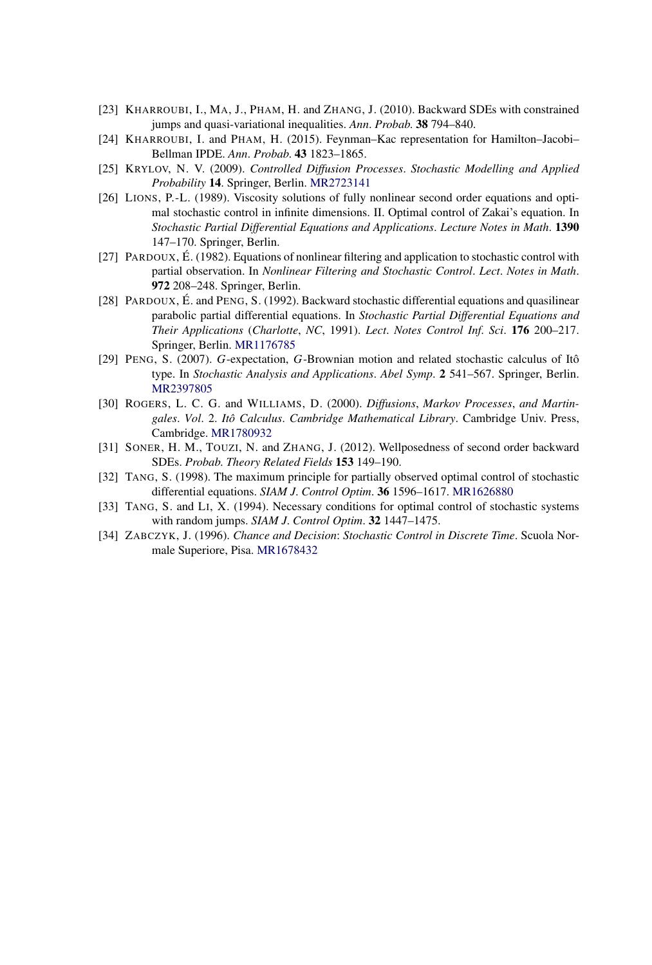- [23] KHARROUBI, I., MA, J., PHAM, H. and ZHANG, J. (2010). Backward SDEs with constrained jumps and quasi-variational inequalities. *Ann*. *Probab*. **38** 794–840.
- [24] KHARROUBI, I. and PHAM, H. (2015). Feynman–Kac representation for Hamilton–Jacobi– Bellman IPDE. *Ann*. *Probab*. **43** 1823–1865.
- [25] KRYLOV, N. V. (2009). *Controlled Diffusion Processes*. *Stochastic Modelling and Applied Probability* **14**. Springer, Berlin. [MR2723141](http://www.ams.org/mathscinet-getitem?mr=2723141)
- [26] LIONS, P.-L. (1989). Viscosity solutions of fully nonlinear second order equations and optimal stochastic control in infinite dimensions. II. Optimal control of Zakai's equation. In *Stochastic Partial Differential Equations and Applications*. *Lecture Notes in Math*. **1390** 147–170. Springer, Berlin.
- [27] PARDOUX, É. (1982). Equations of nonlinear filtering and application to stochastic control with partial observation. In *Nonlinear Filtering and Stochastic Control*. *Lect*. *Notes in Math*. **972** 208–248. Springer, Berlin.
- [28] PARDOUX, É. and PENG, S. (1992). Backward stochastic differential equations and quasilinear parabolic partial differential equations. In *Stochastic Partial Differential Equations and Their Applications* (*Charlotte*, *NC*, 1991). *Lect*. *Notes Control Inf*. *Sci*. **176** 200–217. Springer, Berlin. [MR1176785](http://www.ams.org/mathscinet-getitem?mr=1176785)
- [29] PENG, S. (2007). *G*-expectation, *G*-Brownian motion and related stochastic calculus of Itô type. In *Stochastic Analysis and Applications*. *Abel Symp*. **2** 541–567. Springer, Berlin. [MR2397805](http://www.ams.org/mathscinet-getitem?mr=2397805)
- [30] ROGERS, L. C. G. and WILLIAMS, D. (2000). *Diffusions*, *Markov Processes*, *and Martingales*. *Vol*. 2. *Itô Calculus*. *Cambridge Mathematical Library*. Cambridge Univ. Press, Cambridge. [MR1780932](http://www.ams.org/mathscinet-getitem?mr=1780932)
- [31] SONER, H. M., TOUZI, N. and ZHANG, J. (2012). Wellposedness of second order backward SDEs. *Probab*. *Theory Related Fields* **153** 149–190.
- [32] TANG, S. (1998). The maximum principle for partially observed optimal control of stochastic differential equations. *SIAM J*. *Control Optim*. **36** 1596–1617. [MR1626880](http://www.ams.org/mathscinet-getitem?mr=1626880)
- [33] TANG, S. and LI, X. (1994). Necessary conditions for optimal control of stochastic systems with random jumps. *SIAM J*. *Control Optim*. **32** 1447–1475.
- [34] ZABCZYK, J. (1996). *Chance and Decision*: *Stochastic Control in Discrete Time*. Scuola Normale Superiore, Pisa. [MR1678432](http://www.ams.org/mathscinet-getitem?mr=1678432)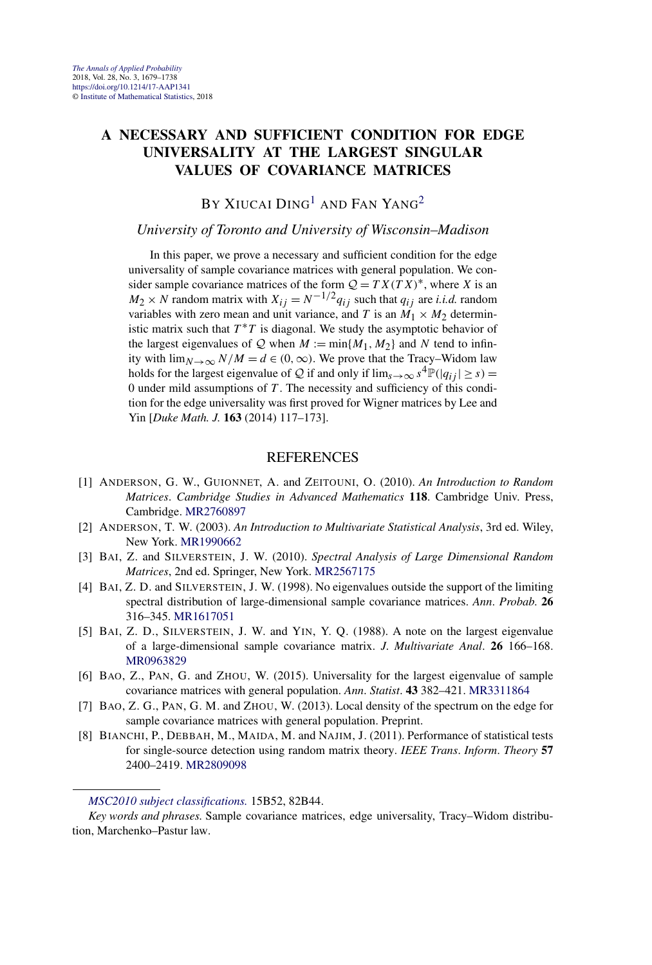#### **A NECESSARY AND SUFFICIENT CONDITION FOR EDGE UNIVERSALITY AT THE LARGEST SINGULAR VALUES OF COVARIANCE MATRICES**

#### BY XIUCAI DING<sup>1</sup> AND FAN YANG<sup>2</sup>

#### *University of Toronto and University of Wisconsin–Madison*

In this paper, we prove a necessary and sufficient condition for the edge universality of sample covariance matrices with general population. We consider sample covariance matrices of the form  $Q = TX(TX)^*$ , where *X* is an  $M_2 \times N$  random matrix with  $X_{ij} = N^{-1/2} q_{ij}$  such that  $q_{ij}$  are *i.i.d.* random variables with zero mean and unit variance, and *T* is an  $M_1 \times M_2$  deterministic matrix such that  $T^*T$  is diagonal. We study the asymptotic behavior of the largest eigenvalues of  $\mathcal Q$  when  $M := \min\{M_1, M_2\}$  and  $N$  tend to infinity with  $\lim_{N\to\infty} N/M = d \in (0,\infty)$ . We prove that the Tracy–Widom law holds for the largest eigenvalue of Q if and only if  $\lim_{s\to\infty} s^4 \mathbb{P}(|q_{ij}| \geq s) =$ 0 under mild assumptions of *T* . The necessity and sufficiency of this condition for the edge universality was first proved for Wigner matrices by Lee and Yin [*Duke Math. J.* **163** (2014) 117–173].

- [1] ANDERSON, G. W., GUIONNET, A. and ZEITOUNI, O. (2010). *An Introduction to Random Matrices*. *Cambridge Studies in Advanced Mathematics* **118**. Cambridge Univ. Press, Cambridge. [MR2760897](http://www.ams.org/mathscinet-getitem?mr=2760897)
- [2] ANDERSON, T. W. (2003). *An Introduction to Multivariate Statistical Analysis*, 3rd ed. Wiley, New York. [MR1990662](http://www.ams.org/mathscinet-getitem?mr=1990662)
- [3] BAI, Z. and SILVERSTEIN, J. W. (2010). *Spectral Analysis of Large Dimensional Random Matrices*, 2nd ed. Springer, New York. [MR2567175](http://www.ams.org/mathscinet-getitem?mr=2567175)
- [4] BAI, Z. D. and SILVERSTEIN, J. W. (1998). No eigenvalues outside the support of the limiting spectral distribution of large-dimensional sample covariance matrices. *Ann*. *Probab*. **26** 316–345. [MR1617051](http://www.ams.org/mathscinet-getitem?mr=1617051)
- [5] BAI, Z. D., SILVERSTEIN, J. W. and YIN, Y. Q. (1988). A note on the largest eigenvalue of a large-dimensional sample covariance matrix. *J*. *Multivariate Anal*. **26** 166–168. [MR0963829](http://www.ams.org/mathscinet-getitem?mr=0963829)
- [6] BAO, Z., PAN, G. and ZHOU, W. (2015). Universality for the largest eigenvalue of sample covariance matrices with general population. *Ann*. *Statist*. **43** 382–421. [MR3311864](http://www.ams.org/mathscinet-getitem?mr=3311864)
- [7] BAO, Z. G., PAN, G. M. and ZHOU, W. (2013). Local density of the spectrum on the edge for sample covariance matrices with general population. Preprint.
- [8] BIANCHI, P., DEBBAH, M., MAIDA, M. and NAJIM, J. (2011). Performance of statistical tests for single-source detection using random matrix theory. *IEEE Trans*. *Inform*. *Theory* **57** 2400–2419. [MR2809098](http://www.ams.org/mathscinet-getitem?mr=2809098)

*[MSC2010 subject classifications.](http://www.ams.org/mathscinet/msc/msc2010.html)* 15B52, 82B44.

*Key words and phrases.* Sample covariance matrices, edge universality, Tracy–Widom distribution, Marchenko–Pastur law.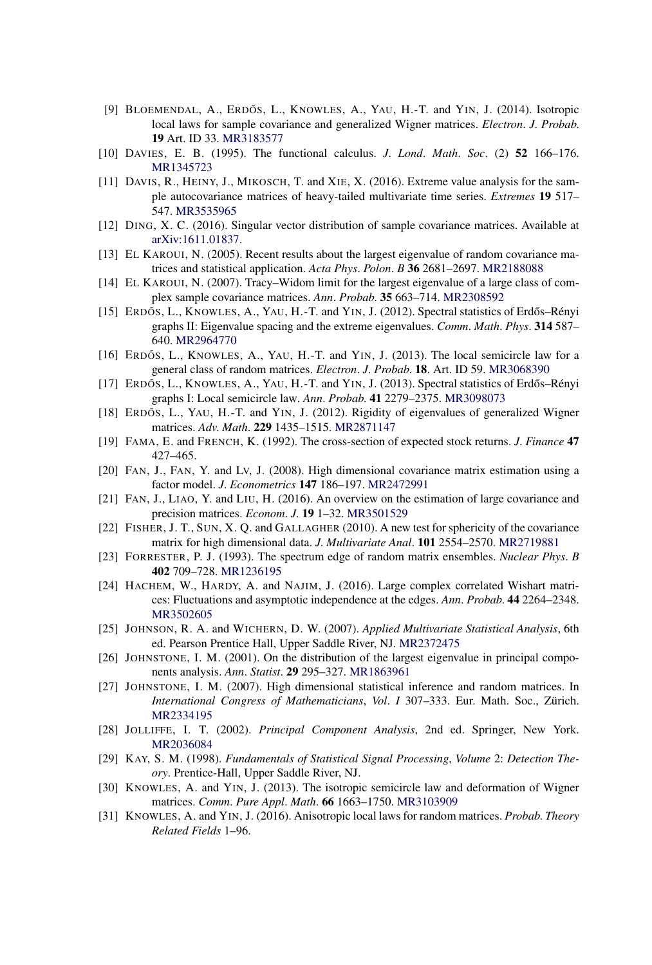- [9] BLOEMENDAL, A., ERDÓS, L., KNOWLES, A., YAU, H.-T. and YIN, J. (2014). Isotropic local laws for sample covariance and generalized Wigner matrices. *Electron*. *J*. *Probab*. **19** Art. ID 33. [MR3183577](http://www.ams.org/mathscinet-getitem?mr=3183577)
- [10] DAVIES, E. B. (1995). The functional calculus. *J*. *Lond*. *Math*. *Soc*. (2) **52** 166–176. [MR1345723](http://www.ams.org/mathscinet-getitem?mr=1345723)
- [11] DAVIS, R., HEINY, J., MIKOSCH, T. and XIE, X. (2016). Extreme value analysis for the sample autocovariance matrices of heavy-tailed multivariate time series. *Extremes* **19** 517– 547. [MR3535965](http://www.ams.org/mathscinet-getitem?mr=3535965)
- [12] DING, X. C. (2016). Singular vector distribution of sample covariance matrices. Available at [arXiv:1611.01837](http://arxiv.org/abs/arXiv:1611.01837).
- [13] EL KAROUI, N. (2005). Recent results about the largest eigenvalue of random covariance matrices and statistical application. *Acta Phys*. *Polon*. *B* **36** 2681–2697. [MR2188088](http://www.ams.org/mathscinet-getitem?mr=2188088)
- [14] EL KAROUI, N. (2007). Tracy–Widom limit for the largest eigenvalue of a large class of complex sample covariance matrices. *Ann*. *Probab*. **35** 663–714. [MR2308592](http://www.ams.org/mathscinet-getitem?mr=2308592)
- [15] ERDŐS, L., KNOWLES, A., YAU, H.-T. and YIN, J. (2012). Spectral statistics of Erdős–Rényi graphs II: Eigenvalue spacing and the extreme eigenvalues. *Comm*. *Math*. *Phys*. **314** 587– 640. [MR2964770](http://www.ams.org/mathscinet-getitem?mr=2964770)
- [16] ERDÓS, L., KNOWLES, A., YAU, H.-T. and YIN, J. (2013). The local semicircle law for a general class of random matrices. *Electron*. *J*. *Probab*. **18**. Art. ID 59. [MR3068390](http://www.ams.org/mathscinet-getitem?mr=3068390)
- [17] ERDŐS, L., KNOWLES, A., YAU, H.-T. and YIN, J. (2013). Spectral statistics of Erdős–Rényi graphs I: Local semicircle law. *Ann*. *Probab*. **41** 2279–2375. [MR3098073](http://www.ams.org/mathscinet-getitem?mr=3098073)
- [18] ERDŐS, L., YAU, H.-T. and YIN, J. (2012). Rigidity of eigenvalues of generalized Wigner matrices. *Adv*. *Math*. **229** 1435–1515. [MR2871147](http://www.ams.org/mathscinet-getitem?mr=2871147)
- [19] FAMA, E. and FRENCH, K. (1992). The cross-section of expected stock returns. *J*. *Finance* **47** 427–465.
- [20] FAN, J., FAN, Y. and LV, J. (2008). High dimensional covariance matrix estimation using a factor model. *J*. *Econometrics* **147** 186–197. [MR2472991](http://www.ams.org/mathscinet-getitem?mr=2472991)
- [21] FAN, J., LIAO, Y. and LIU, H. (2016). An overview on the estimation of large covariance and precision matrices. *Econom*. *J*. **19** 1–32. [MR3501529](http://www.ams.org/mathscinet-getitem?mr=3501529)
- [22] FISHER, J. T., SUN, X. Q. and GALLAGHER (2010). A new test for sphericity of the covariance matrix for high dimensional data. *J*. *Multivariate Anal*. **101** 2554–2570. [MR2719881](http://www.ams.org/mathscinet-getitem?mr=2719881)
- [23] FORRESTER, P. J. (1993). The spectrum edge of random matrix ensembles. *Nuclear Phys*. *B* **402** 709–728. [MR1236195](http://www.ams.org/mathscinet-getitem?mr=1236195)
- [24] HACHEM, W., HARDY, A. and NAJIM, J. (2016). Large complex correlated Wishart matrices: Fluctuations and asymptotic independence at the edges. *Ann*. *Probab*. **44** 2264–2348. [MR3502605](http://www.ams.org/mathscinet-getitem?mr=3502605)
- [25] JOHNSON, R. A. and WICHERN, D. W. (2007). *Applied Multivariate Statistical Analysis*, 6th ed. Pearson Prentice Hall, Upper Saddle River, NJ. [MR2372475](http://www.ams.org/mathscinet-getitem?mr=2372475)
- [26] JOHNSTONE, I. M. (2001). On the distribution of the largest eigenvalue in principal components analysis. *Ann*. *Statist*. **29** 295–327. [MR1863961](http://www.ams.org/mathscinet-getitem?mr=1863961)
- [27] JOHNSTONE, I. M. (2007). High dimensional statistical inference and random matrices. In *International Congress of Mathematicians*, *Vol*. *I* 307–333. Eur. Math. Soc., Zürich. [MR2334195](http://www.ams.org/mathscinet-getitem?mr=2334195)
- [28] JOLLIFFE, I. T. (2002). *Principal Component Analysis*, 2nd ed. Springer, New York. [MR2036084](http://www.ams.org/mathscinet-getitem?mr=2036084)
- [29] KAY, S. M. (1998). *Fundamentals of Statistical Signal Processing*, *Volume* 2: *Detection Theory*. Prentice-Hall, Upper Saddle River, NJ.
- [30] KNOWLES, A. and YIN, J. (2013). The isotropic semicircle law and deformation of Wigner matrices. *Comm*. *Pure Appl*. *Math*. **66** 1663–1750. [MR3103909](http://www.ams.org/mathscinet-getitem?mr=3103909)
- [31] KNOWLES, A. and YIN, J. (2016). Anisotropic local laws for random matrices. *Probab*. *Theory Related Fields* 1–96.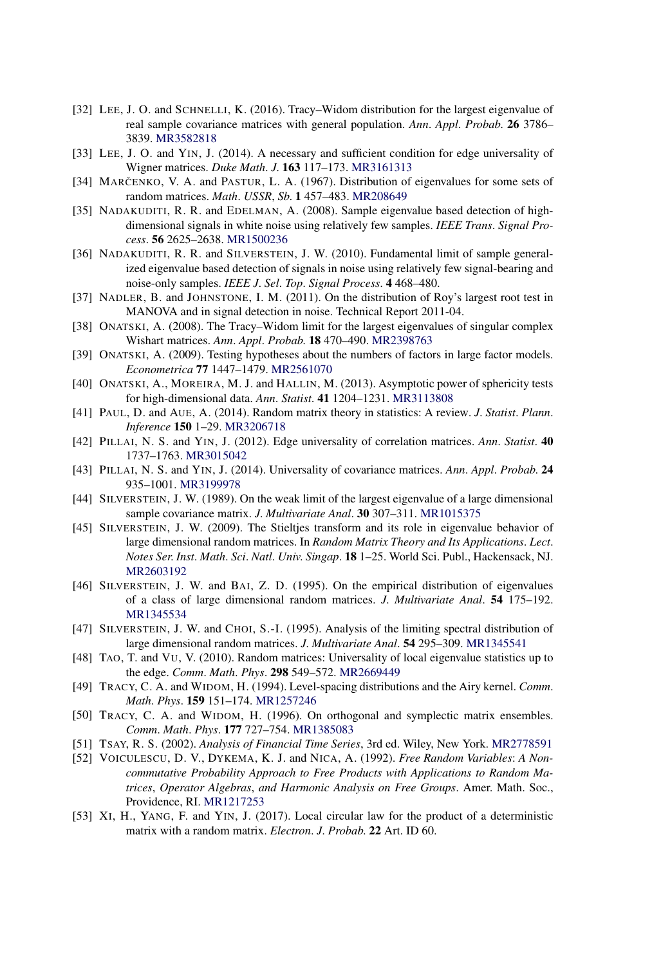- [32] LEE, J. O. and SCHNELLI, K. (2016). Tracy–Widom distribution for the largest eigenvalue of real sample covariance matrices with general population. *Ann*. *Appl*. *Probab*. **26** 3786– 3839. [MR3582818](http://www.ams.org/mathscinet-getitem?mr=3582818)
- [33] LEE, J. O. and YIN, J. (2014). A necessary and sufficient condition for edge universality of Wigner matrices. *Duke Math*. *J*. **163** 117–173. [MR3161313](http://www.ams.org/mathscinet-getitem?mr=3161313)
- [34] MARCENKO, V. A. and PASTUR, L. A. (1967). Distribution of eigenvalues for some sets of random matrices. *Math*. *USSR*, *Sb*. **1** 457–483. [MR208649](http://www.ams.org/mathscinet-getitem?mr=208649)
- [35] NADAKUDITI, R. R. and EDELMAN, A. (2008). Sample eigenvalue based detection of highdimensional signals in white noise using relatively few samples. *IEEE Trans*. *Signal Process*. **56** 2625–2638. [MR1500236](http://www.ams.org/mathscinet-getitem?mr=1500236)
- [36] NADAKUDITI, R. R. and SILVERSTEIN, J. W. (2010). Fundamental limit of sample generalized eigenvalue based detection of signals in noise using relatively few signal-bearing and noise-only samples. *IEEE J*. *Sel*. *Top*. *Signal Process*. **4** 468–480.
- [37] NADLER, B. and JOHNSTONE, I. M. (2011). On the distribution of Roy's largest root test in MANOVA and in signal detection in noise. Technical Report 2011-04.
- [38] ONATSKI, A. (2008). The Tracy–Widom limit for the largest eigenvalues of singular complex Wishart matrices. *Ann*. *Appl*. *Probab*. **18** 470–490. [MR2398763](http://www.ams.org/mathscinet-getitem?mr=2398763)
- [39] ONATSKI, A. (2009). Testing hypotheses about the numbers of factors in large factor models. *Econometrica* **77** 1447–1479. [MR2561070](http://www.ams.org/mathscinet-getitem?mr=2561070)
- [40] ONATSKI, A., MOREIRA, M. J. and HALLIN, M. (2013). Asymptotic power of sphericity tests for high-dimensional data. *Ann*. *Statist*. **41** 1204–1231. [MR3113808](http://www.ams.org/mathscinet-getitem?mr=3113808)
- [41] PAUL, D. and AUE, A. (2014). Random matrix theory in statistics: A review. *J*. *Statist*. *Plann*. *Inference* **150** 1–29. [MR3206718](http://www.ams.org/mathscinet-getitem?mr=3206718)
- [42] PILLAI, N. S. and YIN, J. (2012). Edge universality of correlation matrices. *Ann*. *Statist*. **40** 1737–1763. [MR3015042](http://www.ams.org/mathscinet-getitem?mr=3015042)
- [43] PILLAI, N. S. and YIN, J. (2014). Universality of covariance matrices. *Ann*. *Appl*. *Probab*. **24** 935–1001. [MR3199978](http://www.ams.org/mathscinet-getitem?mr=3199978)
- [44] SILVERSTEIN, J. W. (1989). On the weak limit of the largest eigenvalue of a large dimensional sample covariance matrix. *J*. *Multivariate Anal*. **30** 307–311. [MR1015375](http://www.ams.org/mathscinet-getitem?mr=1015375)
- [45] SILVERSTEIN, J. W. (2009). The Stieltjes transform and its role in eigenvalue behavior of large dimensional random matrices. In *Random Matrix Theory and Its Applications*. *Lect*. *Notes Ser*. *Inst*. *Math*. *Sci*. *Natl*. *Univ*. *Singap*. **18** 1–25. World Sci. Publ., Hackensack, NJ. [MR2603192](http://www.ams.org/mathscinet-getitem?mr=2603192)
- [46] SILVERSTEIN, J. W. and BAI, Z. D. (1995). On the empirical distribution of eigenvalues of a class of large dimensional random matrices. *J*. *Multivariate Anal*. **54** 175–192. [MR1345534](http://www.ams.org/mathscinet-getitem?mr=1345534)
- [47] SILVERSTEIN, J. W. and CHOI, S.-I. (1995). Analysis of the limiting spectral distribution of large dimensional random matrices. *J*. *Multivariate Anal*. **54** 295–309. [MR1345541](http://www.ams.org/mathscinet-getitem?mr=1345541)
- [48] TAO, T. and VU, V. (2010). Random matrices: Universality of local eigenvalue statistics up to the edge. *Comm*. *Math*. *Phys*. **298** 549–572. [MR2669449](http://www.ams.org/mathscinet-getitem?mr=2669449)
- [49] TRACY, C. A. and WIDOM, H. (1994). Level-spacing distributions and the Airy kernel. *Comm*. *Math*. *Phys*. **159** 151–174. [MR1257246](http://www.ams.org/mathscinet-getitem?mr=1257246)
- [50] TRACY, C. A. and WIDOM, H. (1996). On orthogonal and symplectic matrix ensembles. *Comm*. *Math*. *Phys*. **177** 727–754. [MR1385083](http://www.ams.org/mathscinet-getitem?mr=1385083)
- [51] TSAY, R. S. (2002). *Analysis of Financial Time Series*, 3rd ed. Wiley, New York. [MR2778591](http://www.ams.org/mathscinet-getitem?mr=2778591)
- [52] VOICULESCU, D. V., DYKEMA, K. J. and NICA, A. (1992). *Free Random Variables*: *A Noncommutative Probability Approach to Free Products with Applications to Random Matrices*, *Operator Algebras*, *and Harmonic Analysis on Free Groups*. Amer. Math. Soc., Providence, RI. [MR1217253](http://www.ams.org/mathscinet-getitem?mr=1217253)
- [53] XI, H., YANG, F. and YIN, J. (2017). Local circular law for the product of a deterministic matrix with a random matrix. *Electron*. *J*. *Probab*. **22** Art. ID 60.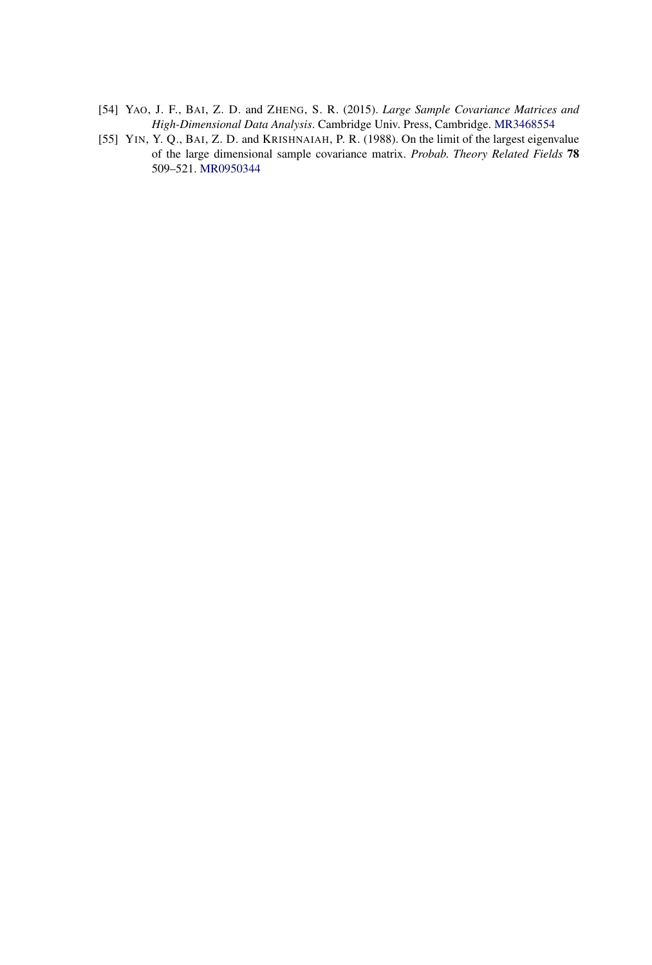- [54] YAO, J. F., BAI, Z. D. and ZHENG, S. R. (2015). *Large Sample Covariance Matrices and High-Dimensional Data Analysis*. Cambridge Univ. Press, Cambridge. [MR3468554](http://www.ams.org/mathscinet-getitem?mr=3468554)
- [55] YIN, Y. Q., BAI, Z. D. and KRISHNAIAH, P. R. (1988). On the limit of the largest eigenvalue of the large dimensional sample covariance matrix. *Probab*. *Theory Related Fields* **78** 509–521. [MR0950344](http://www.ams.org/mathscinet-getitem?mr=0950344)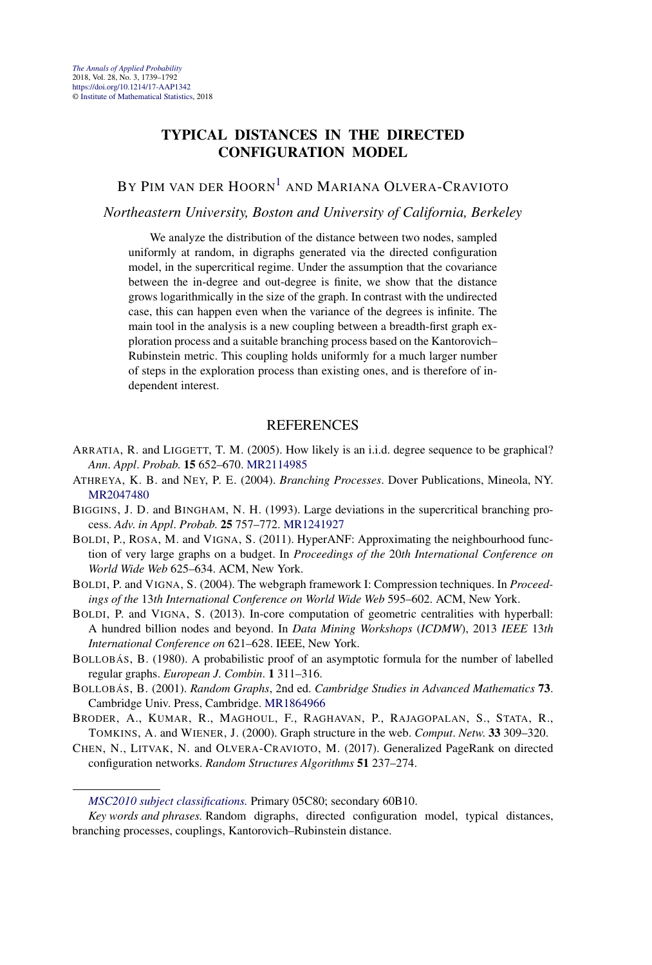#### **TYPICAL DISTANCES IN THE DIRECTED CONFIGURATION MODEL**

BY PIM VAN DER HOORN<sup>1</sup> AND MARIANA OLVERA-CRAVIOTO

*Northeastern University, Boston and University of California, Berkeley*

We analyze the distribution of the distance between two nodes, sampled uniformly at random, in digraphs generated via the directed configuration model, in the supercritical regime. Under the assumption that the covariance between the in-degree and out-degree is finite, we show that the distance grows logarithmically in the size of the graph. In contrast with the undirected case, this can happen even when the variance of the degrees is infinite. The main tool in the analysis is a new coupling between a breadth-first graph exploration process and a suitable branching process based on the Kantorovich– Rubinstein metric. This coupling holds uniformly for a much larger number of steps in the exploration process than existing ones, and is therefore of independent interest.

- ARRATIA, R. and LIGGETT, T. M. (2005). How likely is an i.i.d. degree sequence to be graphical? *Ann*. *Appl*. *Probab*. **15** 652–670. [MR2114985](http://www.ams.org/mathscinet-getitem?mr=2114985)
- ATHREYA, K. B. and NEY, P. E. (2004). *Branching Processes*. Dover Publications, Mineola, NY. [MR2047480](http://www.ams.org/mathscinet-getitem?mr=2047480)
- BIGGINS, J. D. and BINGHAM, N. H. (1993). Large deviations in the supercritical branching process. *Adv*. *in Appl*. *Probab*. **25** 757–772. [MR1241927](http://www.ams.org/mathscinet-getitem?mr=1241927)
- BOLDI, P., ROSA, M. and VIGNA, S. (2011). HyperANF: Approximating the neighbourhood function of very large graphs on a budget. In *Proceedings of the* 20*th International Conference on World Wide Web* 625–634. ACM, New York.
- BOLDI, P. and VIGNA, S. (2004). The webgraph framework I: Compression techniques. In *Proceedings of the* 13*th International Conference on World Wide Web* 595–602. ACM, New York.
- BOLDI, P. and VIGNA, S. (2013). In-core computation of geometric centralities with hyperball: A hundred billion nodes and beyond. In *Data Mining Workshops* (*ICDMW*), 2013 *IEEE* 13*th International Conference on* 621–628. IEEE, New York.
- BOLLOBÁS, B. (1980). A probabilistic proof of an asymptotic formula for the number of labelled regular graphs. *European J*. *Combin*. **1** 311–316.
- BOLLOBÁS, B. (2001). *Random Graphs*, 2nd ed. *Cambridge Studies in Advanced Mathematics* **73**. Cambridge Univ. Press, Cambridge. [MR1864966](http://www.ams.org/mathscinet-getitem?mr=1864966)
- BRODER, A., KUMAR, R., MAGHOUL, F., RAGHAVAN, P., RAJAGOPALAN, S., STATA, R., TOMKINS, A. and WIENER, J. (2000). Graph structure in the web. *Comput*. *Netw*. **33** 309–320.
- CHEN, N., LITVAK, N. and OLVERA-CRAVIOTO, M. (2017). Generalized PageRank on directed configuration networks. *Random Structures Algorithms* **51** 237–274.

*[MSC2010 subject classifications.](http://www.ams.org/mathscinet/msc/msc2010.html)* Primary 05C80; secondary 60B10.

*Key words and phrases.* Random digraphs, directed configuration model, typical distances, branching processes, couplings, Kantorovich–Rubinstein distance.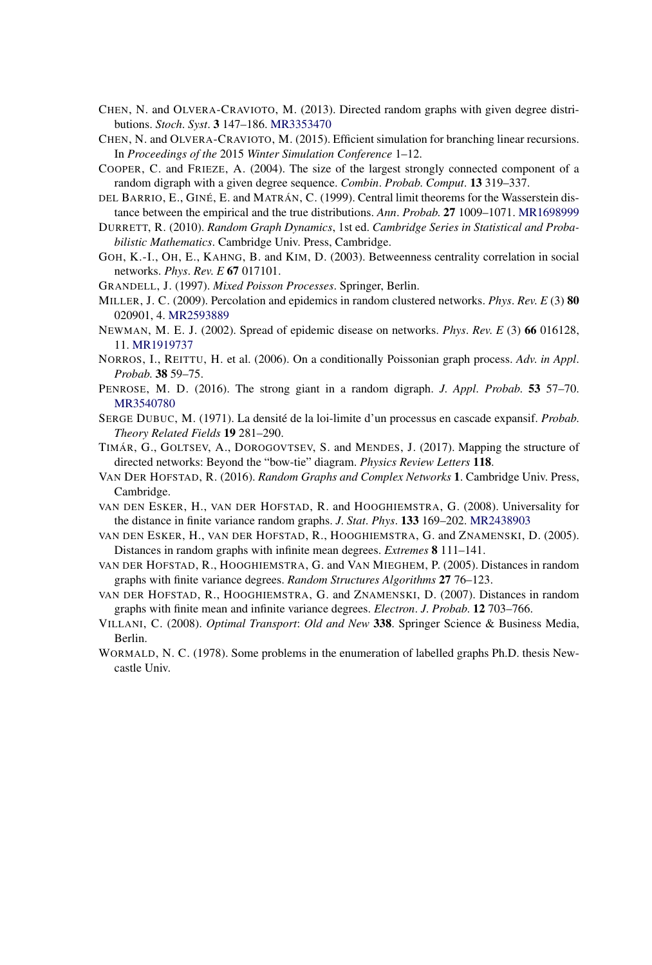- CHEN, N. and OLVERA-CRAVIOTO, M. (2013). Directed random graphs with given degree distributions. *Stoch*. *Syst*. **3** 147–186. [MR3353470](http://www.ams.org/mathscinet-getitem?mr=3353470)
- CHEN, N. and OLVERA-CRAVIOTO, M. (2015). Efficient simulation for branching linear recursions. In *Proceedings of the* 2015 *Winter Simulation Conference* 1–12.
- COOPER, C. and FRIEZE, A. (2004). The size of the largest strongly connected component of a random digraph with a given degree sequence. *Combin*. *Probab*. *Comput*. **13** 319–337.
- DEL BARRIO, E., GINÉ, E. and MATRÁN, C. (1999). Central limit theorems for the Wasserstein distance between the empirical and the true distributions. *Ann*. *Probab*. **27** 1009–1071. [MR1698999](http://www.ams.org/mathscinet-getitem?mr=1698999)
- DURRETT, R. (2010). *Random Graph Dynamics*, 1st ed. *Cambridge Series in Statistical and Probabilistic Mathematics*. Cambridge Univ. Press, Cambridge.
- GOH, K.-I., OH, E., KAHNG, B. and KIM, D. (2003). Betweenness centrality correlation in social networks. *Phys*. *Rev*. *E* **67** 017101.
- GRANDELL, J. (1997). *Mixed Poisson Processes*. Springer, Berlin.
- MILLER, J. C. (2009). Percolation and epidemics in random clustered networks. *Phys*. *Rev*. *E* (3) **80** 020901, 4. [MR2593889](http://www.ams.org/mathscinet-getitem?mr=2593889)
- NEWMAN, M. E. J. (2002). Spread of epidemic disease on networks. *Phys*. *Rev*. *E* (3) **66** 016128, 11. [MR1919737](http://www.ams.org/mathscinet-getitem?mr=1919737)
- NORROS, I., REITTU, H. et al. (2006). On a conditionally Poissonian graph process. *Adv*. *in Appl*. *Probab*. **38** 59–75.
- PENROSE, M. D. (2016). The strong giant in a random digraph. *J*. *Appl*. *Probab*. **53** 57–70. [MR3540780](http://www.ams.org/mathscinet-getitem?mr=3540780)
- SERGE DUBUC, M. (1971). La densité de la loi-limite d'un processus en cascade expansif. *Probab*. *Theory Related Fields* **19** 281–290.
- TIMÁR, G., GOLTSEV, A., DOROGOVTSEV, S. and MENDES, J. (2017). Mapping the structure of directed networks: Beyond the "bow-tie" diagram. *Physics Review Letters* **118**.
- VAN DER HOFSTAD, R. (2016). *Random Graphs and Complex Networks* **1**. Cambridge Univ. Press, Cambridge.
- VAN DEN ESKER, H., VAN DER HOFSTAD, R. and HOOGHIEMSTRA, G. (2008). Universality for the distance in finite variance random graphs. *J*. *Stat*. *Phys*. **133** 169–202. [MR2438903](http://www.ams.org/mathscinet-getitem?mr=2438903)
- VAN DEN ESKER, H., VAN DER HOFSTAD, R., HOOGHIEMSTRA, G. and ZNAMENSKI, D. (2005). Distances in random graphs with infinite mean degrees. *Extremes* **8** 111–141.
- VAN DER HOFSTAD, R., HOOGHIEMSTRA, G. and VAN MIEGHEM, P. (2005). Distances in random graphs with finite variance degrees. *Random Structures Algorithms* **27** 76–123.
- VAN DER HOFSTAD, R., HOOGHIEMSTRA, G. and ZNAMENSKI, D. (2007). Distances in random graphs with finite mean and infinite variance degrees. *Electron*. *J*. *Probab*. **12** 703–766.
- VILLANI, C. (2008). *Optimal Transport*: *Old and New* **338**. Springer Science & Business Media, Berlin.
- WORMALD, N. C. (1978). Some problems in the enumeration of labelled graphs Ph.D. thesis Newcastle Univ.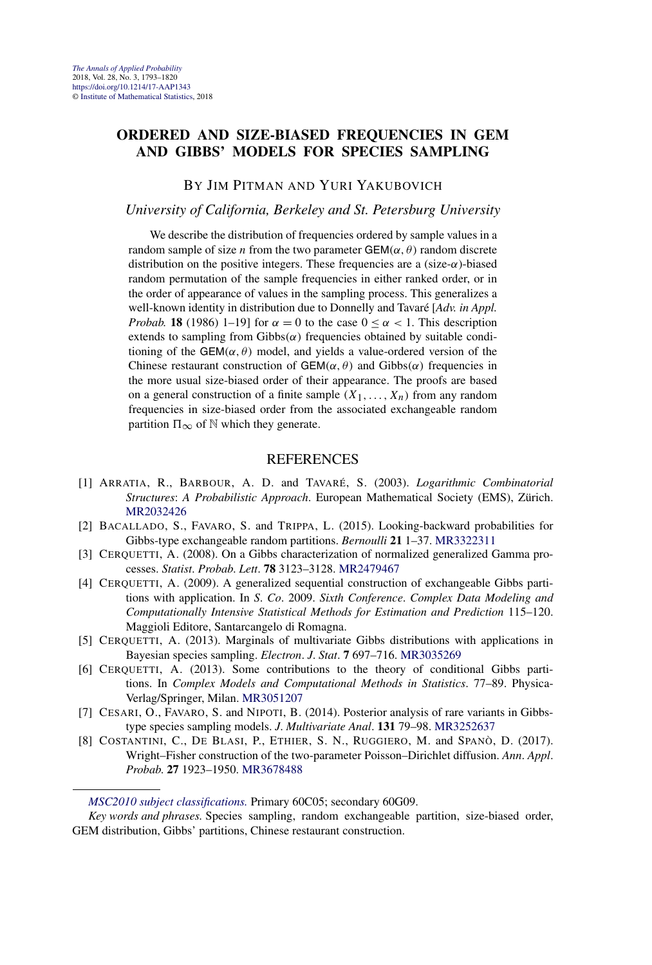#### **ORDERED AND SIZE-BIASED FREQUENCIES IN GEM AND GIBBS' MODELS FOR SPECIES SAMPLING**

BY JIM PITMAN AND YURI YAKUBOVICH

#### *University of California, Berkeley and St. Petersburg University*

We describe the distribution of frequencies ordered by sample values in a random sample of size *n* from the two parameter  $GEM(\alpha, \theta)$  random discrete distribution on the positive integers. These frequencies are a (size-*α*)-biased random permutation of the sample frequencies in either ranked order, or in the order of appearance of values in the sampling process. This generalizes a well-known identity in distribution due to Donnelly and Tavaré [*Adv. in Appl. Probab.* **18** (1986) 1–19] for  $\alpha = 0$  to the case  $0 \le \alpha < 1$ . This description extends to sampling from  $Gibbs(\alpha)$  frequencies obtained by suitable conditioning of the  $GEM(\alpha, \theta)$  model, and yields a value-ordered version of the Chinese restaurant construction of  $GEM(\alpha, \theta)$  and  $Gibbs(\alpha)$  frequencies in the more usual size-biased order of their appearance. The proofs are based on a general construction of a finite sample  $(X_1, \ldots, X_n)$  from any random frequencies in size-biased order from the associated exchangeable random partition  $\Pi_{\infty}$  of N which they generate.

- [1] ARRATIA, R., BARBOUR, A. D. and TAVARÉ, S. (2003). *Logarithmic Combinatorial Structures*: *A Probabilistic Approach*. European Mathematical Society (EMS), Zürich. [MR2032426](http://www.ams.org/mathscinet-getitem?mr=2032426)
- [2] BACALLADO, S., FAVARO, S. and TRIPPA, L. (2015). Looking-backward probabilities for Gibbs-type exchangeable random partitions. *Bernoulli* **21** 1–37. [MR3322311](http://www.ams.org/mathscinet-getitem?mr=3322311)
- [3] CERQUETTI, A. (2008). On a Gibbs characterization of normalized generalized Gamma processes. *Statist*. *Probab*. *Lett*. **78** 3123–3128. [MR2479467](http://www.ams.org/mathscinet-getitem?mr=2479467)
- [4] CERQUETTI, A. (2009). A generalized sequential construction of exchangeable Gibbs partitions with application. In *S*. *Co*. 2009. *Sixth Conference*. *Complex Data Modeling and Computationally Intensive Statistical Methods for Estimation and Prediction* 115–120. Maggioli Editore, Santarcangelo di Romagna.
- [5] CERQUETTI, A. (2013). Marginals of multivariate Gibbs distributions with applications in Bayesian species sampling. *Electron*. *J*. *Stat*. **7** 697–716. [MR3035269](http://www.ams.org/mathscinet-getitem?mr=3035269)
- [6] CERQUETTI, A. (2013). Some contributions to the theory of conditional Gibbs partitions. In *Complex Models and Computational Methods in Statistics*. 77–89. Physica-Verlag/Springer, Milan. [MR3051207](http://www.ams.org/mathscinet-getitem?mr=3051207)
- [7] CESARI, O., FAVARO, S. and NIPOTI, B. (2014). Posterior analysis of rare variants in Gibbstype species sampling models. *J*. *Multivariate Anal*. **131** 79–98. [MR3252637](http://www.ams.org/mathscinet-getitem?mr=3252637)
- [8] COSTANTINI, C., DE BLASI, P., ETHIER, S. N., RUGGIERO, M. and SPANÒ, D. (2017). Wright–Fisher construction of the two-parameter Poisson–Dirichlet diffusion. *Ann*. *Appl*. *Probab*. **27** 1923–1950. [MR3678488](http://www.ams.org/mathscinet-getitem?mr=3678488)

*[MSC2010 subject classifications.](http://www.ams.org/mathscinet/msc/msc2010.html)* Primary 60C05; secondary 60G09.

*Key words and phrases.* Species sampling, random exchangeable partition, size-biased order, GEM distribution, Gibbs' partitions, Chinese restaurant construction.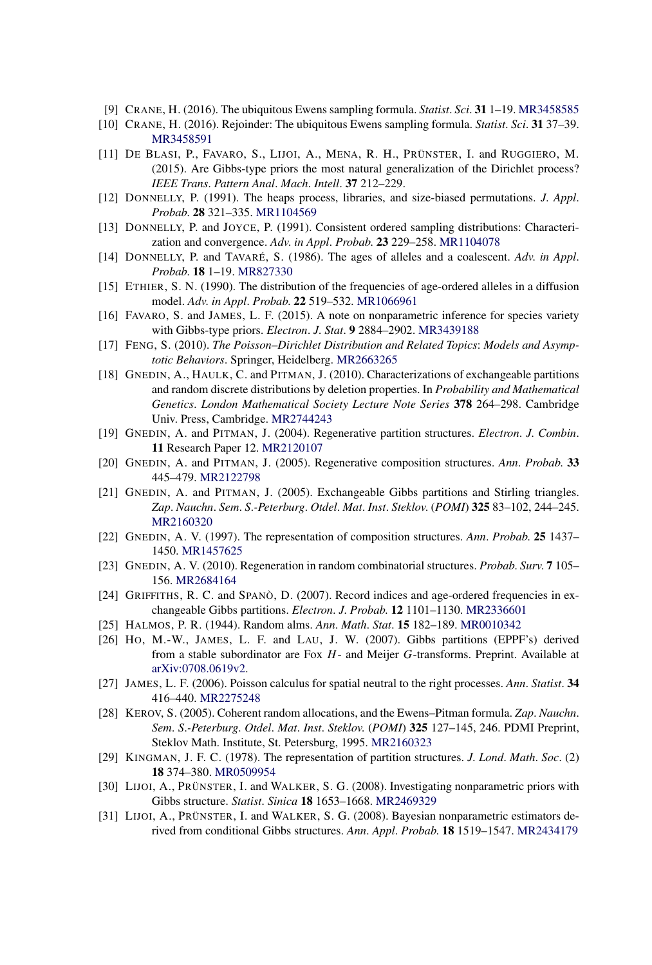- [9] CRANE, H. (2016). The ubiquitous Ewens sampling formula. *Statist*. *Sci*. **31** 1–19. [MR3458585](http://www.ams.org/mathscinet-getitem?mr=3458585)
- [10] CRANE, H. (2016). Rejoinder: The ubiquitous Ewens sampling formula. *Statist*. *Sci*. **31** 37–39. [MR3458591](http://www.ams.org/mathscinet-getitem?mr=3458591)
- [11] DE BLASI, P., FAVARO, S., LIJOI, A., MENA, R. H., PRÜNSTER, I. and RUGGIERO, M. (2015). Are Gibbs-type priors the most natural generalization of the Dirichlet process? *IEEE Trans*. *Pattern Anal*. *Mach*. *Intell*. **37** 212–229.
- [12] DONNELLY, P. (1991). The heaps process, libraries, and size-biased permutations. *J*. *Appl*. *Probab*. **28** 321–335. [MR1104569](http://www.ams.org/mathscinet-getitem?mr=1104569)
- [13] DONNELLY, P. and JOYCE, P. (1991). Consistent ordered sampling distributions: Characterization and convergence. *Adv*. *in Appl*. *Probab*. **23** 229–258. [MR1104078](http://www.ams.org/mathscinet-getitem?mr=1104078)
- [14] DONNELLY, P. and TAVARÉ, S. (1986). The ages of alleles and a coalescent. *Adv*. *in Appl*. *Probab*. **18** 1–19. [MR827330](http://www.ams.org/mathscinet-getitem?mr=827330)
- [15] ETHIER, S. N. (1990). The distribution of the frequencies of age-ordered alleles in a diffusion model. *Adv*. *in Appl*. *Probab*. **22** 519–532. [MR1066961](http://www.ams.org/mathscinet-getitem?mr=1066961)
- [16] FAVARO, S. and JAMES, L. F. (2015). A note on nonparametric inference for species variety with Gibbs-type priors. *Electron*. *J*. *Stat*. **9** 2884–2902. [MR3439188](http://www.ams.org/mathscinet-getitem?mr=3439188)
- [17] FENG, S. (2010). *The Poisson–Dirichlet Distribution and Related Topics*: *Models and Asymptotic Behaviors*. Springer, Heidelberg. [MR2663265](http://www.ams.org/mathscinet-getitem?mr=2663265)
- [18] GNEDIN, A., HAULK, C. and PITMAN, J. (2010). Characterizations of exchangeable partitions and random discrete distributions by deletion properties. In *Probability and Mathematical Genetics*. *London Mathematical Society Lecture Note Series* **378** 264–298. Cambridge Univ. Press, Cambridge. [MR2744243](http://www.ams.org/mathscinet-getitem?mr=2744243)
- [19] GNEDIN, A. and PITMAN, J. (2004). Regenerative partition structures. *Electron*. *J*. *Combin*. **11** Research Paper 12. [MR2120107](http://www.ams.org/mathscinet-getitem?mr=2120107)
- [20] GNEDIN, A. and PITMAN, J. (2005). Regenerative composition structures. *Ann*. *Probab*. **33** 445–479. [MR2122798](http://www.ams.org/mathscinet-getitem?mr=2122798)
- [21] GNEDIN, A. and PITMAN, J. (2005). Exchangeable Gibbs partitions and Stirling triangles. *Zap*. *Nauchn*. *Sem*. *S*.*-Peterburg*. *Otdel*. *Mat*. *Inst*. *Steklov*. (*POMI*) **325** 83–102, 244–245. [MR2160320](http://www.ams.org/mathscinet-getitem?mr=2160320)
- [22] GNEDIN, A. V. (1997). The representation of composition structures. *Ann*. *Probab*. **25** 1437– 1450. [MR1457625](http://www.ams.org/mathscinet-getitem?mr=1457625)
- [23] GNEDIN, A. V. (2010). Regeneration in random combinatorial structures. *Probab*. *Surv*. **7** 105– 156. [MR2684164](http://www.ams.org/mathscinet-getitem?mr=2684164)
- [24] GRIFFITHS, R. C. and SPANÒ, D. (2007). Record indices and age-ordered frequencies in exchangeable Gibbs partitions. *Electron*. *J*. *Probab*. **12** 1101–1130. [MR2336601](http://www.ams.org/mathscinet-getitem?mr=2336601)
- [25] HALMOS, P. R. (1944). Random alms. *Ann*. *Math*. *Stat*. **15** 182–189. [MR0010342](http://www.ams.org/mathscinet-getitem?mr=0010342)
- [26] HO, M.-W., JAMES, L. F. and LAU, J. W. (2007). Gibbs partitions (EPPF's) derived from a stable subordinator are Fox *H*- and Meijer *G*-transforms. Preprint. Available at [arXiv:0708.0619v2.](http://arxiv.org/abs/arXiv:0708.0619v2)
- [27] JAMES, L. F. (2006). Poisson calculus for spatial neutral to the right processes. *Ann*. *Statist*. **34** 416–440. [MR2275248](http://www.ams.org/mathscinet-getitem?mr=2275248)
- [28] KEROV, S. (2005). Coherent random allocations, and the Ewens–Pitman formula. *Zap*. *Nauchn*. *Sem*. *S*.*-Peterburg*. *Otdel*. *Mat*. *Inst*. *Steklov*. (*POMI*) **325** 127–145, 246. PDMI Preprint, Steklov Math. Institute, St. Petersburg, 1995. [MR2160323](http://www.ams.org/mathscinet-getitem?mr=2160323)
- [29] KINGMAN, J. F. C. (1978). The representation of partition structures. *J*. *Lond*. *Math*. *Soc*. (2) **18** 374–380. [MR0509954](http://www.ams.org/mathscinet-getitem?mr=0509954)
- [30] LIJOI, A., PRÜNSTER, I. and WALKER, S. G. (2008). Investigating nonparametric priors with Gibbs structure. *Statist*. *Sinica* **18** 1653–1668. [MR2469329](http://www.ams.org/mathscinet-getitem?mr=2469329)
- [31] LIJOI, A., PRÜNSTER, I. and WALKER, S. G. (2008). Bayesian nonparametric estimators derived from conditional Gibbs structures. *Ann*. *Appl*. *Probab*. **18** 1519–1547. [MR2434179](http://www.ams.org/mathscinet-getitem?mr=2434179)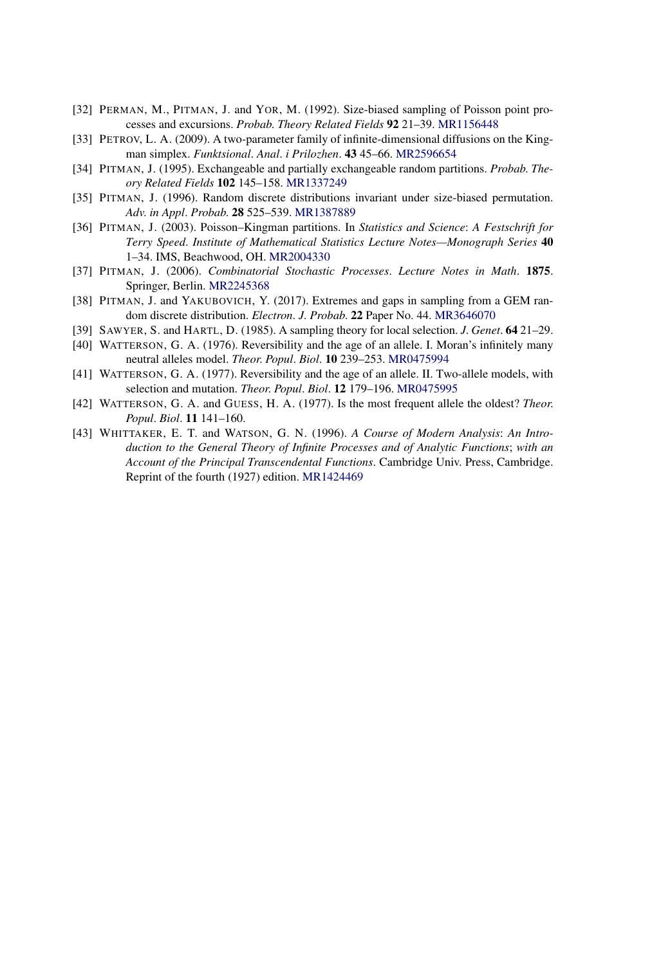- [32] PERMAN, M., PITMAN, J. and YOR, M. (1992). Size-biased sampling of Poisson point processes and excursions. *Probab*. *Theory Related Fields* **92** 21–39. [MR1156448](http://www.ams.org/mathscinet-getitem?mr=1156448)
- [33] PETROV, L. A. (2009). A two-parameter family of infinite-dimensional diffusions on the Kingman simplex. *Funktsional*. *Anal*. *i Prilozhen*. **43** 45–66. [MR2596654](http://www.ams.org/mathscinet-getitem?mr=2596654)
- [34] PITMAN, J. (1995). Exchangeable and partially exchangeable random partitions. *Probab*. *Theory Related Fields* **102** 145–158. [MR1337249](http://www.ams.org/mathscinet-getitem?mr=1337249)
- [35] PITMAN, J. (1996). Random discrete distributions invariant under size-biased permutation. *Adv*. *in Appl*. *Probab*. **28** 525–539. [MR1387889](http://www.ams.org/mathscinet-getitem?mr=1387889)
- [36] PITMAN, J. (2003). Poisson–Kingman partitions. In *Statistics and Science*: *A Festschrift for Terry Speed*. *Institute of Mathematical Statistics Lecture Notes—Monograph Series* **40** 1–34. IMS, Beachwood, OH. [MR2004330](http://www.ams.org/mathscinet-getitem?mr=2004330)
- [37] PITMAN, J. (2006). *Combinatorial Stochastic Processes*. *Lecture Notes in Math*. **1875**. Springer, Berlin. [MR2245368](http://www.ams.org/mathscinet-getitem?mr=2245368)
- [38] PITMAN, J. and YAKUBOVICH, Y. (2017). Extremes and gaps in sampling from a GEM random discrete distribution. *Electron*. *J*. *Probab*. **22** Paper No. 44. [MR3646070](http://www.ams.org/mathscinet-getitem?mr=3646070)
- [39] SAWYER, S. and HARTL, D. (1985). A sampling theory for local selection. *J*. *Genet*. **64** 21–29.
- [40] WATTERSON, G. A. (1976). Reversibility and the age of an allele. I. Moran's infinitely many neutral alleles model. *Theor*. *Popul*. *Biol*. **10** 239–253. [MR0475994](http://www.ams.org/mathscinet-getitem?mr=0475994)
- [41] WATTERSON, G. A. (1977). Reversibility and the age of an allele. II. Two-allele models, with selection and mutation. *Theor*. *Popul*. *Biol*. **12** 179–196. [MR0475995](http://www.ams.org/mathscinet-getitem?mr=0475995)
- [42] WATTERSON, G. A. and GUESS, H. A. (1977). Is the most frequent allele the oldest? *Theor*. *Popul*. *Biol*. **11** 141–160.
- [43] WHITTAKER, E. T. and WATSON, G. N. (1996). *A Course of Modern Analysis*: *An Introduction to the General Theory of Infinite Processes and of Analytic Functions*; *with an Account of the Principal Transcendental Functions*. Cambridge Univ. Press, Cambridge. Reprint of the fourth (1927) edition. [MR1424469](http://www.ams.org/mathscinet-getitem?mr=1424469)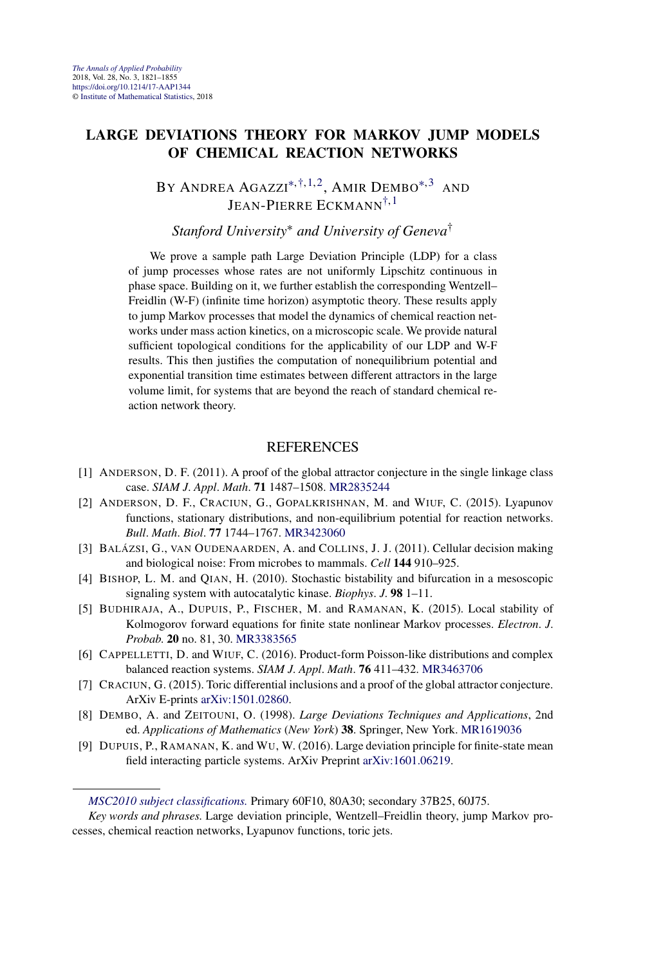#### **LARGE DEVIATIONS THEORY FOR MARKOV JUMP MODELS OF CHEMICAL REACTION NETWORKS**

BY ANDREA AGAZZI<sup>\*[,†,](#page-7-0)1,2</sup>, AMIR DEMBO<sup>\*,3</sup> AND JEAN-PIERRE ECKMANN[†,](#page-7-0)1

*Stanford University*<sup>∗</sup> *and University of Geneva*†

We prove a sample path Large Deviation Principle (LDP) for a class of jump processes whose rates are not uniformly Lipschitz continuous in phase space. Building on it, we further establish the corresponding Wentzell– Freidlin (W-F) (infinite time horizon) asymptotic theory. These results apply to jump Markov processes that model the dynamics of chemical reaction networks under mass action kinetics, on a microscopic scale. We provide natural sufficient topological conditions for the applicability of our LDP and W-F results. This then justifies the computation of nonequilibrium potential and exponential transition time estimates between different attractors in the large volume limit, for systems that are beyond the reach of standard chemical reaction network theory.

- [1] ANDERSON, D. F. (2011). A proof of the global attractor conjecture in the single linkage class case. *SIAM J*. *Appl*. *Math*. **71** 1487–1508. [MR2835244](http://www.ams.org/mathscinet-getitem?mr=2835244)
- [2] ANDERSON, D. F., CRACIUN, G., GOPALKRISHNAN, M. and WIUF, C. (2015). Lyapunov functions, stationary distributions, and non-equilibrium potential for reaction networks. *Bull*. *Math*. *Biol*. **77** 1744–1767. [MR3423060](http://www.ams.org/mathscinet-getitem?mr=3423060)
- [3] BALÁZSI, G., VAN OUDENAARDEN, A. and COLLINS, J. J. (2011). Cellular decision making and biological noise: From microbes to mammals. *Cell* **144** 910–925.
- [4] BISHOP, L. M. and QIAN, H. (2010). Stochastic bistability and bifurcation in a mesoscopic signaling system with autocatalytic kinase. *Biophys*. *J*. **98** 1–11.
- [5] BUDHIRAJA, A., DUPUIS, P., FISCHER, M. and RAMANAN, K. (2015). Local stability of Kolmogorov forward equations for finite state nonlinear Markov processes. *Electron*. *J*. *Probab*. **20** no. 81, 30. [MR3383565](http://www.ams.org/mathscinet-getitem?mr=3383565)
- [6] CAPPELLETTI, D. and WIUF, C. (2016). Product-form Poisson-like distributions and complex balanced reaction systems. *SIAM J*. *Appl*. *Math*. **76** 411–432. [MR3463706](http://www.ams.org/mathscinet-getitem?mr=3463706)
- [7] CRACIUN, G. (2015). Toric differential inclusions and a proof of the global attractor conjecture. ArXiv E-prints [arXiv:1501.02860](http://arxiv.org/abs/arXiv:1501.02860).
- [8] DEMBO, A. and ZEITOUNI, O. (1998). *Large Deviations Techniques and Applications*, 2nd ed. *Applications of Mathematics* (*New York*) **38**. Springer, New York. [MR1619036](http://www.ams.org/mathscinet-getitem?mr=1619036)
- [9] DUPUIS, P., RAMANAN, K. and WU, W. (2016). Large deviation principle for finite-state mean field interacting particle systems. ArXiv Preprint [arXiv:1601.06219.](http://arxiv.org/abs/arXiv:1601.06219)

*[MSC2010 subject classifications.](http://www.ams.org/mathscinet/msc/msc2010.html)* Primary 60F10, 80A30; secondary 37B25, 60J75.

*Key words and phrases.* Large deviation principle, Wentzell–Freidlin theory, jump Markov processes, chemical reaction networks, Lyapunov functions, toric jets.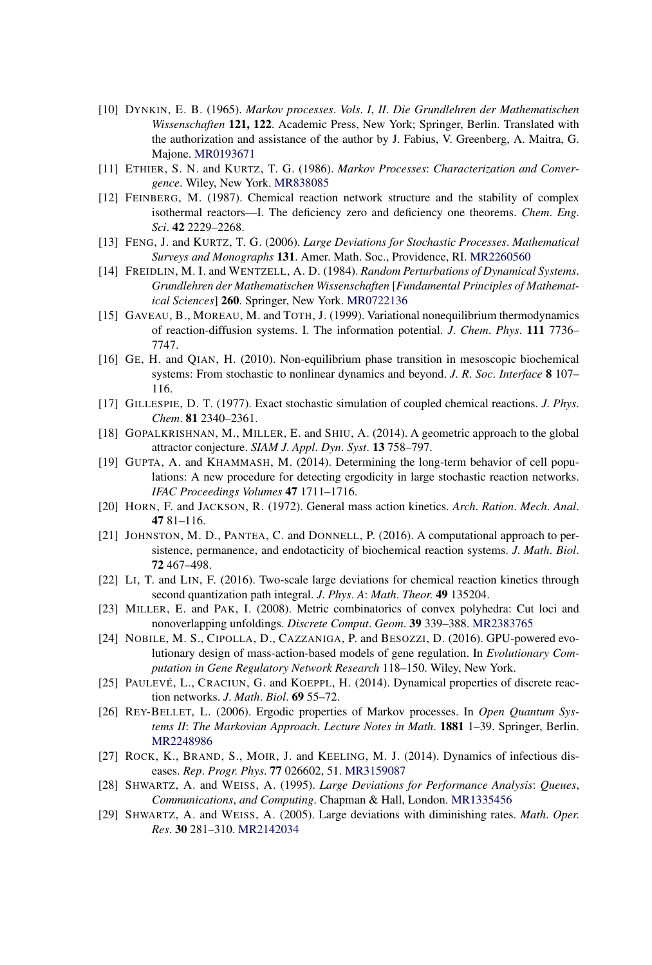- [10] DYNKIN, E. B. (1965). *Markov processes*. *Vols*. *I*, *II*. *Die Grundlehren der Mathematischen Wissenschaften* **121, 122**. Academic Press, New York; Springer, Berlin. Translated with the authorization and assistance of the author by J. Fabius, V. Greenberg, A. Maitra, G. Majone. [MR0193671](http://www.ams.org/mathscinet-getitem?mr=0193671)
- [11] ETHIER, S. N. and KURTZ, T. G. (1986). *Markov Processes*: *Characterization and Convergence*. Wiley, New York. [MR838085](http://www.ams.org/mathscinet-getitem?mr=838085)
- [12] FEINBERG, M. (1987). Chemical reaction network structure and the stability of complex isothermal reactors—I. The deficiency zero and deficiency one theorems. *Chem*. *Eng*. *Sci*. **42** 2229–2268.
- [13] FENG, J. and KURTZ, T. G. (2006). *Large Deviations for Stochastic Processes*. *Mathematical Surveys and Monographs* **131**. Amer. Math. Soc., Providence, RI. [MR2260560](http://www.ams.org/mathscinet-getitem?mr=2260560)
- [14] FREIDLIN, M. I. and WENTZELL, A. D. (1984). *Random Perturbations of Dynamical Systems*. *Grundlehren der Mathematischen Wissenschaften* [*Fundamental Principles of Mathematical Sciences*] **260**. Springer, New York. [MR0722136](http://www.ams.org/mathscinet-getitem?mr=0722136)
- [15] GAVEAU, B., MOREAU, M. and TOTH, J. (1999). Variational nonequilibrium thermodynamics of reaction-diffusion systems. I. The information potential. *J*. *Chem*. *Phys*. **111** 7736– 7747.
- [16] GE, H. and QIAN, H. (2010). Non-equilibrium phase transition in mesoscopic biochemical systems: From stochastic to nonlinear dynamics and beyond. *J*. *R*. *Soc*. *Interface* **8** 107– 116.
- [17] GILLESPIE, D. T. (1977). Exact stochastic simulation of coupled chemical reactions. *J*. *Phys*. *Chem*. **81** 2340–2361.
- [18] GOPALKRISHNAN, M., MILLER, E. and SHIU, A. (2014). A geometric approach to the global attractor conjecture. *SIAM J*. *Appl*. *Dyn*. *Syst*. **13** 758–797.
- [19] GUPTA, A. and KHAMMASH, M. (2014). Determining the long-term behavior of cell populations: A new procedure for detecting ergodicity in large stochastic reaction networks. *IFAC Proceedings Volumes* **47** 1711–1716.
- [20] HORN, F. and JACKSON, R. (1972). General mass action kinetics. *Arch*. *Ration*. *Mech*. *Anal*. **47** 81–116.
- [21] JOHNSTON, M. D., PANTEA, C. and DONNELL, P. (2016). A computational approach to persistence, permanence, and endotacticity of biochemical reaction systems. *J*. *Math*. *Biol*. **72** 467–498.
- [22] LI, T. and LIN, F. (2016). Two-scale large deviations for chemical reaction kinetics through second quantization path integral. *J*. *Phys*. *A*: *Math*. *Theor*. **49** 135204.
- [23] MILLER, E. and PAK, I. (2008). Metric combinatorics of convex polyhedra: Cut loci and nonoverlapping unfoldings. *Discrete Comput*. *Geom*. **39** 339–388. [MR2383765](http://www.ams.org/mathscinet-getitem?mr=2383765)
- [24] NOBILE, M. S., CIPOLLA, D., CAZZANIGA, P. and BESOZZI, D. (2016). GPU-powered evolutionary design of mass-action-based models of gene regulation. In *Evolutionary Computation in Gene Regulatory Network Research* 118–150. Wiley, New York.
- [25] PAULEVÉ, L., CRACIUN, G. and KOEPPL, H. (2014). Dynamical properties of discrete reaction networks. *J*. *Math*. *Biol*. **69** 55–72.
- [26] REY-BELLET, L. (2006). Ergodic properties of Markov processes. In *Open Quantum Systems II*: *The Markovian Approach*. *Lecture Notes in Math*. **1881** 1–39. Springer, Berlin. [MR2248986](http://www.ams.org/mathscinet-getitem?mr=2248986)
- [27] ROCK, K., BRAND, S., MOIR, J. and KEELING, M. J. (2014). Dynamics of infectious diseases. *Rep*. *Progr*. *Phys*. **77** 026602, 51. [MR3159087](http://www.ams.org/mathscinet-getitem?mr=3159087)
- [28] SHWARTZ, A. and WEISS, A. (1995). *Large Deviations for Performance Analysis*: *Queues*, *Communications*, *and Computing*. Chapman & Hall, London. [MR1335456](http://www.ams.org/mathscinet-getitem?mr=1335456)
- [29] SHWARTZ, A. and WEISS, A. (2005). Large deviations with diminishing rates. *Math*. *Oper*. *Res*. **30** 281–310. [MR2142034](http://www.ams.org/mathscinet-getitem?mr=2142034)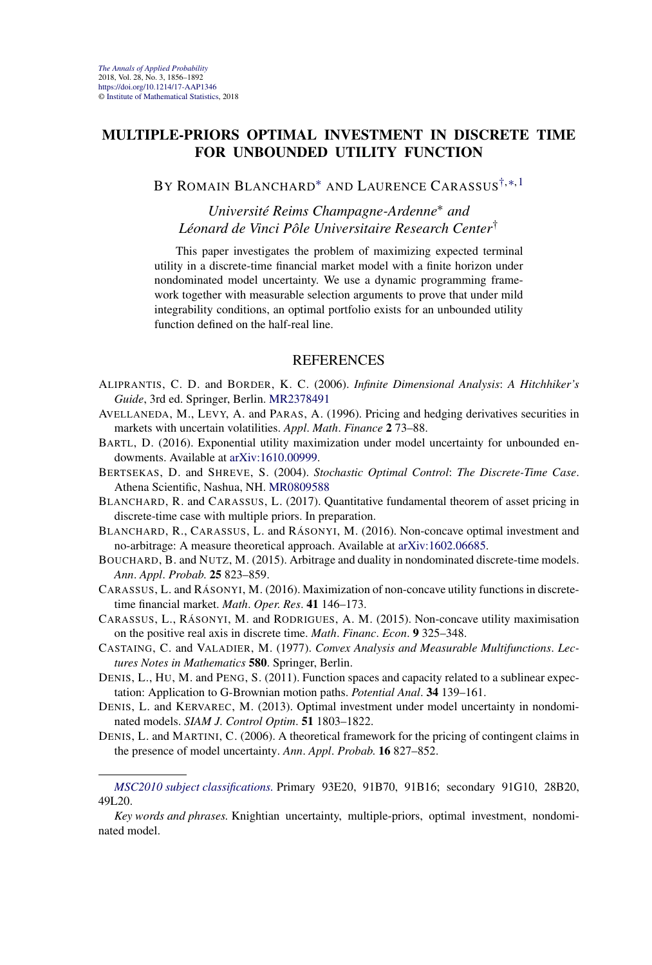#### **MULTIPLE-PRIORS OPTIMAL INVESTMENT IN DISCRETE TIME FOR UNBOUNDED UTILITY FUNCTION**

BY ROMAIN BLANCHARD<sup>\*</sup> AND LAURENCE CARASSUS<sup>[†,](#page-7-0)\*,1</sup>

*Université Reims Champagne-Ardenne*<sup>∗</sup> *and Léonard de Vinci Pôle Universitaire Research Center*†

This paper investigates the problem of maximizing expected terminal utility in a discrete-time financial market model with a finite horizon under nondominated model uncertainty. We use a dynamic programming framework together with measurable selection arguments to prove that under mild integrability conditions, an optimal portfolio exists for an unbounded utility function defined on the half-real line.

- ALIPRANTIS, C. D. and BORDER, K. C. (2006). *Infinite Dimensional Analysis*: *A Hitchhiker's Guide*, 3rd ed. Springer, Berlin. [MR2378491](http://www.ams.org/mathscinet-getitem?mr=2378491)
- AVELLANEDA, M., LEVY, A. and PARAS, A. (1996). Pricing and hedging derivatives securities in markets with uncertain volatilities. *Appl*. *Math*. *Finance* **2** 73–88.
- BARTL, D. (2016). Exponential utility maximization under model uncertainty for unbounded endowments. Available at [arXiv:1610.00999.](http://arxiv.org/abs/arXiv:1610.00999)
- BERTSEKAS, D. and SHREVE, S. (2004). *Stochastic Optimal Control*: *The Discrete-Time Case*. Athena Scientific, Nashua, NH. [MR0809588](http://www.ams.org/mathscinet-getitem?mr=0809588)
- BLANCHARD, R. and CARASSUS, L. (2017). Quantitative fundamental theorem of asset pricing in discrete-time case with multiple priors. In preparation.
- BLANCHARD, R., CARASSUS, L. and RÁSONYI, M. (2016). Non-concave optimal investment and no-arbitrage: A measure theoretical approach. Available at [arXiv:1602.06685](http://arxiv.org/abs/arXiv:1602.06685).
- BOUCHARD, B. and NUTZ, M. (2015). Arbitrage and duality in nondominated discrete-time models. *Ann*. *Appl*. *Probab*. **25** 823–859.
- CARASSUS, L. and RÁSONYI, M. (2016). Maximization of non-concave utility functions in discretetime financial market. *Math*. *Oper*. *Res*. **41** 146–173.
- CARASSUS, L., RÁSONYI, M. and RODRIGUES, A. M. (2015). Non-concave utility maximisation on the positive real axis in discrete time. *Math*. *Financ*. *Econ*. **9** 325–348.
- CASTAING, C. and VALADIER, M. (1977). *Convex Analysis and Measurable Multifunctions*. *Lectures Notes in Mathematics* **580**. Springer, Berlin.
- DENIS, L., HU, M. and PENG, S. (2011). Function spaces and capacity related to a sublinear expectation: Application to G-Brownian motion paths. *Potential Anal*. **34** 139–161.
- DENIS, L. and KERVAREC, M. (2013). Optimal investment under model uncertainty in nondominated models. *SIAM J*. *Control Optim*. **51** 1803–1822.
- DENIS, L. and MARTINI, C. (2006). A theoretical framework for the pricing of contingent claims in the presence of model uncertainty. *Ann*. *Appl*. *Probab*. **16** 827–852.

*[MSC2010 subject classifications.](http://www.ams.org/mathscinet/msc/msc2010.html)* Primary 93E20, 91B70, 91B16; secondary 91G10, 28B20, 49L20.

*Key words and phrases.* Knightian uncertainty, multiple-priors, optimal investment, nondominated model.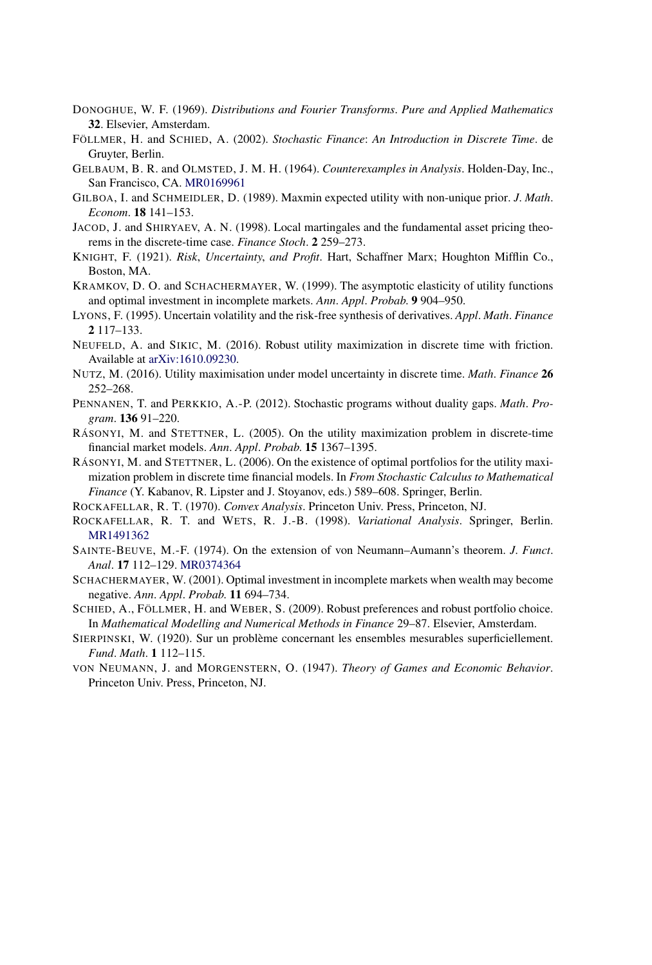- DONOGHUE, W. F. (1969). *Distributions and Fourier Transforms*. *Pure and Applied Mathematics* **32**. Elsevier, Amsterdam.
- FÖLLMER, H. and SCHIED, A. (2002). *Stochastic Finance*: *An Introduction in Discrete Time*. de Gruyter, Berlin.
- GELBAUM, B. R. and OLMSTED, J. M. H. (1964). *Counterexamples in Analysis*. Holden-Day, Inc., San Francisco, CA. [MR0169961](http://www.ams.org/mathscinet-getitem?mr=0169961)
- GILBOA, I. and SCHMEIDLER, D. (1989). Maxmin expected utility with non-unique prior. *J*. *Math*. *Econom*. **18** 141–153.
- JACOD, J. and SHIRYAEV, A. N. (1998). Local martingales and the fundamental asset pricing theorems in the discrete-time case. *Finance Stoch*. **2** 259–273.
- KNIGHT, F. (1921). *Risk*, *Uncertainty*, *and Profit*. Hart, Schaffner Marx; Houghton Mifflin Co., Boston, MA.
- KRAMKOV, D. O. and SCHACHERMAYER, W. (1999). The asymptotic elasticity of utility functions and optimal investment in incomplete markets. *Ann*. *Appl*. *Probab*. **9** 904–950.
- LYONS, F. (1995). Uncertain volatility and the risk-free synthesis of derivatives. *Appl*. *Math*. *Finance* **2** 117–133.
- NEUFELD, A. and SIKIC, M. (2016). Robust utility maximization in discrete time with friction. Available at [arXiv:1610.09230](http://arxiv.org/abs/arXiv:1610.09230).
- NUTZ, M. (2016). Utility maximisation under model uncertainty in discrete time. *Math*. *Finance* **26** 252–268.
- PENNANEN, T. and PERKKIO, A.-P. (2012). Stochastic programs without duality gaps. *Math*. *Program*. **136** 91–220.
- RÁSONYI, M. and STETTNER, L. (2005). On the utility maximization problem in discrete-time financial market models. *Ann*. *Appl*. *Probab*. **15** 1367–1395.
- RÁSONYI, M. and STETTNER, L. (2006). On the existence of optimal portfolios for the utility maximization problem in discrete time financial models. In *From Stochastic Calculus to Mathematical Finance* (Y. Kabanov, R. Lipster and J. Stoyanov, eds.) 589–608. Springer, Berlin.
- ROCKAFELLAR, R. T. (1970). *Convex Analysis*. Princeton Univ. Press, Princeton, NJ.
- ROCKAFELLAR, R. T. and WETS, R. J.-B. (1998). *Variational Analysis*. Springer, Berlin. [MR1491362](http://www.ams.org/mathscinet-getitem?mr=1491362)
- SAINTE-BEUVE, M.-F. (1974). On the extension of von Neumann–Aumann's theorem. *J*. *Funct*. *Anal*. **17** 112–129. [MR0374364](http://www.ams.org/mathscinet-getitem?mr=0374364)
- SCHACHERMAYER, W. (2001). Optimal investment in incomplete markets when wealth may become negative. *Ann*. *Appl*. *Probab*. **11** 694–734.
- SCHIED, A., FÖLLMER, H. and WEBER, S. (2009). Robust preferences and robust portfolio choice. In *Mathematical Modelling and Numerical Methods in Finance* 29–87. Elsevier, Amsterdam.
- SIERPINSKI, W. (1920). Sur un problème concernant les ensembles mesurables superficiellement. *Fund*. *Math*. **1** 112–115.
- VON NEUMANN, J. and MORGENSTERN, O. (1947). *Theory of Games and Economic Behavior*. Princeton Univ. Press, Princeton, NJ.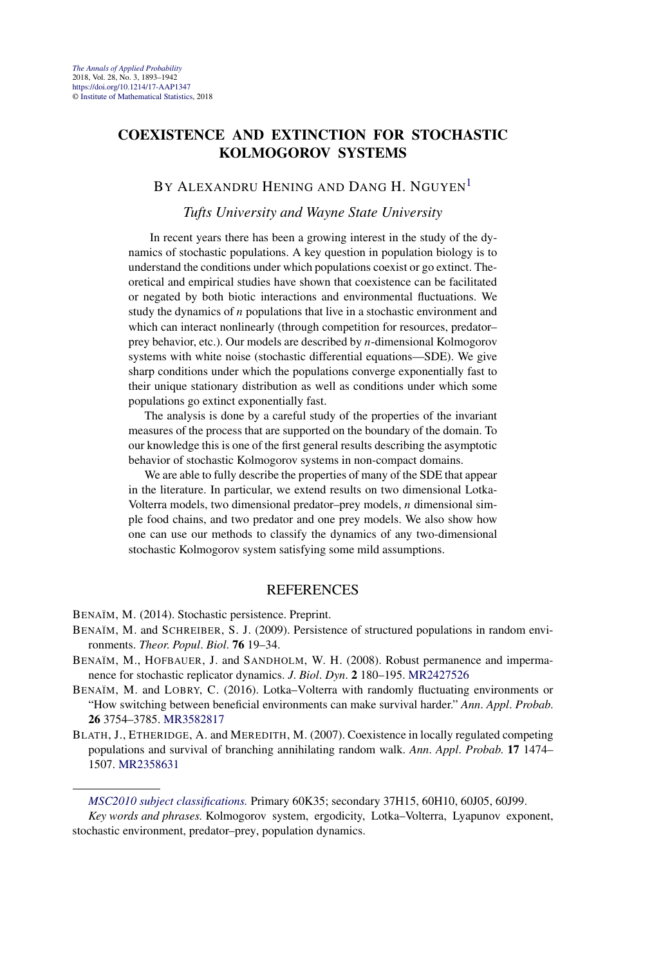#### **COEXISTENCE AND EXTINCTION FOR STOCHASTIC KOLMOGOROV SYSTEMS**

#### BY ALEXANDRU HENING AND DANG H. NGUYEN<sup>1</sup>

#### *Tufts University and Wayne State University*

In recent years there has been a growing interest in the study of the dynamics of stochastic populations. A key question in population biology is to understand the conditions under which populations coexist or go extinct. Theoretical and empirical studies have shown that coexistence can be facilitated or negated by both biotic interactions and environmental fluctuations. We study the dynamics of *n* populations that live in a stochastic environment and which can interact nonlinearly (through competition for resources, predator– prey behavior, etc.). Our models are described by *n*-dimensional Kolmogorov systems with white noise (stochastic differential equations—SDE). We give sharp conditions under which the populations converge exponentially fast to their unique stationary distribution as well as conditions under which some populations go extinct exponentially fast.

The analysis is done by a careful study of the properties of the invariant measures of the process that are supported on the boundary of the domain. To our knowledge this is one of the first general results describing the asymptotic behavior of stochastic Kolmogorov systems in non-compact domains.

We are able to fully describe the properties of many of the SDE that appear in the literature. In particular, we extend results on two dimensional Lotka-Volterra models, two dimensional predator–prey models, *n* dimensional simple food chains, and two predator and one prey models. We also show how one can use our methods to classify the dynamics of any two-dimensional stochastic Kolmogorov system satisfying some mild assumptions.

#### **REFERENCES**

BENAÏM, M. (2014). Stochastic persistence. Preprint.

- BENAÏM, M. and SCHREIBER, S. J. (2009). Persistence of structured populations in random environments. *Theor*. *Popul*. *Biol*. **76** 19–34.
- BENAÏM, M., HOFBAUER, J. and SANDHOLM, W. H. (2008). Robust permanence and impermanence for stochastic replicator dynamics. *J*. *Biol*. *Dyn*. **2** 180–195. [MR2427526](http://www.ams.org/mathscinet-getitem?mr=2427526)
- BENAÏM, M. and LOBRY, C. (2016). Lotka–Volterra with randomly fluctuating environments or "How switching between beneficial environments can make survival harder." *Ann*. *Appl*. *Probab*. **26** 3754–3785. [MR3582817](http://www.ams.org/mathscinet-getitem?mr=3582817)
- BLATH, J., ETHERIDGE, A. and MEREDITH, M. (2007). Coexistence in locally regulated competing populations and survival of branching annihilating random walk. *Ann*. *Appl*. *Probab*. **17** 1474– 1507. [MR2358631](http://www.ams.org/mathscinet-getitem?mr=2358631)

*[MSC2010 subject classifications.](http://www.ams.org/mathscinet/msc/msc2010.html)* Primary 60K35; secondary 37H15, 60H10, 60J05, 60J99. *Key words and phrases.* Kolmogorov system, ergodicity, Lotka–Volterra, Lyapunov exponent, stochastic environment, predator–prey, population dynamics.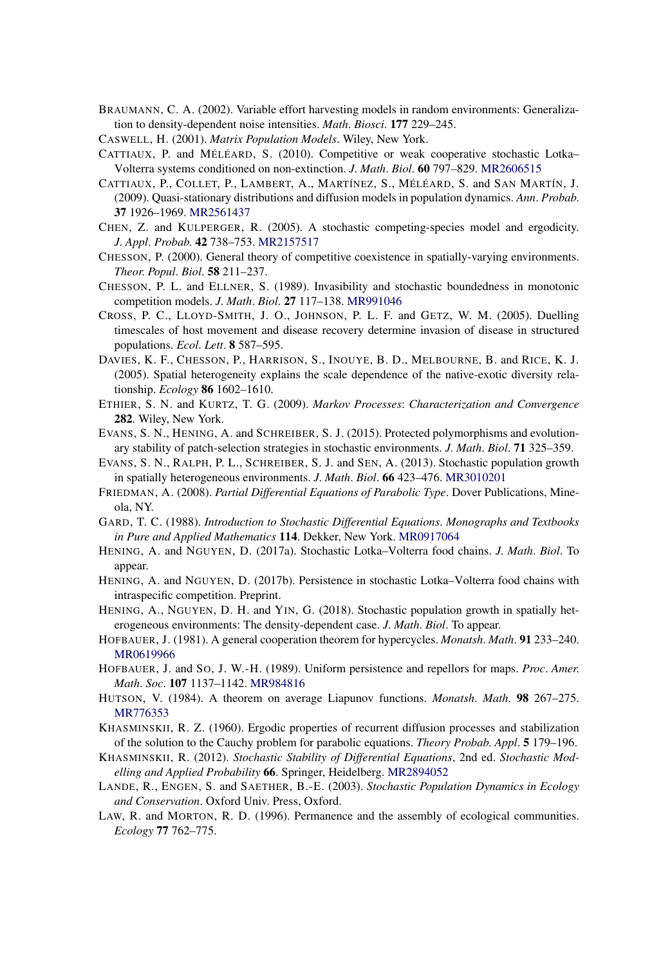- BRAUMANN, C. A. (2002). Variable effort harvesting models in random environments: Generalization to density-dependent noise intensities. *Math*. *Biosci*. **177** 229–245.
- CASWELL, H. (2001). *Matrix Population Models*. Wiley, New York.
- CATTIAUX, P. and MÉLÉARD, S. (2010). Competitive or weak cooperative stochastic Lotka– Volterra systems conditioned on non-extinction. *J*. *Math*. *Biol*. **60** 797–829. [MR2606515](http://www.ams.org/mathscinet-getitem?mr=2606515)
- CATTIAUX, P., COLLET, P., LAMBERT, A., MARTÍNEZ, S., MÉLÉARD, S. and SAN MARTÍN, J. (2009). Quasi-stationary distributions and diffusion models in population dynamics. *Ann*. *Probab*. **37** 1926–1969. [MR2561437](http://www.ams.org/mathscinet-getitem?mr=2561437)
- CHEN, Z. and KULPERGER, R. (2005). A stochastic competing-species model and ergodicity. *J*. *Appl*. *Probab*. **42** 738–753. [MR2157517](http://www.ams.org/mathscinet-getitem?mr=2157517)
- CHESSON, P. (2000). General theory of competitive coexistence in spatially-varying environments. *Theor*. *Popul*. *Biol*. **58** 211–237.
- CHESSON, P. L. and ELLNER, S. (1989). Invasibility and stochastic boundedness in monotonic competition models. *J*. *Math*. *Biol*. **27** 117–138. [MR991046](http://www.ams.org/mathscinet-getitem?mr=991046)
- CROSS, P. C., LLOYD-SMITH, J. O., JOHNSON, P. L. F. and GETZ, W. M. (2005). Duelling timescales of host movement and disease recovery determine invasion of disease in structured populations. *Ecol*. *Lett*. **8** 587–595.
- DAVIES, K. F., CHESSON, P., HARRISON, S., INOUYE, B. D., MELBOURNE, B. and RICE, K. J. (2005). Spatial heterogeneity explains the scale dependence of the native-exotic diversity relationship. *Ecology* **86** 1602–1610.
- ETHIER, S. N. and KURTZ, T. G. (2009). *Markov Processes*: *Characterization and Convergence* **282**. Wiley, New York.
- EVANS, S. N., HENING, A. and SCHREIBER, S. J. (2015). Protected polymorphisms and evolutionary stability of patch-selection strategies in stochastic environments. *J*. *Math*. *Biol*. **71** 325–359.
- EVANS, S. N., RALPH, P. L., SCHREIBER, S. J. and SEN, A. (2013). Stochastic population growth in spatially heterogeneous environments. *J*. *Math*. *Biol*. **66** 423–476. [MR3010201](http://www.ams.org/mathscinet-getitem?mr=3010201)
- FRIEDMAN, A. (2008). *Partial Differential Equations of Parabolic Type*. Dover Publications, Mineola, NY.
- GARD, T. C. (1988). *Introduction to Stochastic Differential Equations*. *Monographs and Textbooks in Pure and Applied Mathematics* **114**. Dekker, New York. [MR0917064](http://www.ams.org/mathscinet-getitem?mr=0917064)
- HENING, A. and NGUYEN, D. (2017a). Stochastic Lotka–Volterra food chains. *J*. *Math*. *Biol*. To appear.
- HENING, A. and NGUYEN, D. (2017b). Persistence in stochastic Lotka–Volterra food chains with intraspecific competition. Preprint.
- HENING, A., NGUYEN, D. H. and YIN, G. (2018). Stochastic population growth in spatially heterogeneous environments: The density-dependent case. *J*. *Math*. *Biol*. To appear.
- HOFBAUER, J. (1981). A general cooperation theorem for hypercycles. *Monatsh*. *Math*. **91** 233–240. [MR0619966](http://www.ams.org/mathscinet-getitem?mr=0619966)
- HOFBAUER, J. and SO, J. W.-H. (1989). Uniform persistence and repellors for maps. *Proc*. *Amer*. *Math*. *Soc*. **107** 1137–1142. [MR984816](http://www.ams.org/mathscinet-getitem?mr=984816)
- HUTSON, V. (1984). A theorem on average Liapunov functions. *Monatsh*. *Math*. **98** 267–275. [MR776353](http://www.ams.org/mathscinet-getitem?mr=776353)
- KHASMINSKII, R. Z. (1960). Ergodic properties of recurrent diffusion processes and stabilization of the solution to the Cauchy problem for parabolic equations. *Theory Probab*. *Appl*. **5** 179–196.
- KHASMINSKII, R. (2012). *Stochastic Stability of Differential Equations*, 2nd ed. *Stochastic Modelling and Applied Probability* **66**. Springer, Heidelberg. [MR2894052](http://www.ams.org/mathscinet-getitem?mr=2894052)
- LANDE, R., ENGEN, S. and SAETHER, B.-E. (2003). *Stochastic Population Dynamics in Ecology and Conservation*. Oxford Univ. Press, Oxford.
- LAW, R. and MORTON, R. D. (1996). Permanence and the assembly of ecological communities. *Ecology* **77** 762–775.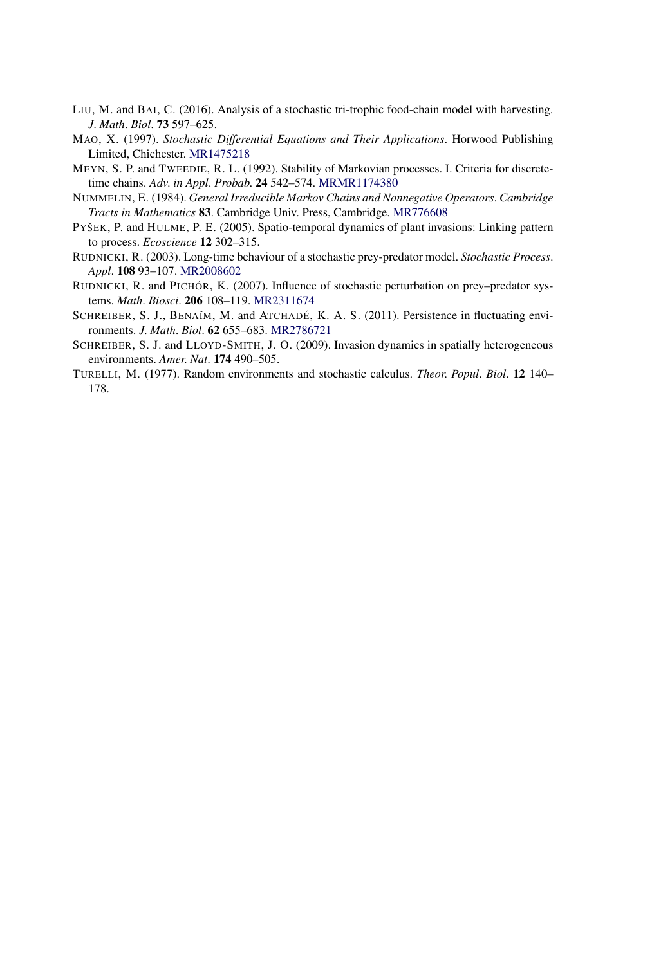- LIU, M. and BAI, C. (2016). Analysis of a stochastic tri-trophic food-chain model with harvesting. *J*. *Math*. *Biol*. **73** 597–625.
- MAO, X. (1997). *Stochastic Differential Equations and Their Applications*. Horwood Publishing Limited, Chichester. [MR1475218](http://www.ams.org/mathscinet-getitem?mr=1475218)
- MEYN, S. P. and TWEEDIE, R. L. (1992). Stability of Markovian processes. I. Criteria for discretetime chains. *Adv*. *in Appl*. *Probab*. **24** 542–574. [MRMR1174380](http://www.ams.org/mathscinet-getitem?mr=MR1174380)
- NUMMELIN, E. (1984). *General Irreducible Markov Chains and Nonnegative Operators*. *Cambridge Tracts in Mathematics* **83**. Cambridge Univ. Press, Cambridge. [MR776608](http://www.ams.org/mathscinet-getitem?mr=776608)
- PYŠEK, P. and HULME, P. E. (2005). Spatio-temporal dynamics of plant invasions: Linking pattern to process. *Ecoscience* **12** 302–315.
- RUDNICKI, R. (2003). Long-time behaviour of a stochastic prey-predator model. *Stochastic Process*. *Appl*. **108** 93–107. [MR2008602](http://www.ams.org/mathscinet-getitem?mr=2008602)
- RUDNICKI, R. and PICHÓR, K. (2007). Influence of stochastic perturbation on prey–predator systems. *Math*. *Biosci*. **206** 108–119. [MR2311674](http://www.ams.org/mathscinet-getitem?mr=2311674)
- SCHREIBER, S. J., BENAÏM, M. and ATCHADÉ, K. A. S. (2011). Persistence in fluctuating environments. *J*. *Math*. *Biol*. **62** 655–683. [MR2786721](http://www.ams.org/mathscinet-getitem?mr=2786721)
- SCHREIBER, S. J. and LLOYD-SMITH, J. O. (2009). Invasion dynamics in spatially heterogeneous environments. *Amer*. *Nat*. **174** 490–505.
- TURELLI, M. (1977). Random environments and stochastic calculus. *Theor*. *Popul*. *Biol*. **12** 140– 178.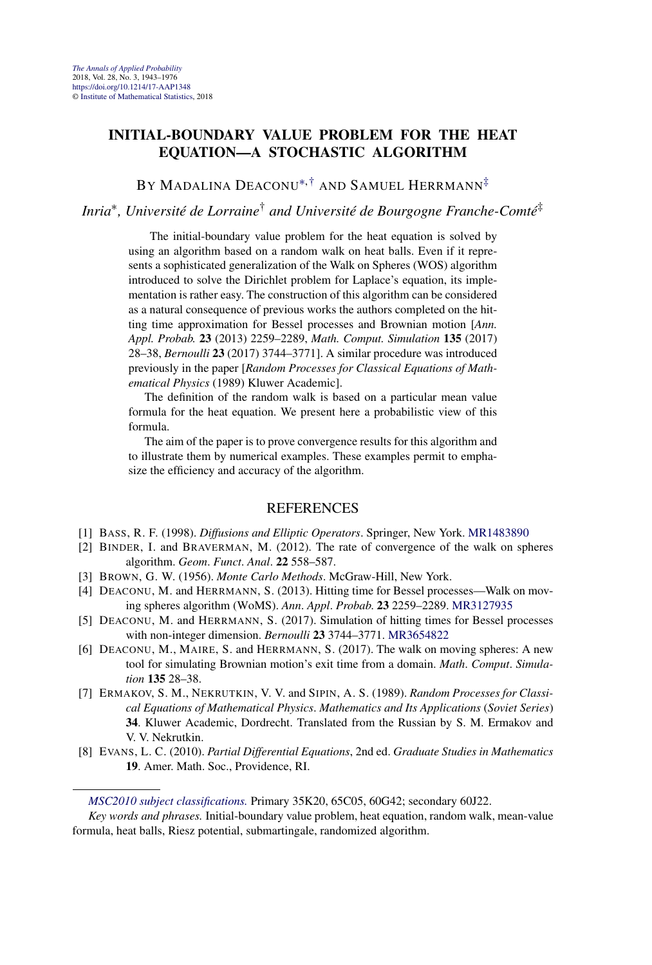#### **INITIAL-BOUNDARY VALUE PROBLEM FOR THE HEAT EQUATION—A STOCHASTIC ALGORITHM**

BY MADALINA DEACONU<sup>\*[,†](#page-7-0)</sup> AND SAMUEL HERRMANN<sup>[‡](#page-9-0)</sup>

#### *Inria*∗*, Université de Lorraine*† *and Université de Bourgogne Franche-Comté*‡

The initial-boundary value problem for the heat equation is solved by using an algorithm based on a random walk on heat balls. Even if it represents a sophisticated generalization of the Walk on Spheres (WOS) algorithm introduced to solve the Dirichlet problem for Laplace's equation, its implementation is rather easy. The construction of this algorithm can be considered as a natural consequence of previous works the authors completed on the hitting time approximation for Bessel processes and Brownian motion [*Ann. Appl. Probab.* **23** (2013) 2259–2289, *Math. Comput. Simulation* **135** (2017) 28–38, *Bernoulli* **23** (2017) 3744–3771]. A similar procedure was introduced previously in the paper [*Random Processes for Classical Equations of Mathematical Physics* (1989) Kluwer Academic].

The definition of the random walk is based on a particular mean value formula for the heat equation. We present here a probabilistic view of this formula.

The aim of the paper is to prove convergence results for this algorithm and to illustrate them by numerical examples. These examples permit to emphasize the efficiency and accuracy of the algorithm.

- [1] BASS, R. F. (1998). *Diffusions and Elliptic Operators*. Springer, New York. [MR1483890](http://www.ams.org/mathscinet-getitem?mr=1483890)
- [2] BINDER, I. and BRAVERMAN, M. (2012). The rate of convergence of the walk on spheres algorithm. *Geom*. *Funct*. *Anal*. **22** 558–587.
- [3] BROWN, G. W. (1956). *Monte Carlo Methods*. McGraw-Hill, New York.
- [4] DEACONU, M. and HERRMANN, S. (2013). Hitting time for Bessel processes—Walk on moving spheres algorithm (WoMS). *Ann*. *Appl*. *Probab*. **23** 2259–2289. [MR3127935](http://www.ams.org/mathscinet-getitem?mr=3127935)
- [5] DEACONU, M. and HERRMANN, S. (2017). Simulation of hitting times for Bessel processes with non-integer dimension. *Bernoulli* **23** 3744–3771. [MR3654822](http://www.ams.org/mathscinet-getitem?mr=3654822)
- [6] DEACONU, M., MAIRE, S. and HERRMANN, S. (2017). The walk on moving spheres: A new tool for simulating Brownian motion's exit time from a domain. *Math*. *Comput*. *Simulation* **135** 28–38.
- [7] ERMAKOV, S. M., NEKRUTKIN, V. V. and SIPIN, A. S. (1989). *Random Processes for Classical Equations of Mathematical Physics*. *Mathematics and Its Applications* (*Soviet Series*) **34**. Kluwer Academic, Dordrecht. Translated from the Russian by S. M. Ermakov and V. V. Nekrutkin.
- [8] EVANS, L. C. (2010). *Partial Differential Equations*, 2nd ed. *Graduate Studies in Mathematics* **19**. Amer. Math. Soc., Providence, RI.

*[MSC2010 subject classifications.](http://www.ams.org/mathscinet/msc/msc2010.html)* Primary 35K20, 65C05, 60G42; secondary 60J22.

*Key words and phrases.* Initial-boundary value problem, heat equation, random walk, mean-value formula, heat balls, Riesz potential, submartingale, randomized algorithm.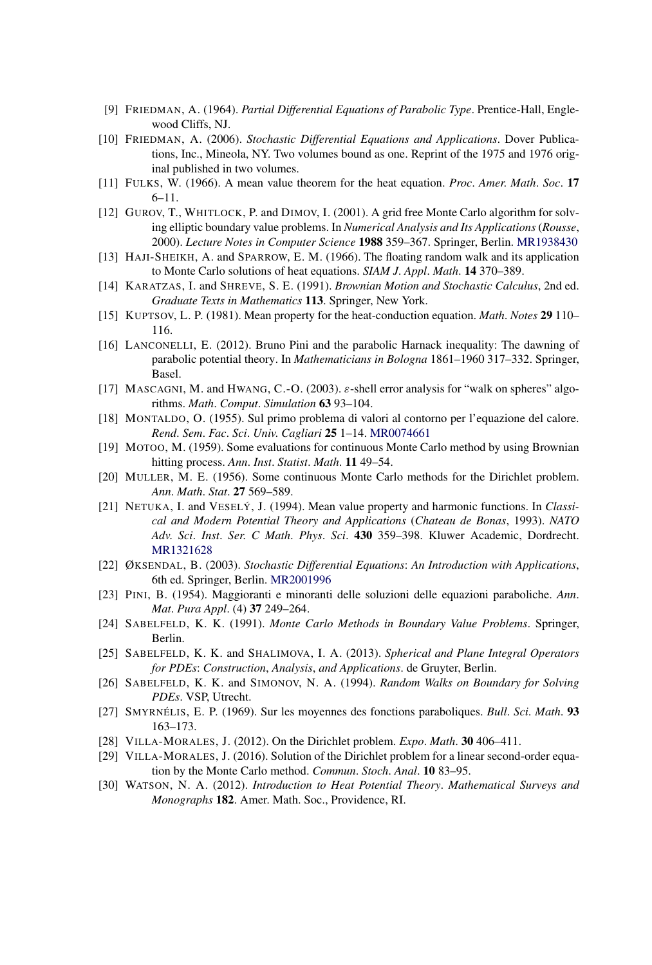- [9] FRIEDMAN, A. (1964). *Partial Differential Equations of Parabolic Type*. Prentice-Hall, Englewood Cliffs, NJ.
- [10] FRIEDMAN, A. (2006). *Stochastic Differential Equations and Applications*. Dover Publications, Inc., Mineola, NY. Two volumes bound as one. Reprint of the 1975 and 1976 original published in two volumes.
- [11] FULKS, W. (1966). A mean value theorem for the heat equation. *Proc*. *Amer*. *Math*. *Soc*. **17** 6–11.
- [12] GUROV, T., WHITLOCK, P. and DIMOV, I. (2001). A grid free Monte Carlo algorithm for solving elliptic boundary value problems. In *Numerical Analysis and Its Applications* (*Rousse*, 2000). *Lecture Notes in Computer Science* **1988** 359–367. Springer, Berlin. [MR1938430](http://www.ams.org/mathscinet-getitem?mr=1938430)
- [13] HAJI-SHEIKH, A. and SPARROW, E. M. (1966). The floating random walk and its application to Monte Carlo solutions of heat equations. *SIAM J*. *Appl*. *Math*. **14** 370–389.
- [14] KARATZAS, I. and SHREVE, S. E. (1991). *Brownian Motion and Stochastic Calculus*, 2nd ed. *Graduate Texts in Mathematics* **113**. Springer, New York.
- [15] KUPTSOV, L. P. (1981). Mean property for the heat-conduction equation. *Math*. *Notes* **29** 110– 116.
- [16] LANCONELLI, E. (2012). Bruno Pini and the parabolic Harnack inequality: The dawning of parabolic potential theory. In *Mathematicians in Bologna* 1861*–*1960 317–332. Springer, Basel.
- [17] MASCAGNI, M. and HWANG, C.-O. (2003). *ε*-shell error analysis for "walk on spheres" algorithms. *Math*. *Comput*. *Simulation* **63** 93–104.
- [18] MONTALDO, O. (1955). Sul primo problema di valori al contorno per l'equazione del calore. *Rend*. *Sem*. *Fac*. *Sci*. *Univ*. *Cagliari* **25** 1–14. [MR0074661](http://www.ams.org/mathscinet-getitem?mr=0074661)
- [19] MOTOO, M. (1959). Some evaluations for continuous Monte Carlo method by using Brownian hitting process. *Ann*. *Inst*. *Statist*. *Math*. **11** 49–54.
- [20] MULLER, M. E. (1956). Some continuous Monte Carlo methods for the Dirichlet problem. *Ann*. *Math*. *Stat*. **27** 569–589.
- [21] NETUKA, I. and VESELÝ, J. (1994). Mean value property and harmonic functions. In *Classical and Modern Potential Theory and Applications* (*Chateau de Bonas*, 1993). *NATO Adv*. *Sci*. *Inst*. *Ser*. *C Math*. *Phys*. *Sci*. **430** 359–398. Kluwer Academic, Dordrecht. [MR1321628](http://www.ams.org/mathscinet-getitem?mr=1321628)
- [22] ØKSENDAL, B. (2003). *Stochastic Differential Equations*: *An Introduction with Applications*, 6th ed. Springer, Berlin. [MR2001996](http://www.ams.org/mathscinet-getitem?mr=2001996)
- [23] PINI, B. (1954). Maggioranti e minoranti delle soluzioni delle equazioni paraboliche. *Ann*. *Mat*. *Pura Appl*. (4) **37** 249–264.
- [24] SABELFELD, K. K. (1991). *Monte Carlo Methods in Boundary Value Problems*. Springer, Berlin.
- [25] SABELFELD, K. K. and SHALIMOVA, I. A. (2013). *Spherical and Plane Integral Operators for PDEs*: *Construction*, *Analysis*, *and Applications*. de Gruyter, Berlin.
- [26] SABELFELD, K. K. and SIMONOV, N. A. (1994). *Random Walks on Boundary for Solving PDEs*. VSP, Utrecht.
- [27] SMYRNÉLIS, E. P. (1969). Sur les moyennes des fonctions paraboliques. *Bull*. *Sci*. *Math*. **93** 163–173.
- [28] VILLA-MORALES, J. (2012). On the Dirichlet problem. *Expo*. *Math*. **30** 406–411.
- [29] VILLA-MORALES, J. (2016). Solution of the Dirichlet problem for a linear second-order equation by the Monte Carlo method. *Commun*. *Stoch*. *Anal*. **10** 83–95.
- [30] WATSON, N. A. (2012). *Introduction to Heat Potential Theory*. *Mathematical Surveys and Monographs* **182**. Amer. Math. Soc., Providence, RI.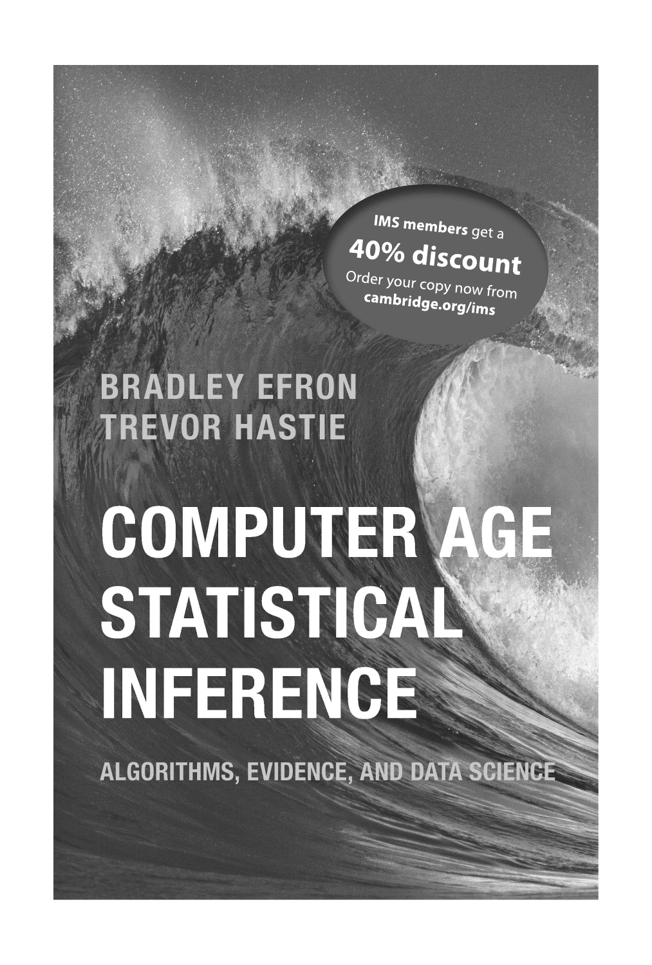# **IMS members** get a 40% discount

Order your copy now from cambridge.org/ims

# **BRADLEY EFRON TREVOR HASTIE**

# COMPUTER AGE STATISTICAL INFERENCE

ALGORITHMS, EVIDENCE, AND DATA SCIENCE